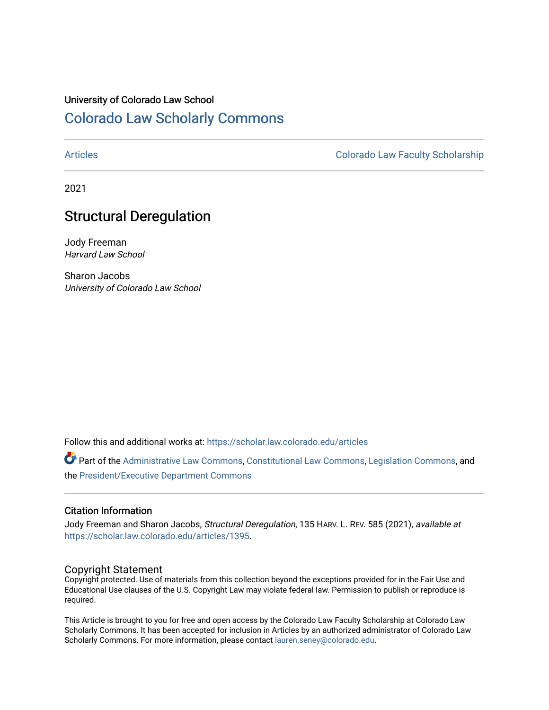# University of Colorado Law School [Colorado Law Scholarly Commons](https://scholar.law.colorado.edu/)

[Articles](https://scholar.law.colorado.edu/articles) [Colorado Law Faculty Scholarship](https://scholar.law.colorado.edu/colorado-law-faculty-scholarship) 

2021

# Structural Deregulation

Jody Freeman Harvard Law School

Sharon Jacobs University of Colorado Law School

Follow this and additional works at: [https://scholar.law.colorado.edu/articles](https://scholar.law.colorado.edu/articles?utm_source=scholar.law.colorado.edu%2Farticles%2F1395&utm_medium=PDF&utm_campaign=PDFCoverPages) 

Part of the [Administrative Law Commons,](http://network.bepress.com/hgg/discipline/579?utm_source=scholar.law.colorado.edu%2Farticles%2F1395&utm_medium=PDF&utm_campaign=PDFCoverPages) [Constitutional Law Commons,](http://network.bepress.com/hgg/discipline/589?utm_source=scholar.law.colorado.edu%2Farticles%2F1395&utm_medium=PDF&utm_campaign=PDFCoverPages) [Legislation Commons](http://network.bepress.com/hgg/discipline/859?utm_source=scholar.law.colorado.edu%2Farticles%2F1395&utm_medium=PDF&utm_campaign=PDFCoverPages), and the [President/Executive Department Commons](http://network.bepress.com/hgg/discipline/1118?utm_source=scholar.law.colorado.edu%2Farticles%2F1395&utm_medium=PDF&utm_campaign=PDFCoverPages) 

## Citation Information

Jody Freeman and Sharon Jacobs, Structural Deregulation, 135 HARV. L. REV. 585 (2021), available at [https://scholar.law.colorado.edu/articles/1395](https://scholar.law.colorado.edu/articles/1395?utm_source=scholar.law.colorado.edu%2Farticles%2F1395&utm_medium=PDF&utm_campaign=PDFCoverPages).

## Copyright Statement

Copyright protected. Use of materials from this collection beyond the exceptions provided for in the Fair Use and Educational Use clauses of the U.S. Copyright Law may violate federal law. Permission to publish or reproduce is required.

This Article is brought to you for free and open access by the Colorado Law Faculty Scholarship at Colorado Law Scholarly Commons. It has been accepted for inclusion in Articles by an authorized administrator of Colorado Law Scholarly Commons. For more information, please contact [lauren.seney@colorado.edu.](mailto:lauren.seney@colorado.edu)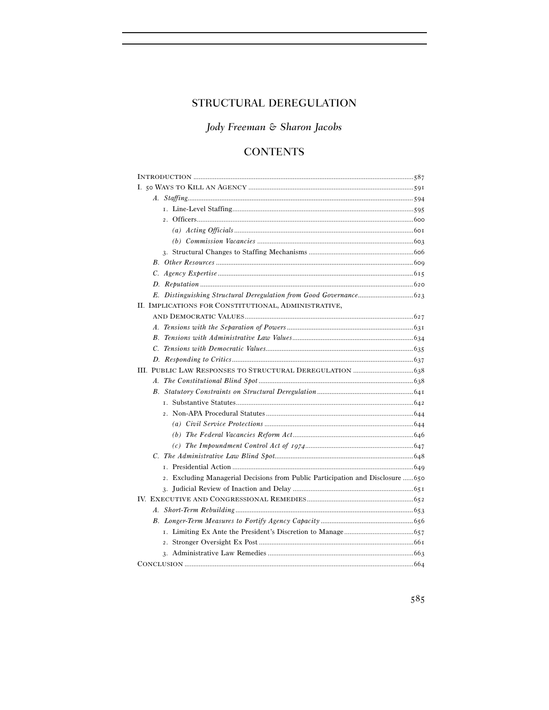# STRUCTURAL DEREGULATION

Jody Freeman & Sharon Jacobs

# **CONTENTS**

| II. IMPLICATIONS FOR CONSTITUTIONAL, ADMINISTRATIVE,                            |  |
|---------------------------------------------------------------------------------|--|
|                                                                                 |  |
|                                                                                 |  |
|                                                                                 |  |
|                                                                                 |  |
|                                                                                 |  |
|                                                                                 |  |
|                                                                                 |  |
|                                                                                 |  |
|                                                                                 |  |
|                                                                                 |  |
|                                                                                 |  |
|                                                                                 |  |
|                                                                                 |  |
|                                                                                 |  |
|                                                                                 |  |
| 2. Excluding Managerial Decisions from Public Participation and Disclosure  650 |  |
|                                                                                 |  |
|                                                                                 |  |
|                                                                                 |  |
|                                                                                 |  |
|                                                                                 |  |
|                                                                                 |  |
|                                                                                 |  |
|                                                                                 |  |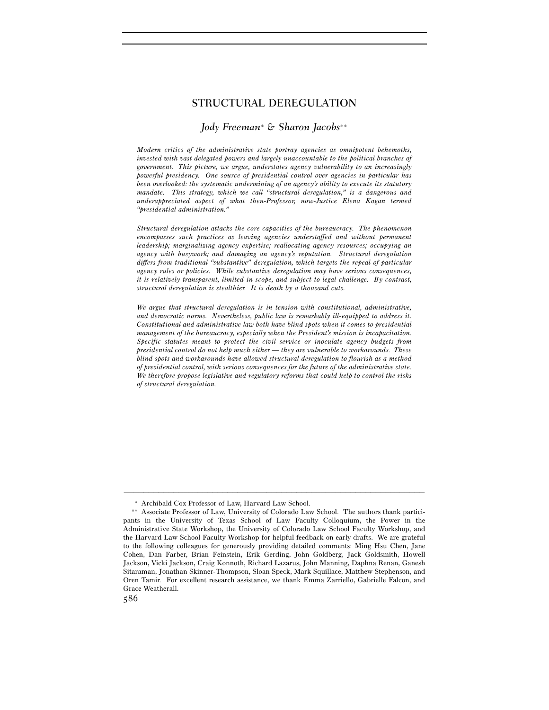## STRUCTURAL DEREGULATION

#### *Jody Freeman*∗ *& Sharon Jacobs*∗∗

*Modern critics of the administrative state portray agencies as omnipotent behemoths, invested with vast delegated powers and largely unaccountable to the political branches of government. This picture, we argue, understates agency vulnerability to an increasingly powerful presidency. One source of presidential control over agencies in particular has been overlooked: the systematic undermining of an agency's ability to execute its statutory mandate. This strategy, which we call "structural deregulation," is a dangerous and underappreciated aspect of what then-Professor, now-Justice Elena Kagan termed "presidential administration."* 

*Structural deregulation attacks the core capacities of the bureaucracy. The phenomenon encompasses such practices as leaving agencies understaffed and without permanent leadership; marginalizing agency expertise; reallocating agency resources; occupying an agency with busywork; and damaging an agency's reputation. Structural deregulation differs from traditional "substantive" deregulation, which targets the repeal of particular agency rules or policies. While substantive deregulation may have serious consequences, it is relatively transparent, limited in scope, and subject to legal challenge. By contrast, structural deregulation is stealthier. It is death by a thousand cuts.* 

*We argue that structural deregulation is in tension with constitutional, administrative, and democratic norms. Nevertheless, public law is remarkably ill-equipped to address it. Constitutional and administrative law both have blind spots when it comes to presidential management of the bureaucracy, especially when the President's mission is incapacitation. Specific statutes meant to protect the civil service or inoculate agency budgets from presidential control do not help much either — they are vulnerable to workarounds. These blind spots and workarounds have allowed structural deregulation to flourish as a method of presidential control, with serious consequences for the future of the administrative state. We therefore propose legislative and regulatory reforms that could help to control the risks of structural deregulation.* 

<sup>∗</sup> Archibald Cox Professor of Law, Harvard Law School.

<sup>∗∗</sup> Associate Professor of Law, University of Colorado Law School. The authors thank participants in the University of Texas School of Law Faculty Colloquium, the Power in the Administrative State Workshop, the University of Colorado Law School Faculty Workshop, and the Harvard Law School Faculty Workshop for helpful feedback on early drafts. We are grateful to the following colleagues for generously providing detailed comments: Ming Hsu Chen, Jane Cohen, Dan Farber, Brian Feinstein, Erik Gerding, John Goldberg, Jack Goldsmith, Howell Jackson, Vicki Jackson, Craig Konnoth, Richard Lazarus, John Manning, Daphna Renan, Ganesh Sitaraman, Jonathan Skinner-Thompson, Sloan Speck, Mark Squillace, Matthew Stephenson, and Oren Tamir. For excellent research assistance, we thank Emma Zarriello, Gabrielle Falcon, and Grace Weatherall.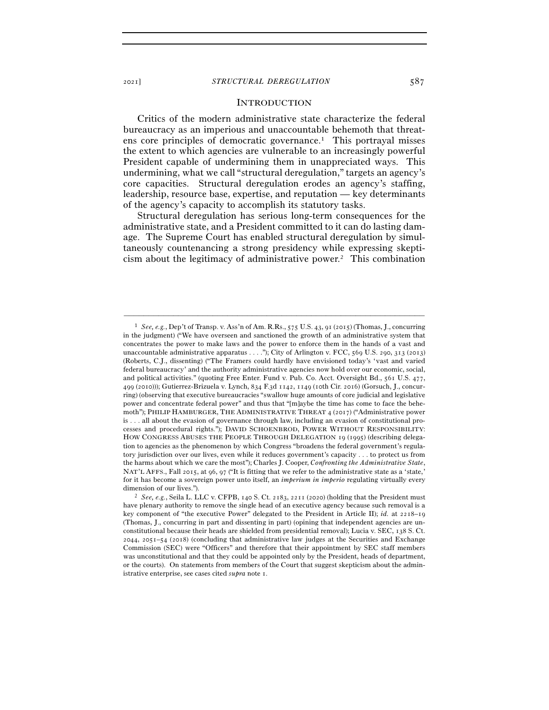#### **INTRODUCTION**

Critics of the modern administrative state characterize the federal bureaucracy as an imperious and unaccountable behemoth that threatens core principles of democratic governance.1 This portrayal misses the extent to which agencies are vulnerable to an increasingly powerful President capable of undermining them in unappreciated ways. This undermining, what we call "structural deregulation," targets an agency's core capacities. Structural deregulation erodes an agency's staffing, leadership, resource base, expertise, and reputation — key determinants of the agency's capacity to accomplish its statutory tasks.

Structural deregulation has serious long-term consequences for the administrative state, and a President committed to it can do lasting damage. The Supreme Court has enabled structural deregulation by simultaneously countenancing a strong presidency while expressing skepticism about the legitimacy of administrative power.2 This combination

<sup>1</sup> *See, e.g.*, Dep't of Transp. v. Ass'n of Am. R.Rs., 575 U.S. 43, 91 (2015) (Thomas, J., concurring in the judgment) ("We have overseen and sanctioned the growth of an administrative system that concentrates the power to make laws and the power to enforce them in the hands of a vast and unaccountable administrative apparatus  $\dots$ "); City of Arlington v. FCC, 569 U.S. 290, 313 (2013) (Roberts, C.J., dissenting) ("The Framers could hardly have envisioned today's 'vast and varied federal bureaucracy' and the authority administrative agencies now hold over our economic, social, and political activities." (quoting Free Enter. Fund v. Pub. Co. Acct. Oversight Bd., 561 U.S. 477, 499 (2010))); Gutierrez-Brizuela v. Lynch, 834 F.3d 1142, 1149 (10th Cir. 2016) (Gorsuch, J., concurring) (observing that executive bureaucracies "swallow huge amounts of core judicial and legislative power and concentrate federal power" and thus that "[m]aybe the time has come to face the behemoth"); PHILIP HAMBURGER, THE ADMINISTRATIVE THREAT 4 (2017) ("Administrative power is . . . all about the evasion of governance through law, including an evasion of constitutional processes and procedural rights."); DAVID SCHOENBROD, POWER WITHOUT RESPONSIBILITY: HOW CONGRESS ABUSES THE PEOPLE THROUGH DELEGATION 19 (1995) (describing delegation to agencies as the phenomenon by which Congress "broadens the federal government's regulatory jurisdiction over our lives, even while it reduces government's capacity . . . to protect us from the harms about which we care the most"); Charles J. Cooper, *Confronting the Administrative State*, NAT'L AFFS., Fall 2015, at 96, 97 ("It is fitting that we refer to the administrative state as a 'state,' for it has become a sovereign power unto itself, an *imperium in imperio* regulating virtually every

dimension of our lives.").<br><sup>2</sup> *See, e.g.*, Seila L. LLC v. CFPB, 140 S. Ct. 2183, 2211 (2020) (holding that the President must have plenary authority to remove the single head of an executive agency because such removal is a key component of "the executive Power" delegated to the President in Article II); *id.* at 2218–19 (Thomas, J., concurring in part and dissenting in part) (opining that independent agencies are unconstitutional because their heads are shielded from presidential removal); Lucia v. SEC, 138 S. Ct. 2044, 2051–54 (2018) (concluding that administrative law judges at the Securities and Exchange Commission (SEC) were "Officers" and therefore that their appointment by SEC staff members was unconstitutional and that they could be appointed only by the President, heads of department, or the courts). On statements from members of the Court that suggest skepticism about the administrative enterprise, see cases cited *supra* note 1.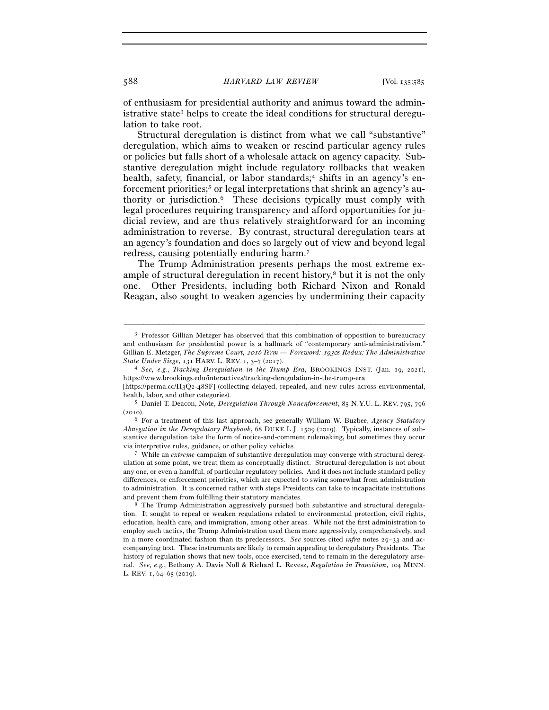of enthusiasm for presidential authority and animus toward the administrative state<sup>3</sup> helps to create the ideal conditions for structural deregulation to take root.

Structural deregulation is distinct from what we call "substantive" deregulation, which aims to weaken or rescind particular agency rules or policies but falls short of a wholesale attack on agency capacity. Substantive deregulation might include regulatory rollbacks that weaken health, safety, financial, or labor standards;<sup>4</sup> shifts in an agency's enforcement priorities;<sup>5</sup> or legal interpretations that shrink an agency's authority or jurisdiction.6 These decisions typically must comply with legal procedures requiring transparency and afford opportunities for judicial review, and are thus relatively straightforward for an incoming administration to reverse. By contrast, structural deregulation tears at an agency's foundation and does so largely out of view and beyond legal redress, causing potentially enduring harm.7

The Trump Administration presents perhaps the most extreme example of structural deregulation in recent history,<sup>8</sup> but it is not the only one. Other Presidents, including both Richard Nixon and Ronald Reagan, also sought to weaken agencies by undermining their capacity

<sup>3</sup> Professor Gillian Metzger has observed that this combination of opposition to bureaucracy and enthusiasm for presidential power is a hallmark of "contemporary anti-administrativism." Gillian E. Metzger, *The Supreme Court, 2016* Term — Foreword: 1930*s Redux: The Administrative State Under Siege*, 131 HARV. L. REV. 1, 3-7 (2017).

<sup>&</sup>lt;sup>4</sup> *See, e.g., Tracking Deregulation in the Trump Era, BROOKINGS INST. (Jan. 19, 2021),* https://www.brookings.edu/interactives/tracking-deregulation-in-the-trump-era

<sup>[</sup>https://perma.cc/H3Q2-48SF] (collecting delayed, repealed, and new rules across environmental, health, labor, and other categories). 5 Daniel T. Deacon, Note, *Deregulation Through Nonenforcement*, 85 N.Y.U. L. REV. <sup>795</sup>, <sup>796</sup>

<sup>(</sup>2010).

<sup>6</sup> For a treatment of this last approach, see generally William W. Buzbee, *Agency Statutory Abnegation in the Deregulatory Playbook*, 68 DUKE L.J. 1509 (2019). Typically, instances of substantive deregulation take the form of notice-and-comment rulemaking, but sometimes they occur via interpretive rules, guidance, or other policy vehicles. 7 While an *extreme* campaign of substantive deregulation may converge with structural dereg-

ulation at some point, we treat them as conceptually distinct. Structural deregulation is not about any one, or even a handful, of particular regulatory policies. And it does not include standard policy differences, or enforcement priorities, which are expected to swing somewhat from administration to administration. It is concerned rather with steps Presidents can take to incapacitate institutions and prevent them from fulfilling their statutory mandates.<br><sup>8</sup> The Trump Administration aggressively pursued both substantive and structural deregula-

tion. It sought to repeal or weaken regulations related to environmental protection, civil rights, education, health care, and immigration, among other areas. While not the first administration to employ such tactics, the Trump Administration used them more aggressively, comprehensively, and in a more coordinated fashion than its predecessors. *See* sources cited *infra* notes 29–33 and accompanying text. These instruments are likely to remain appealing to deregulatory Presidents. The history of regulation shows that new tools, once exercised, tend to remain in the deregulatory arsenal. *See, e.g.*, Bethany A. Davis Noll & Richard L. Revesz, *Regulation in Transition*, 104 MINN. L. REV. 1, 64–65 (2019).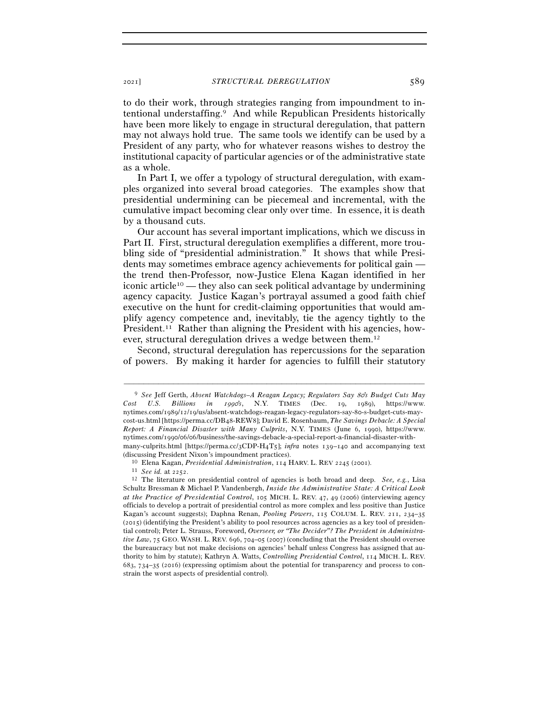to do their work, through strategies ranging from impoundment to intentional understaffing.9 And while Republican Presidents historically have been more likely to engage in structural deregulation, that pattern may not always hold true. The same tools we identify can be used by a President of any party, who for whatever reasons wishes to destroy the institutional capacity of particular agencies or of the administrative state as a whole.

In Part I, we offer a typology of structural deregulation, with examples organized into several broad categories. The examples show that presidential undermining can be piecemeal and incremental, with the cumulative impact becoming clear only over time. In essence, it is death by a thousand cuts.

Our account has several important implications, which we discuss in Part II. First, structural deregulation exemplifies a different, more troubling side of "presidential administration." It shows that while Presidents may sometimes embrace agency achievements for political gain the trend then-Professor, now-Justice Elena Kagan identified in her iconic article10 — they also can seek political advantage by undermining agency capacity. Justice Kagan's portrayal assumed a good faith chief executive on the hunt for credit-claiming opportunities that would amplify agency competence and, inevitably, tie the agency tightly to the President.11 Rather than aligning the President with his agencies, however, structural deregulation drives a wedge between them.12

Second, structural deregulation has repercussions for the separation of powers. By making it harder for agencies to fulfill their statutory

<sup>9</sup> *See* Jeff Gerth, *Absent Watchdogs–A Reagan Legacy; Regulators Say* 80*'s Budget Cuts May Cost U.S. Billions in* 1990*'s*, N.Y. TIMES (Dec. 19, 1989), https://www. nytimes.com/1989/12/19/us/absent-watchdogs-reagan-legacy-regulators-say-80-s-budget-cuts-maycost-us.html [https://perma.cc/DB48-REW8]; David E. Rosenbaum, *The Savings Debacle: A Special Report: A Financial Disaster with Many Culprits*, N.Y. TIMES (June 6, 1990), https://www. nytimes.com/1990/06/06/business/the-savings-debacle-a-special-report-a-financial-disaster-withmany-culprits.html [https://perma.cc/3CDP-H4T5]; *infra* notes 139–140 and accompanying text

<sup>(</sup>discussing President Nixon's impoundment practices).<br>
<sup>10</sup> Elena Kagan, *Presidential Administration*, 114 HARV. L. REV 2245 (2001).<br>
<sup>11</sup> See id. at 2252.<br>
<sup>12</sup> The literature on presidential control of agencies is both Schultz Bressman & Michael P. Vandenbergh, *Inside the Administrative State: A Critical Look at the Practice of Presidential Control*, 105 MICH. L. REV. 47, 49 (2006) (interviewing agency officials to develop a portrait of presidential control as more complex and less positive than Justice Kagan's account suggests); Daphna Renan, *Pooling Powers*, 115 COLUM. L. REV. 211, 234–35 (2015) (identifying the President's ability to pool resources across agencies as a key tool of presidential control); Peter L. Strauss, Foreword, *Overseer, or "The Decider"? The President in Administrative Law*, 75 GEO. WASH. L. REV. 696, 704–05 (2007) (concluding that the President should oversee the bureaucracy but not make decisions on agencies' behalf unless Congress has assigned that authority to him by statute); Kathryn A. Watts, *Controlling Presidential Control*, 114 MICH. L. REV. 683, 734–35 (2016) (expressing optimism about the potential for transparency and process to constrain the worst aspects of presidential control).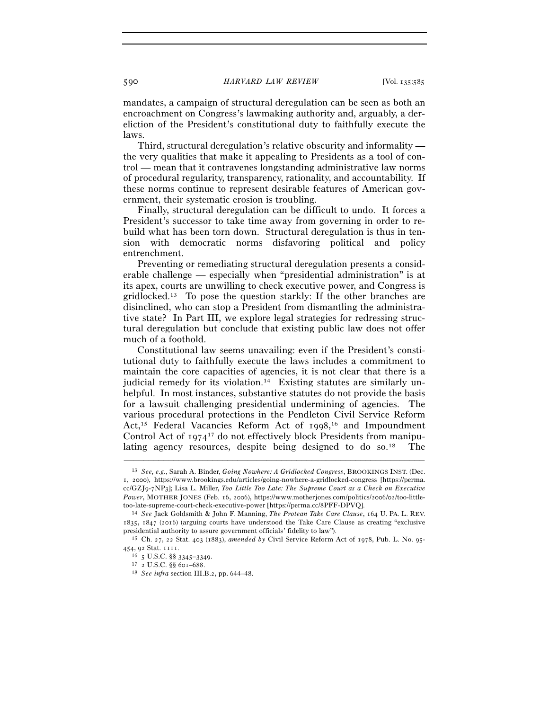mandates, a campaign of structural deregulation can be seen as both an encroachment on Congress's lawmaking authority and, arguably, a dereliction of the President's constitutional duty to faithfully execute the laws.

Third, structural deregulation's relative obscurity and informality the very qualities that make it appealing to Presidents as a tool of control — mean that it contravenes longstanding administrative law norms of procedural regularity, transparency, rationality, and accountability. If these norms continue to represent desirable features of American government, their systematic erosion is troubling.

Finally, structural deregulation can be difficult to undo. It forces a President's successor to take time away from governing in order to rebuild what has been torn down. Structural deregulation is thus in tension with democratic norms disfavoring political and policy entrenchment.

Preventing or remediating structural deregulation presents a considerable challenge — especially when "presidential administration" is at its apex, courts are unwilling to check executive power, and Congress is gridlocked.13 To pose the question starkly: If the other branches are disinclined, who can stop a President from dismantling the administrative state? In Part III, we explore legal strategies for redressing structural deregulation but conclude that existing public law does not offer much of a foothold.

Constitutional law seems unavailing: even if the President's constitutional duty to faithfully execute the laws includes a commitment to maintain the core capacities of agencies, it is not clear that there is a judicial remedy for its violation.14 Existing statutes are similarly unhelpful. In most instances, substantive statutes do not provide the basis for a lawsuit challenging presidential undermining of agencies. The various procedural protections in the Pendleton Civil Service Reform Act,15 Federal Vacancies Reform Act of 1998, 16 and Impoundment Control Act of 197417 do not effectively block Presidents from manipulating agency resources, despite being designed to do so.<sup>18</sup>

<sup>13</sup> *See, e.g.*, Sarah A. Binder, *Going Nowhere: A Gridlocked Congress*, BROOKINGS INST. (Dec. 1, 2000), https://www.brookings.edu/articles/going-nowhere-a-gridlocked-congress [https://perma. cc/GZJ9-7NP3]; Lisa L. Miller, *Too Little Too Late: The Supreme Court as a Check on Executive Power*, MOTHER JONES (Feb. 16, 2006), https://www.motherjones.com/politics/2006/02/too-little-

too-late-supreme-court-check-executive-power [https://perma.cc/<sup>8</sup>PFF-DPVQ]. 14 *See* Jack Goldsmith & John F. Manning, *The Protean Take Care Clause*, 164 U. PA. L. REV. 1835, 1847 (2016) (arguing courts have understood the Take Care Clause as creating "exclusive presidential authority to assure government officials' fidelity to law"). 15 Ch. <sup>27</sup>, 22 Stat. 403 (1883), *amended by* Civil Service Reform Act of 1978, Pub. L. No. 95-

<sup>454</sup>, 92 Stat. <sup>1111</sup>. 16 <sup>5</sup> U.S.C. §§ 3345–<sup>3349</sup>. 17 <sup>2</sup> U.S.C. §§ 601–<sup>688</sup>. 18 *See infra* section III.B.2, pp. 644–48.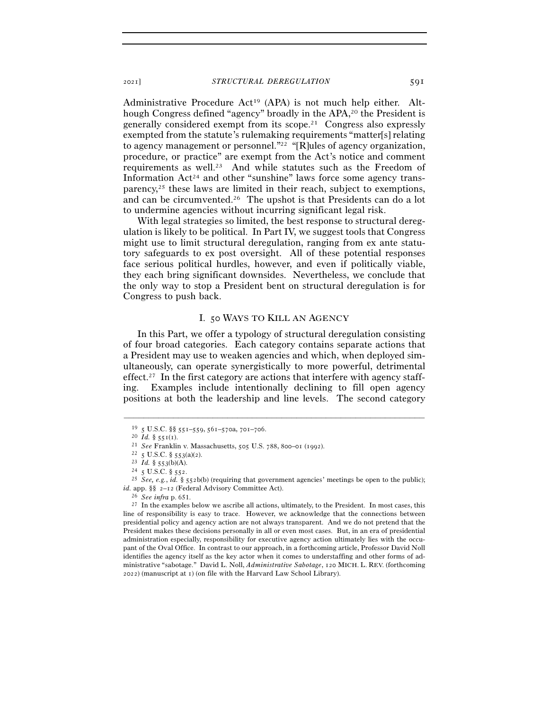Administrative Procedure Act19 (APA) is not much help either. Although Congress defined "agency" broadly in the APA,<sup>20</sup> the President is generally considered exempt from its scope.21 Congress also expressly exempted from the statute's rulemaking requirements "matter[s] relating to agency management or personnel."22 "[R]ules of agency organization, procedure, or practice" are exempt from the Act's notice and comment requirements as well.23 And while statutes such as the Freedom of Information  $Act^{24}$  and other "sunshine" laws force some agency transparency,25 these laws are limited in their reach, subject to exemptions, and can be circumvented.26 The upshot is that Presidents can do a lot to undermine agencies without incurring significant legal risk.

With legal strategies so limited, the best response to structural deregulation is likely to be political. In Part IV, we suggest tools that Congress might use to limit structural deregulation, ranging from ex ante statutory safeguards to ex post oversight. All of these potential responses face serious political hurdles, however, and even if politically viable, they each bring significant downsides. Nevertheless, we conclude that the only way to stop a President bent on structural deregulation is for Congress to push back.

#### I. 50 WAYS TO KILL AN AGENCY

In this Part, we offer a typology of structural deregulation consisting of four broad categories. Each category contains separate actions that a President may use to weaken agencies and which, when deployed simultaneously, can operate synergistically to more powerful, detrimental effect.<sup>27</sup> In the first category are actions that interfere with agency staffing. Examples include intentionally declining to fill open agency positions at both the leadership and line levels. The second category

<sup>&</sup>lt;sup>19</sup> 5 U.S.C. §§ 551–559, 561–570a, 701–706.<br>
<sup>20</sup> *Id.* § 551(1).<br>
<sup>21</sup> *See* Franklin v. Massachusetts, 505 U.S. 788, 800–01 (1992).<br>
<sup>22</sup> 5 U.S.C. § 553(a)(2).<br>
<sup>23</sup> *Id.* § 553(b)(A).<br>
<sup>24</sup> 5 U.S.C. § 552.<br>
<sup>25</sup> *See id.* app. §§ 2–<sup>12</sup> (Federal Advisory Committee Act). 26 *See infra* p. 651. 27 In the examples below we ascribe all actions, ultimately, to the President. In most cases, this

line of responsibility is easy to trace. However, we acknowledge that the connections between presidential policy and agency action are not always transparent. And we do not pretend that the President makes these decisions personally in all or even most cases. But, in an era of presidential administration especially, responsibility for executive agency action ultimately lies with the occupant of the Oval Office. In contrast to our approach, in a forthcoming article, Professor David Noll identifies the agency itself as the key actor when it comes to understaffing and other forms of administrative "sabotage." David L. Noll, *Administrative Sabotage*, 120 MICH. L. REV. (forthcoming 2022) (manuscript at 1) (on file with the Harvard Law School Library).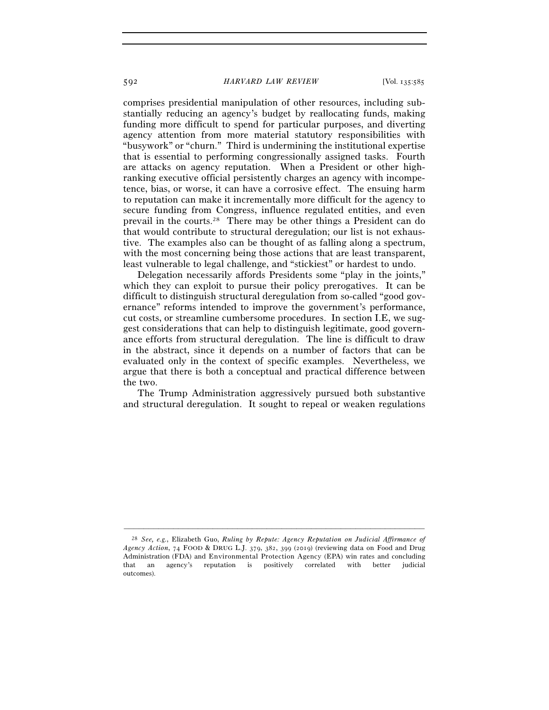#### 592 *HARVARD LAW REVIEW* [Vol. 135:<sup>585</sup>

comprises presidential manipulation of other resources, including substantially reducing an agency's budget by reallocating funds, making funding more difficult to spend for particular purposes, and diverting agency attention from more material statutory responsibilities with "busywork" or "churn." Third is undermining the institutional expertise that is essential to performing congressionally assigned tasks. Fourth are attacks on agency reputation. When a President or other highranking executive official persistently charges an agency with incompetence, bias, or worse, it can have a corrosive effect. The ensuing harm to reputation can make it incrementally more difficult for the agency to secure funding from Congress, influence regulated entities, and even prevail in the courts.28 There may be other things a President can do that would contribute to structural deregulation; our list is not exhaustive. The examples also can be thought of as falling along a spectrum, with the most concerning being those actions that are least transparent, least vulnerable to legal challenge, and "stickiest" or hardest to undo.

Delegation necessarily affords Presidents some "play in the joints," which they can exploit to pursue their policy prerogatives. It can be difficult to distinguish structural deregulation from so-called "good governance" reforms intended to improve the government's performance, cut costs, or streamline cumbersome procedures. In section I.E, we suggest considerations that can help to distinguish legitimate, good governance efforts from structural deregulation. The line is difficult to draw in the abstract, since it depends on a number of factors that can be evaluated only in the context of specific examples. Nevertheless, we argue that there is both a conceptual and practical difference between the two.

The Trump Administration aggressively pursued both substantive and structural deregulation. It sought to repeal or weaken regulations

<sup>28</sup> *See, e.g.*, Elizabeth Guo, *Ruling by Repute: Agency Reputation on Judicial Affirmance of Agency Action*, 74 FOOD & DRUG L.J. 379, 382, 399 (2019) (reviewing data on Food and Drug Administration (FDA) and Environmental Protection Agency (EPA) win rates and concluding that an agency's reputation is positively correlated with better judicial outcomes).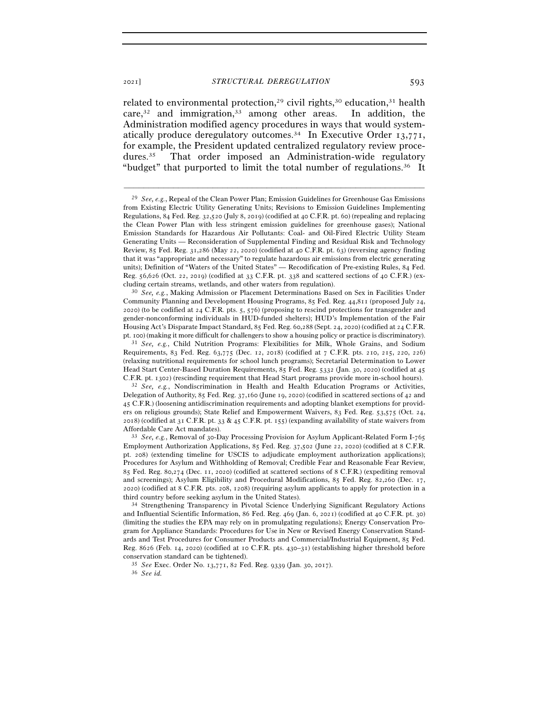related to environmental protection,<sup>29</sup> civil rights,<sup>30</sup> education,<sup>31</sup> health care, $32$  and immigration, $33$  among other areas. In addition, the Administration modified agency procedures in ways that would systematically produce deregulatory outcomes.<sup>34</sup> In Executive Order  $13,771$ , for example, the President updated centralized regulatory review procedures.35 That order imposed an Administration-wide regulatory "budget" that purported to limit the total number of regulations.36 It

–––––––––––––––––––––––––––––––––––––––––––––––––––––––––––––

Community Planning and Development Housing Programs, 85 Fed. Reg. 44,811 (proposed July 24, 2020) (to be codified at 24 C.F.R. pts. 5, 576) (proposing to rescind protections for transgender and gender-nonconforming individuals in HUD-funded shelters); HUD's Implementation of the Fair Housing Act's Disparate Impact Standard, 85 Fed. Reg. 60,288 (Sept. 24, 2020) (codified at 24 C.F.R. pt. 100) (making it more difficult for challengers to show a housing policy or practice is discriminatory). 31 *See, e.g.*, Child Nutrition Programs: Flexibilities for Milk, Whole Grains, and Sodium

<sup>29</sup> *See, e.g.*, Repeal of the Clean Power Plan; Emission Guidelines for Greenhouse Gas Emissions from Existing Electric Utility Generating Units; Revisions to Emission Guidelines Implementing Regulations, 84 Fed. Reg. 32,520 (July 8, 2019) (codified at 40 C.F.R. pt. 60) (repealing and replacing the Clean Power Plan with less stringent emission guidelines for greenhouse gases); National Emission Standards for Hazardous Air Pollutants: Coal- and Oil-Fired Electric Utility Steam Generating Units — Reconsideration of Supplemental Finding and Residual Risk and Technology Review, 85 Fed. Reg. 31,286 (May 22, 2020) (codified at 40 C.F.R. pt. 63) (reversing agency finding that it was "appropriate and necessary" to regulate hazardous air emissions from electric generating units); Definition of "Waters of the United States" — Recodification of Pre-existing Rules, 84 Fed. Reg. 56,626 (Oct. 22, 2019) (codified at 33 C.F.R. pt. 338 and scattered sections of 40 C.F.R.) (excluding certain streams, wetlands, and other waters from regulation). 30 *See, e.g.*, Making Admission or Placement Determinations Based on Sex in Facilities Under

Requirements, 83 Fed. Reg. 63,775 (Dec. 12, 2018) (codified at 7 C.F.R. pts. 210, 215, 220, 226) (relaxing nutritional requirements for school lunch programs); Secretarial Determination to Lower Head Start Center-Based Duration Requirements, 85 Fed. Reg. 5332 (Jan. 30, 2020) (codified at 45

C.F.R. pt. <sup>1302</sup>) (rescinding requirement that Head Start programs provide more in-school hours). 32 *See, e.g.*, Nondiscrimination in Health and Health Education Programs or Activities, Delegation of Authority, 85 Fed. Reg. 37,160 (June 19, 2020) (codified in scattered sections of 42 and 45 C.F.R.) (loosening antidiscrimination requirements and adopting blanket exemptions for providers on religious grounds); State Relief and Empowerment Waivers, 83 Fed. Reg. 53,575 (Oct. 24, 2018) (codified at 31 C.F.R. pt. 33 & 45 C.F.R. pt. 155) (expanding availability of state waivers from Affordable Care Act mandates). 33 *See, e.g.*, Removal of 30-Day Processing Provision for Asylum Applicant-Related Form I-<sup>765</sup>

Employment Authorization Applications, 85 Fed. Reg. 37,502 (June 22, 2020) (codified at 8 C.F.R. pt. 208) (extending timeline for USCIS to adjudicate employment authorization applications); Procedures for Asylum and Withholding of Removal; Credible Fear and Reasonable Fear Review, 85 Fed. Reg. 80,274 (Dec. 11, 2020) (codified at scattered sections of 8 C.F.R.) (expediting removal and screenings); Asylum Eligibility and Procedural Modifications, 85 Fed. Reg. 82,260 (Dec. 17, 2020) (codified at 8 C.F.R. pts. 208, 1208) (requiring asylum applicants to apply for protection in a third country before seeking asylum in the United States). 34 Strengthening Transparency in Pivotal Science Underlying Significant Regulatory Actions

and Influential Scientific Information, 86 Fed. Reg. 469 (Jan. 6, 2021) (codified at 40 C.F.R. pt. 30) (limiting the studies the EPA may rely on in promulgating regulations); Energy Conservation Program for Appliance Standards: Procedures for Use in New or Revised Energy Conservation Standards and Test Procedures for Consumer Products and Commercial/Industrial Equipment, 85 Fed. Reg. 8626 (Feb. 14, 2020) (codified at 10 C.F.R. pts. 430–31) (establishing higher threshold before conservation standard can be tightened). 35 *See* Exec. Order No. 13,771, 82 Fed. Reg. 9339 (Jan. 30, <sup>2017</sup>). 36 *See id.*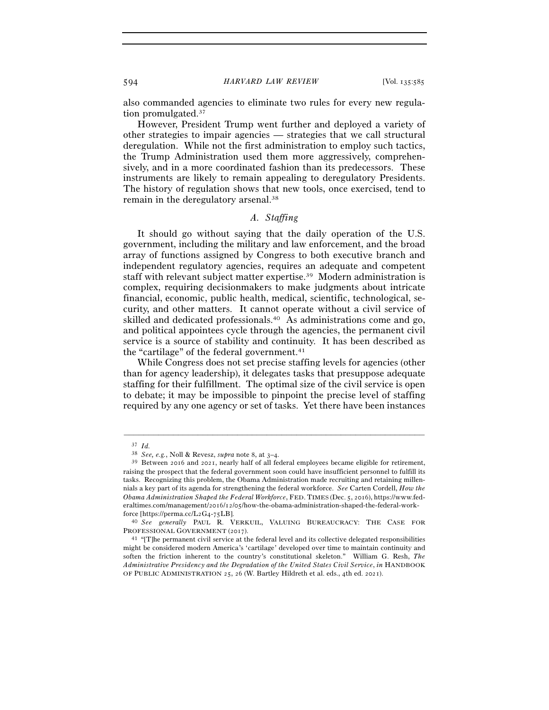#### 594 *HARVARD LAW REVIEW* [Vol. 135:<sup>585</sup>

also commanded agencies to eliminate two rules for every new regulation promulgated.37

However, President Trump went further and deployed a variety of other strategies to impair agencies — strategies that we call structural deregulation. While not the first administration to employ such tactics, the Trump Administration used them more aggressively, comprehensively, and in a more coordinated fashion than its predecessors. These instruments are likely to remain appealing to deregulatory Presidents. The history of regulation shows that new tools, once exercised, tend to remain in the deregulatory arsenal.38

## *A. Staffing*

It should go without saying that the daily operation of the U.S. government, including the military and law enforcement, and the broad array of functions assigned by Congress to both executive branch and independent regulatory agencies, requires an adequate and competent staff with relevant subject matter expertise.39 Modern administration is complex, requiring decisionmakers to make judgments about intricate financial, economic, public health, medical, scientific, technological, security, and other matters. It cannot operate without a civil service of skilled and dedicated professionals.40 As administrations come and go, and political appointees cycle through the agencies, the permanent civil service is a source of stability and continuity. It has been described as the "cartilage" of the federal government.41

While Congress does not set precise staffing levels for agencies (other than for agency leadership), it delegates tasks that presuppose adequate staffing for their fulfillment. The optimal size of the civil service is open to debate; it may be impossible to pinpoint the precise level of staffing required by any one agency or set of tasks. Yet there have been instances

<sup>37</sup> *Id.*

<sup>38</sup> *See, e.g.*, Noll & Revesz, *supra* note 8, at 3–<sup>4</sup>. 39 Between 2016 and 2021, nearly half of all federal employees became eligible for retirement, raising the prospect that the federal government soon could have insufficient personnel to fulfill its tasks. Recognizing this problem, the Obama Administration made recruiting and retaining millennials a key part of its agenda for strengthening the federal workforce. *See* Carten Cordell, *How the Obama Administration Shaped the Federal Workforce*, FED. TIMES (Dec. 5, 2016), https://www.federaltimes.com/management/2016/12/05/how-the-obama-administration-shaped-the-federal-workforce [https://perma.cc/L2G4-75LB].

<sup>40</sup> *See generally* PAUL R. VERKUIL, VALUING BUREAUCRACY: THE CASE FOR

 $P<sup>41</sup>$  "[T]he permanent civil service at the federal level and its collective delegated responsibilities might be considered modern America's 'cartilage' developed over time to maintain continuity and soften the friction inherent to the country's constitutional skeleton." William G. Resh, *The Administrative Presidency and the Degradation of the United States Civil Service*, *in* HANDBOOK OF PUBLIC ADMINISTRATION 25, 26 (W. Bartley Hildreth et al. eds., 4th ed. 2021).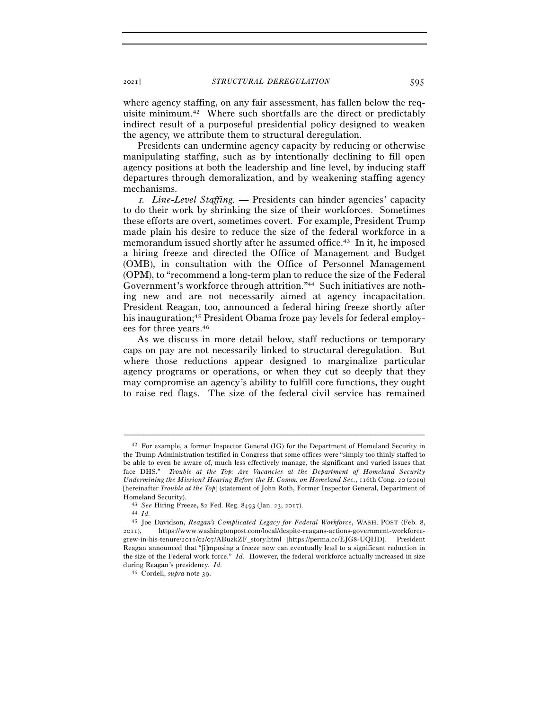<sup>2021</sup>] *STRUCTURAL DEREGULATION* 595

where agency staffing, on any fair assessment, has fallen below the requisite minimum.42 Where such shortfalls are the direct or predictably indirect result of a purposeful presidential policy designed to weaken the agency, we attribute them to structural deregulation.

Presidents can undermine agency capacity by reducing or otherwise manipulating staffing, such as by intentionally declining to fill open agency positions at both the leadership and line level, by inducing staff departures through demoralization, and by weakening staffing agency mechanisms.

<sup>1</sup>*. Line-Level Staffing.* — Presidents can hinder agencies' capacity to do their work by shrinking the size of their workforces. Sometimes these efforts are overt, sometimes covert. For example, President Trump made plain his desire to reduce the size of the federal workforce in a memorandum issued shortly after he assumed office.<sup>43</sup> In it, he imposed a hiring freeze and directed the Office of Management and Budget (OMB), in consultation with the Office of Personnel Management (OPM), to "recommend a long-term plan to reduce the size of the Federal Government's workforce through attrition."44 Such initiatives are nothing new and are not necessarily aimed at agency incapacitation. President Reagan, too, announced a federal hiring freeze shortly after his inauguration;<sup>45</sup> President Obama froze pay levels for federal employees for three years.46

As we discuss in more detail below, staff reductions or temporary caps on pay are not necessarily linked to structural deregulation. But where those reductions appear designed to marginalize particular agency programs or operations, or when they cut so deeply that they may compromise an agency's ability to fulfill core functions, they ought to raise red flags. The size of the federal civil service has remained

<sup>42</sup> For example, a former Inspector General (IG) for the Department of Homeland Security in the Trump Administration testified in Congress that some offices were "simply too thinly staffed to be able to even be aware of, much less effectively manage, the significant and varied issues that face DHS." *Trouble at the Top: Are Vacancies at the Department of Homeland Security Undermining the Mission? Hearing Before the H. Comm. on Homeland Sec.*, 116th Cong. 20 (2019) [hereinafter *Trouble at the Top*] (statement of John Roth, Former Inspector General, Department of Homeland Security). 43 *See* Hiring Freeze, 82 Fed. Reg. 8493 (Jan. 23, <sup>2017</sup>). 44 *Id.*

<sup>45</sup> Joe Davidson, *Reagan's Complicated Legacy for Federal Workforce*, WASH. POST (Feb. 8, 2011), https://www.washingtonpost.com/local/despite-reagans-actions-government-workforcegrew-in-his-tenure/2011/02/07/ABuzkZF\_story.html [https://perma.cc/EJG8-UQHD]. President Reagan announced that "[i]mposing a freeze now can eventually lead to a significant reduction in the size of the Federal work force." *Id.* However, the federal workforce actually increased in size during Reagan's presidency. *Id.*

<sup>46</sup> Cordell, *supra* note 39.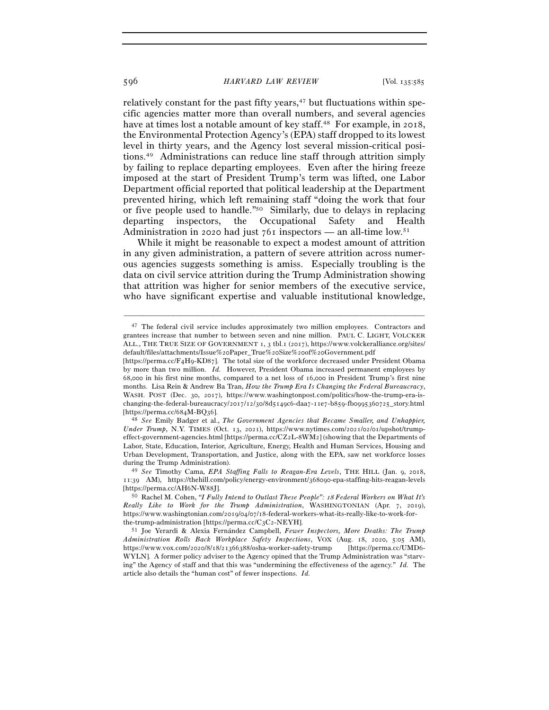#### 596 *HARVARD LAW REVIEW* [Vol. 135:<sup>585</sup>

relatively constant for the past fifty years, $47$  but fluctuations within specific agencies matter more than overall numbers, and several agencies have at times lost a notable amount of key staff.<sup>48</sup> For example, in 2018, the Environmental Protection Agency's (EPA) staff dropped to its lowest level in thirty years, and the Agency lost several mission-critical positions.49 Administrations can reduce line staff through attrition simply by failing to replace departing employees. Even after the hiring freeze imposed at the start of President Trump's term was lifted, one Labor Department official reported that political leadership at the Department prevented hiring, which left remaining staff "doing the work that four or five people used to handle."50 Similarly, due to delays in replacing departing inspectors, the Occupational Safety and Health Administration in 2020 had just  $761$  inspectors — an all-time low.<sup>51</sup>

While it might be reasonable to expect a modest amount of attrition in any given administration, a pattern of severe attrition across numerous agencies suggests something is amiss. Especially troubling is the data on civil service attrition during the Trump Administration showing that attrition was higher for senior members of the executive service, who have significant expertise and valuable institutional knowledge,

<sup>&</sup>lt;sup>47</sup> The federal civil service includes approximately two million employees. Contractors and grantees increase that number to between seven and nine million. PAUL C. LIGHT, VOLCKER ALL., THE TRUE SIZE OF GOVERNMENT 1, 3 tbl.1 (2017), https://www.volckeralliance.org/sites/ default/files/attachments/Issue%20Paper\_True%20Size%20of%20Government.pdf

<sup>[</sup>https://perma.cc/F4H9-KD87]. The total size of the workforce decreased under President Obama by more than two million. *Id.* However, President Obama increased permanent employees by 68,000 in his first nine months, compared to a net loss of 16,000 in President Trump's first nine months. Lisa Rein & Andrew Ba Tran, *How the Trump Era Is Changing the Federal Bureaucracy*, WASH. POST (Dec. 30, 2017), https://www.washingtonpost.com/politics/how-the-trump-era-ischanging-the-federal-bureaucracy/2017/12/30/8d5149c6-daa7-11e7-b859-fb0995360725\_story.html [https://perma.cc/684M-BQ<sup>36</sup>]. 48 *See* Emily Badger et al., *The Government Agencies that Became Smaller, and Unhappier,* 

*Under Trump*, N.Y. TIMES (Oct. 13, 2021), https://www.nytimes.com/2021/02/01/upshot/trumpeffect-government-agencies.html [https://perma.cc/CZ2L-8WM2] (showing that the Departments of Labor, State, Education, Interior, Agriculture, Energy, Health and Human Services, Housing and Urban Development, Transportation, and Justice, along with the EPA, saw net workforce losses during the Trump Administration). 49 *See* Timothy Cama, *EPA Staffing Falls to Reagan-Era Levels*, THE HILL (Jan. 9, 2018,

<sup>11</sup>:39 AM), https://thehill.com/policy/energy-environment/368090-epa-staffing-hits-reagan-levels

<sup>[</sup>https://perma.cc/AH6N-W<sup>88</sup>J]. 50 Rachel M. Cohen, *"I Fully Intend to Outlast These People":* 18 *Federal Workers on What It's Really Like to Work for the Trump Administration*, WASHINGTONIAN (Apr. 7, 2019), https://www.washingtonian.com/2019/04/07/18-federal-workers-what-its-really-like-to-work-forthe-trump-administration [https://perma.cc/C3C<sup>2</sup>-NEYH]. 51 Joe Yerardi & Alexia Fernández Campbell, *Fewer Inspectors, More Deaths: The Trump* 

*Administration Rolls Back Workplace Safety Inspections*, VOX (Aug. 18, 2020, 5:05 AM), https://www.vox.com/2020/8/18/21366388/osha-worker-safety-trump [https://perma.cc/UMD6- WYLN]. A former policy adviser to the Agency opined that the Trump Administration was "starving" the Agency of staff and that this was "undermining the effectiveness of the agency." *Id.* The article also details the "human cost" of fewer inspections. *Id.*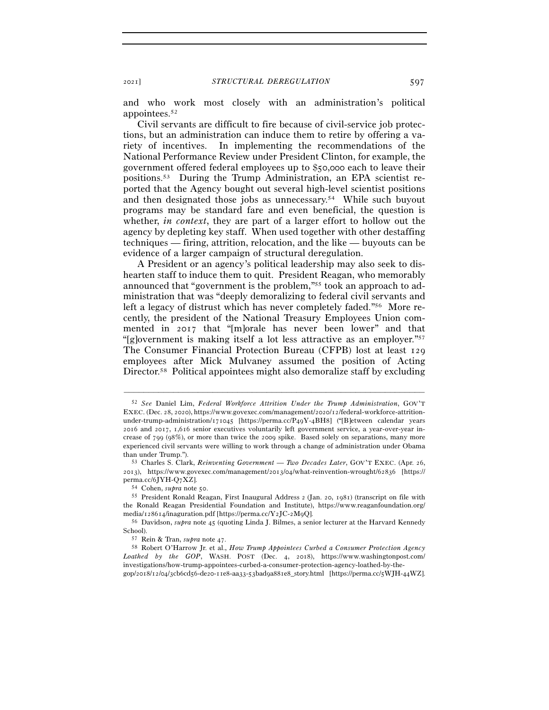and who work most closely with an administration's political appointees.52

Civil servants are difficult to fire because of civil-service job protections, but an administration can induce them to retire by offering a variety of incentives. In implementing the recommendations of the National Performance Review under President Clinton, for example, the government offered federal employees up to \$50,000 each to leave their positions.53 During the Trump Administration, an EPA scientist reported that the Agency bought out several high-level scientist positions and then designated those jobs as unnecessary.54 While such buyout programs may be standard fare and even beneficial, the question is whether, *in context*, they are part of a larger effort to hollow out the agency by depleting key staff. When used together with other destaffing techniques — firing, attrition, relocation, and the like — buyouts can be evidence of a larger campaign of structural deregulation.

A President or an agency's political leadership may also seek to dishearten staff to induce them to quit. President Reagan, who memorably announced that "government is the problem,"55 took an approach to administration that was "deeply demoralizing to federal civil servants and left a legacy of distrust which has never completely faded."56 More recently, the president of the National Treasury Employees Union commented in 2017 that "[m]orale has never been lower" and that "[g]overnment is making itself a lot less attractive as an employer."57 The Consumer Financial Protection Bureau (CFPB) lost at least 129 employees after Mick Mulvaney assumed the position of Acting Director.58 Political appointees might also demoralize staff by excluding

<sup>52</sup> *See* Daniel Lim, *Federal Workforce Attrition Under the Trump Administration*, GOV'T EXEC. (Dec. 28, 2020), https://www.govexec.com/management/2020/12/federal-workforce-attritionunder-trump-administration/171045 [https://perma.cc/P49Y-4BH8] ("[B]etween calendar years 2016 and 2017, 1,616 senior executives voluntarily left government service, a year-over-year increase of 799 (98%), or more than twice the 2009 spike. Based solely on separations, many more experienced civil servants were willing to work through a change of administration under Obama than under Trump.").

<sup>53</sup> Charles S. Clark, *Reinventing Government — Two Decades Later*, GOV'T EXEC. (Apr. 26, 2013), https://www.govexec.com/management/2013/04/what-reinvention-wrought/62836 [https:// perma.cc/6JYH-Q<sup>7</sup>XZ]. 54 Cohen, *supra* note <sup>50</sup>. 55 President Ronald Reagan, First Inaugural Address <sup>2</sup> (Jan. 20, 1981) (transcript on file with

the Ronald Reagan Presidential Foundation and Institute), https://www.reaganfoundation.org/ media/128614/inaguration.pdf [https://perma.cc/Y2JC-2M<sup>9</sup>Q]. 56 Davidson, *supra* note 45 (quoting Linda J. Bilmes, a senior lecturer at the Harvard Kennedy

School). 57 Rein & Tran, *supra* note <sup>47</sup>. 58 Robert O'Harrow Jr. et al., *How Trump Appointees Curbed a Consumer Protection Agency* 

*Loathed by the GOP*, WASH. POST (Dec. 4, 2018), https://www.washingtonpost.com/ investigations/how-trump-appointees-curbed-a-consumer-protection-agency-loathed-by-thegop/2018/12/04/3cb6cd56-de20-11e8-aa33-53bad9a881e8\_story.html [https://perma.cc/5WJH-44WZ].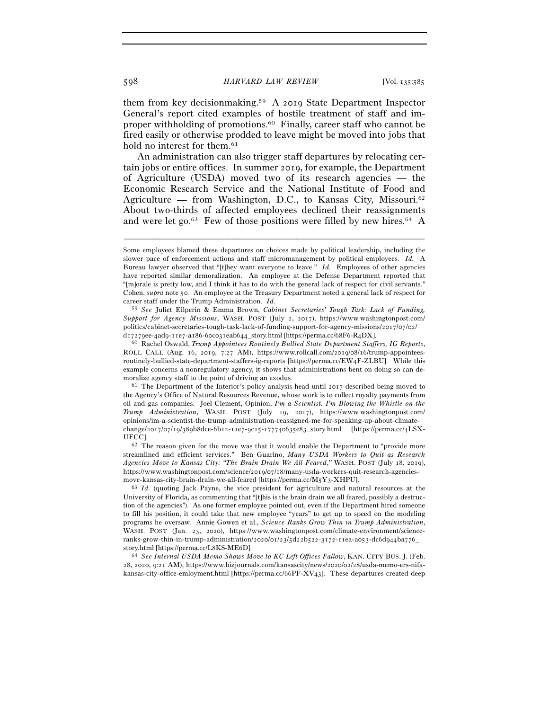them from key decisionmaking.59 A 2019 State Department Inspector General's report cited examples of hostile treatment of staff and improper withholding of promotions.60 Finally, career staff who cannot be fired easily or otherwise prodded to leave might be moved into jobs that hold no interest for them.<sup>61</sup>

An administration can also trigger staff departures by relocating certain jobs or entire offices. In summer 2019, for example, the Department of Agriculture (USDA) moved two of its research agencies — the Economic Research Service and the National Institute of Food and Agriculture — from Washington, D.C., to Kansas City, Missouri.<sup>62</sup> About two-thirds of affected employees declined their reassignments and were let go.<sup>63</sup> Few of those positions were filled by new hires.<sup>64</sup> A

–––––––––––––––––––––––––––––––––––––––––––––––––––––––––––––

59 *See* Juliet Eilperin & Emma Brown, *Cabinet Secretaries' Tough Task: Lack of Funding, Support for Agency Missions*, WASH. POST (July 2, 2017), https://www.washingtonpost.com/ politics/cabinet-secretaries-tough-task-lack-of-funding-support-for-agency-missions/2017/07/02/ <sup>d</sup>17279ee-4ad9-11e7-a186-60c031eab644\_story.html [https://perma.cc/68F6-R<sup>4</sup>DX]. 60 Rachel Oswald, *Trump Appointees Routinely Bullied State Department Staffers, IG Reports*,

ROLL CALL (Aug. 16, 2019, 7:27 AM), https://www.rollcall.com/2019/08/16/trump-appointeesroutinely-bullied-state-department-staffers-ig-reports [https://perma.cc/EW4F-ZLBU]. While this example concerns a nonregulatory agency, it shows that administrations bent on doing so can demoralize agency staff to the point of driving an exodus.<br><sup>61</sup> The Department of the Interior's policy analysis head until 2017 described being moved to

the Agency's Office of Natural Resources Revenue, whose work is to collect royalty payments from oil and gas companies. Joel Clement, Opinion, *I'm a Scientist. I'm Blowing the Whistle on the Trump Administration*, WASH. POST (July 19, 2017), https://www.washingtonpost.com/ opinions/im-a-scientist-the-trump-administration-reassigned-me-for-speaking-up-about-climatechange/2017/07/19/389b8dce-6b12-11e7-9c15-177740635e83\_story.html [https://perma.cc/4LSX-UFCC]. 62 The reason given for the move was that it would enable the Department to "provide more

streamlined and efficient services." Ben Guarino, *Many USDA Workers to Quit as Research Agencies Move to Kansas City: "The Brain Drain We All Feared*,*"* WASH. POST (July 18, 2019), https://www.washingtonpost.com/science/2019/07/18/many-usda-workers-quit-research-agenciesmove-kansas-city-brain-drain-we-all-feared [https://perma.cc/M5Y<sup>3</sup>-XHPU]. 63 *Id.* (quoting Jack Payne, the vice president for agriculture and natural resources at the

University of Florida, as commenting that "[t]his is the brain drain we all feared, possibly a destruction of the agencies"). As one former employee pointed out, even if the Department hired someone to fill his position, it could take that new employee "years" to get up to speed on the modeling programs he oversaw. Annie Gowen et al., *Science Ranks Grow Thin in Trump Administration*, WASH. POST (Jan. 23, 2020), https://www.washingtonpost.com/climate-environment/scienceranks-grow-thin-in-trump-administration/2020/01/23/5d22b522-3172-11ea-a053-dc6d944ba776\_ story.html [https://perma.cc/L8KS-ME<sup>6</sup>D]. 64 *See Internal USDA Memo Shows Move to KC Left Offices Fallow*, KAN. CITY BUS. J. (Feb.

28, 2020, 9:21 AM), https://www.bizjournals.com/kansascity/news/2020/02/28/usda-memo-ers-nifakansas-city-office-emloyment.html [https://perma.cc/66PF-XV43]. These departures created deep

Some employees blamed these departures on choices made by political leadership, including the slower pace of enforcement actions and staff micromanagement by political employees. *Id.* A Bureau lawyer observed that "[t]hey want everyone to leave." *Id.* Employees of other agencies have reported similar demoralization. An employee at the Defense Department reported that "[m]orale is pretty low, and I think it has to do with the general lack of respect for civil servants." Cohen, *supra* note 50. An employee at the Treasury Department noted a general lack of respect for career staff under the Trump Administration. *Id.*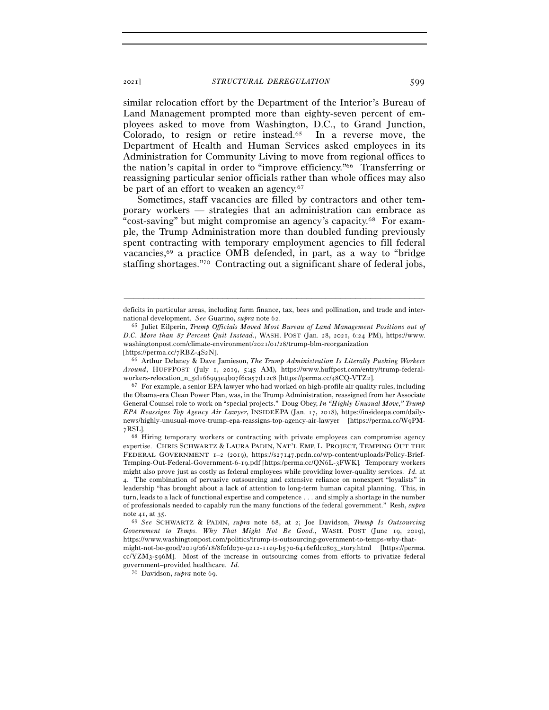similar relocation effort by the Department of the Interior's Bureau of Land Management prompted more than eighty-seven percent of employees asked to move from Washington, D.C., to Grand Junction, Colorado, to resign or retire instead.65 In a reverse move, the Department of Health and Human Services asked employees in its Administration for Community Living to move from regional offices to the nation's capital in order to "improve efficiency."66 Transferring or reassigning particular senior officials rather than whole offices may also be part of an effort to weaken an agency.<sup>67</sup>

Sometimes, staff vacancies are filled by contractors and other temporary workers — strategies that an administration can embrace as "cost-saving" but might compromise an agency's capacity.68 For example, the Trump Administration more than doubled funding previously spent contracting with temporary employment agencies to fill federal vacancies,69 a practice OMB defended, in part, as a way to "bridge staffing shortages."70 Contracting out a significant share of federal jobs,

<sup>–––––––––––––––––––––––––––––––––––––––––––––––––––––––––––––</sup> deficits in particular areas, including farm finance, tax, bees and pollination, and trade and international development. *See* Guarino, *supra* note 62.<br><sup>65</sup> Juliet Eilperin, *Trump Officials Moved Most Bureau of Land Management Positions out of* 

*D.C. More than* 87 *Percent Quit Instead.*, WASH. POST (Jan. 28, 2021, 6:24 PM), https://www. washingtonpost.com/climate-environment/2021/01/28/trump-blm-reorganization

<sup>[</sup>https://perma.cc/7RBZ-4S2N]. 66 Arthur Delaney & Dave Jamieson, *The Trump Administration Is Literally Pushing Workers Around*, HUFFPOST (July 1, 2019, 5:45 AM), https://www.huffpost.com/entry/trump-federal-

workers-relocation\_n\_5d166993e4b07f6ca57d12c8 [https://perma.cc/48CQ-VTZ<sup>2</sup>]. 67 For example, a senior EPA lawyer who had worked on high-profile air quality rules, including the Obama-era Clean Power Plan, was, in the Trump Administration, reassigned from her Associate General Counsel role to work on "special projects." Doug Obey, *In "Highly Unusual Move," Trump EPA Reassigns Top Agency Air Lawyer*, INSIDEEPA (Jan. 17, 2018), https://insideepa.com/dailynews/highly-unusual-move-trump-epa-reassigns-top-agency-air-lawyer [https://perma.cc/W9PM-7RSL].

<sup>68</sup> Hiring temporary workers or contracting with private employees can compromise agency expertise. CHRIS SCHWARTZ & LAURA PADIN, NAT'L EMP. L. PROJECT, TEMPING OUT THE FEDERAL GOVERNMENT 1–2 (2019), https://s27147.pcdn.co/wp-content/uploads/Policy-Brief-Temping-Out-Federal-Government-6-19.pdf [https:/perma.cc/QN6L-3FWK]. Temporary workers might also prove just as costly as federal employees while providing lower-quality services. *Id.* at 4. The combination of pervasive outsourcing and extensive reliance on nonexpert "loyalists" in leadership "has brought about a lack of attention to long-term human capital planning. This, in turn, leads to a lack of functional expertise and competence . . . and simply a shortage in the number of professionals needed to capably run the many functions of the federal government." Resh, *supra*  note 41, at 35.

<sup>69</sup> *See* SCHWARTZ & PADIN, *supra* note 68, at 2; Joe Davidson, *Trump Is Outsourcing Government to Temps. Why That Might Not Be Good.*, WASH. POST (June 19, 2019), https://www.washingtonpost.com/politics/trump-is-outsourcing-government-to-temps-why-thatmight-not-be-good/2019/06/18/8f0fd07e-9212-11e9-b570-6416efdc0803\_story.html [https://perma.

 $cc/YZM_3$ -596M]. Most of the increase in outsourcing comes from efforts to privatize federal government–provided healthcare. *Id.* 

<sup>70</sup> Davidson, *supra* note 69.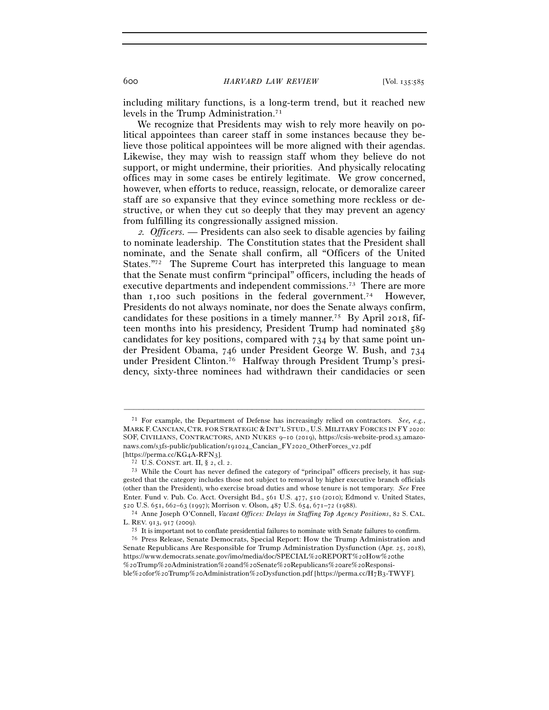including military functions, is a long-term trend, but it reached new levels in the Trump Administration.<sup>71</sup>

We recognize that Presidents may wish to rely more heavily on political appointees than career staff in some instances because they believe those political appointees will be more aligned with their agendas. Likewise, they may wish to reassign staff whom they believe do not support, or might undermine, their priorities. And physically relocating offices may in some cases be entirely legitimate. We grow concerned, however, when efforts to reduce, reassign, relocate, or demoralize career staff are so expansive that they evince something more reckless or destructive, or when they cut so deeply that they may prevent an agency from fulfilling its congressionally assigned mission.

<sup>2</sup>*. Officers. —* Presidents can also seek to disable agencies by failing to nominate leadership. The Constitution states that the President shall nominate, and the Senate shall confirm, all "Officers of the United States."72 The Supreme Court has interpreted this language to mean that the Senate must confirm "principal" officers, including the heads of executive departments and independent commissions.73 There are more than 1,100 such positions in the federal government.74 However, Presidents do not always nominate, nor does the Senate always confirm, candidates for these positions in a timely manner.<sup>75</sup> By April 2018, fifteen months into his presidency, President Trump had nominated 589 candidates for key positions, compared with 734 by that same point under President Obama, 746 under President George W. Bush, and 734 under President Clinton.76 Halfway through President Trump's presidency, sixty-three nominees had withdrawn their candidacies or seen

<sup>71</sup> For example, the Department of Defense has increasingly relied on contractors. *See, e.g.*, MARK F. CANCIAN, CTR. FOR STRATEGIC & INT'L STUD., U.S. MILITARY FORCES IN FY 2020: SOF, CIVILIANS, CONTRACTORS, AND NUKES 9–10 (2019), https://csis-website-prod.s3.amazonaws.com/s3fs-public/publication/191024\_Cancian\_FY2020\_OtherForces\_v2.pdf

<sup>[</sup>https://perma.cc/KG4A-RFN3].<br><sup>72</sup> U.S. CONST. art. II, § 2, cl. 2.<br><sup>73</sup> While the Court has never defined the category of "principal" officers precisely, it has suggested that the category includes those not subject to removal by higher executive branch officials (other than the President), who exercise broad duties and whose tenure is not temporary. *See* Free Enter. Fund v. Pub. Co. Acct. Oversight Bd., 561 U.S. 477, 510 (2010); Edmond v. United States,

<sup>520</sup> U.S. 651, 662–63 (1997); Morrison v. Olson, 487 U.S. 654, 671–72 (<sup>1988</sup>). 74 Anne Joseph O'Connell, *Vacant Offices: Delays in Staffing Top Agency Positions*, 82 S. CAL.

L. REV. 913, 917 (2009).<br><sup>75</sup> It is important not to conflate presidential failures to nominate with Senate failures to confirm.<br><sup>76</sup> Press Release, Senate Democrats, Special Report: How the Trump Administration and Senate Republicans Are Responsible for Trump Administration Dysfunction (Apr. 25, 2018), https://www.democrats.senate.gov/imo/media/doc/SPECIAL%20REPORT%20How%20the %20Trump%20Administration%20and%20Senate%20Republicans%20are%20Responsible%20for%20Trump%20Administration%20Dysfunction.pdf [https://perma.cc/H7B3-TWYF].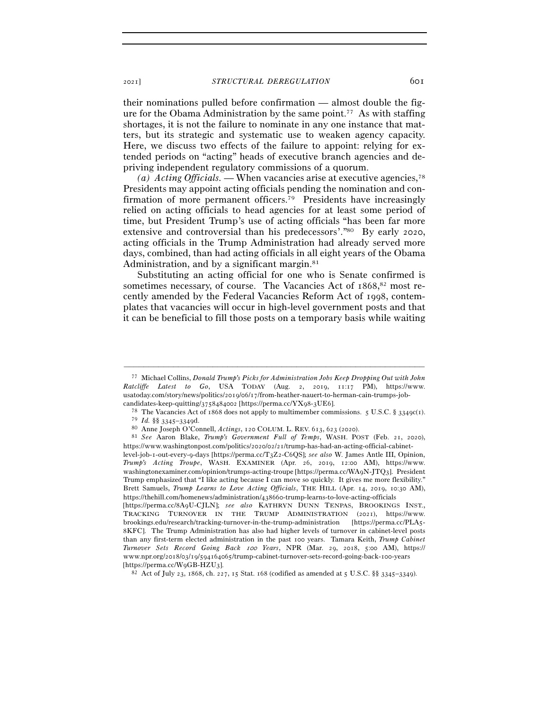<sup>2021</sup>] *STRUCTURAL DEREGULATION* 601

their nominations pulled before confirmation — almost double the figure for the Obama Administration by the same point.<sup>77</sup> As with staffing shortages, it is not the failure to nominate in any one instance that matters, but its strategic and systematic use to weaken agency capacity. Here, we discuss two effects of the failure to appoint: relying for extended periods on "acting" heads of executive branch agencies and depriving independent regulatory commissions of a quorum.

(*a*) *Acting Officials.* — When vacancies arise at executive agencies,<sup>78</sup> Presidents may appoint acting officials pending the nomination and confirmation of more permanent officers.<sup>79</sup> Presidents have increasingly relied on acting officials to head agencies for at least some period of time, but President Trump's use of acting officials "has been far more extensive and controversial than his predecessors'."80 By early 2020, acting officials in the Trump Administration had already served more days, combined, than had acting officials in all eight years of the Obama Administration, and by a significant margin.<sup>81</sup>

Substituting an acting official for one who is Senate confirmed is sometimes necessary, of course. The Vacancies Act of 1868,<sup>82</sup> most recently amended by the Federal Vacancies Reform Act of 1998, contemplates that vacancies will occur in high-level government posts and that it can be beneficial to fill those posts on a temporary basis while waiting

<sup>77</sup> Michael Collins, *Donald Trump's Picks for Administration Jobs Keep Dropping Out with John Ratcliffe Latest to Go*, USA TODAY (Aug. 2, 2019, 11:17 PM), https://www. usatoday.com/story/news/politics/2019/06/17/from-heather-nauert-to-herman-cain-trumps-job-

candidates-keep-quitting/3758484002 [https://perma.cc/YX98-3UE6].<br><sup>78</sup> The Vacancies Act of 1868 does not apply to multimember commissions. 5 U.S.C. § 3349c(1).<br><sup>79</sup> Id. §§ 3345–3349d.

<sup>79</sup> *Id.* §§ 3345–<sup>3349</sup>d. 80 Anne Joseph O'Connell, *Actings*, 120 COLUM. L. REV. 613, 623 (<sup>2020</sup>). 81 *See* Aaron Blake, *Trump's Government Full of Temps*, WASH. POST (Feb. 21, 2020), https://www.washingtonpost.com/politics/2020/02/21/trump-has-had-an-acting-official-cabinet-

level-job-1-out-every-9-days [https://perma.cc/T3Z2-C6QS]; *see also* W. James Antle III, Opinion, *Trump's Acting Troupe*, WASH. EXAMINER (Apr. 26, 2019, 12:00 AM), https://www. washingtonexaminer.com/opinion/trumps-acting-troupe [https://perma.cc/WA9N-JTQ3]. President Trump emphasized that "I like acting because I can move so quickly. It gives me more flexibility." Brett Samuels, *Trump Learns to Love Acting Officials*, THE HILL (Apr. 14, 2019, 10:30 AM), https://thehill.com/homenews/administration/438660-trump-learns-to-love-acting-officials

<sup>[</sup>https://perma.cc/8A9U-CJLN]; *see also* KATHRYN DUNN TENPAS, BROOKINGS INST., TRACKING TURNOVER IN THE TRUMP ADMINISTRATION (2021), https://www. brookings.edu/research/tracking-turnover-in-the-trump-administration [https://perma.cc/PLA5- 8KFC]. The Trump Administration has also had higher levels of turnover in cabinet-level posts than any first-term elected administration in the past 100 years. Tamara Keith, *Trump Cabinet Turnover Sets Record Going Back* 100 *Years*, NPR (Mar. 29, 2018, 5:00 AM), https:// www.npr.org/2018/03/19/594164065/trump-cabinet-turnover-sets-record-going-back-100-years [https://perma.cc/W9GB-HZU3].<br><sup>82</sup> Act of July 23, 1868, ch. 227, 15 Stat. 168 (codified as amended at 5 U.S.C. §§ 3345–3349).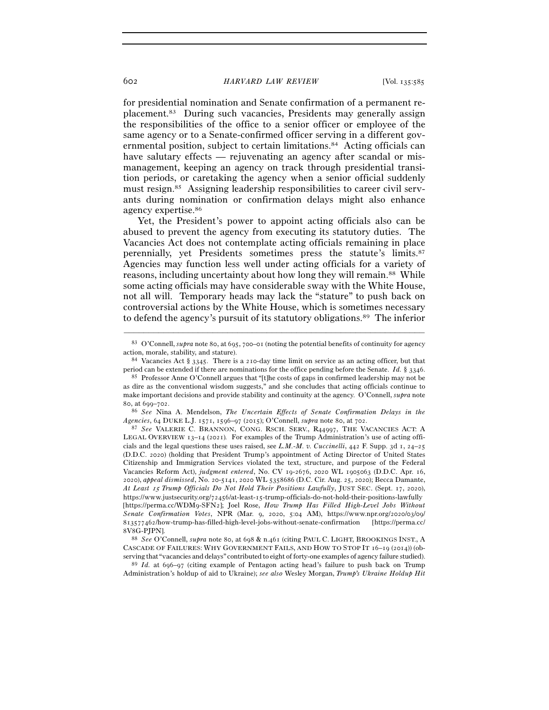for presidential nomination and Senate confirmation of a permanent replacement.83 During such vacancies, Presidents may generally assign the responsibilities of the office to a senior officer or employee of the same agency or to a Senate-confirmed officer serving in a different governmental position, subject to certain limitations.84 Acting officials can have salutary effects — rejuvenating an agency after scandal or mismanagement, keeping an agency on track through presidential transition periods, or caretaking the agency when a senior official suddenly must resign.85 Assigning leadership responsibilities to career civil servants during nomination or confirmation delays might also enhance agency expertise.86

Yet, the President's power to appoint acting officials also can be abused to prevent the agency from executing its statutory duties. The Vacancies Act does not contemplate acting officials remaining in place perennially, yet Presidents sometimes press the statute's limits.87 Agencies may function less well under acting officials for a variety of reasons, including uncertainty about how long they will remain.88 While some acting officials may have considerable sway with the White House, not all will. Temporary heads may lack the "stature" to push back on controversial actions by the White House, which is sometimes necessary to defend the agency's pursuit of its statutory obligations.89 The inferior

*Agencies*, 64 DUKE L.J. 1571, 1596–97 (2015); O'Connell, *supra* note 80, at <sup>702</sup>. 87 *See* VALERIE C. BRANNON, CONG. RSCH. SERV., R44997, THE VACANCIES ACT: <sup>A</sup>

LEGAL OVERVIEW 13–14 (2021)*.* For examples of the Trump Administration's use of acting officials and the legal questions these uses raised, see *L.M.-M. v. Cuccinelli*, 442 F. Supp. 3d 1, 24–25 (D.D.C. 2020) (holding that President Trump's appointment of Acting Director of United States Citizenship and Immigration Services violated the text, structure, and purpose of the Federal Vacancies Reform Act), *judgment entered*, No. CV 19-2676, 2020 WL 1905063 (D.D.C. Apr. 16, 2020), *appeal dismissed*, No. 20-5141, 2020 WL 5358686 (D.C. Cir. Aug. 25, 2020); Becca Damante, *At Least* 15 *Trump Officials Do Not Hold Their Positions Lawfully*, JUST SEC. (Sept. 17, 2020), https://www.justsecurity.org/72456/at-least-15-trump-officials-do-not-hold-their-positions-lawfully [https://perma.cc/WDM9-SFN2]; Joel Rose, *How Trump Has Filled High-Level Jobs Without Senate Confirmation Votes*, NPR (Mar. 9, 2020, 5:04 AM), https://www.npr.org/2020/03/09/ 813577462/how-trump-has-filled-high-level-jobs-without-senate-confirmation [https://perma.cc/ 8V8G-PJPN].

<sup>88</sup> *See* O'Connell, *supra* note 80, at 698 & n.461 (citing PAUL C. LIGHT, BROOKINGS INST., A CASCADE OF FAILURES: WHY GOVERNMENT FAILS, AND HOW TO STOP IT 16–19 (2014)) (observing that "vacancies and delays" contributed to eight of forty-one examples of agency failure studied). 89 *Id.* at 696–97 (citing example of Pentagon acting head's failure to push back on Trump

Administration's holdup of aid to Ukraine); *see also* Wesley Morgan, *Trump's Ukraine Holdup Hit* 

<sup>–––––––––––––––––––––––––––––––––––––––––––––––––––––––––––––</sup> <sup>83</sup> O'Connell, *supra* note 80, at 695, 700–01 (noting the potential benefits of continuity for agency action, morale, stability, and stature).<br><sup>84</sup> Vacancies Act § 3345. There is a 210-day time limit on service as an acting officer, but that

period can be extended if there are nominations for the office pending before the Senate. *Id.* § 3346.<br><sup>85</sup> Professor Anne O'Connell argues that "[t]he costs of gaps in confirmed leadership may not be

as dire as the conventional wisdom suggests," and she concludes that acting officials continue to make important decisions and provide stability and continuity at the agency. O'Connell, *supra* note <sup>80</sup>, at 699–<sup>702</sup>. 86 *See* Nina A. Mendelson, *The Uncertain Effects of Senate Confirmation Delays in the*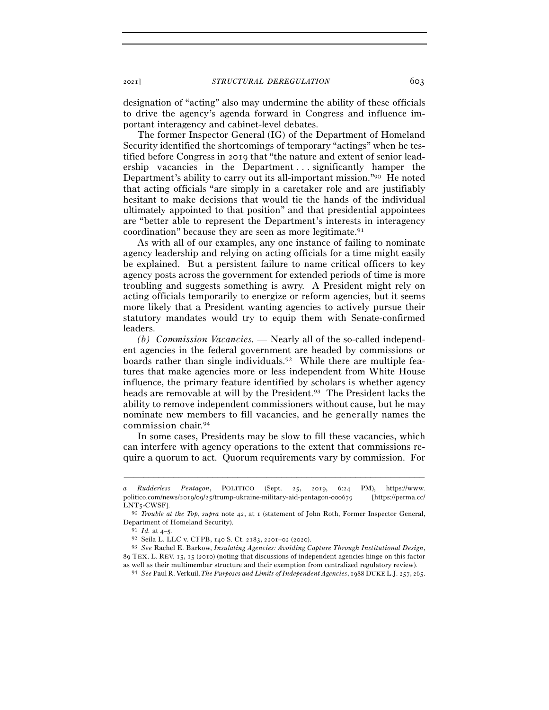designation of "acting" also may undermine the ability of these officials to drive the agency's agenda forward in Congress and influence important interagency and cabinet-level debates.

The former Inspector General (IG) of the Department of Homeland Security identified the shortcomings of temporary "actings" when he testified before Congress in 2019 that "the nature and extent of senior leadership vacancies in the Department . . . significantly hamper the Department's ability to carry out its all-important mission."90 He noted that acting officials "are simply in a caretaker role and are justifiably hesitant to make decisions that would tie the hands of the individual ultimately appointed to that position" and that presidential appointees are "better able to represent the Department's interests in interagency coordination" because they are seen as more legitimate.91

As with all of our examples, any one instance of failing to nominate agency leadership and relying on acting officials for a time might easily be explained. But a persistent failure to name critical officers to key agency posts across the government for extended periods of time is more troubling and suggests something is awry. A President might rely on acting officials temporarily to energize or reform agencies, but it seems more likely that a President wanting agencies to actively pursue their statutory mandates would try to equip them with Senate-confirmed leaders.

*(b) Commission Vacancies. —* Nearly all of the so-called independent agencies in the federal government are headed by commissions or boards rather than single individuals.92 While there are multiple features that make agencies more or less independent from White House influence, the primary feature identified by scholars is whether agency heads are removable at will by the President.<sup>93</sup> The President lacks the ability to remove independent commissioners without cause, but he may nominate new members to fill vacancies, and he generally names the commission chair.94

In some cases, Presidents may be slow to fill these vacancies, which can interfere with agency operations to the extent that commissions require a quorum to act. Quorum requirements vary by commission. For

*a Rudderless Pentagon*, POLITICO (Sept. 25, 2019, 6:24 PM), https://www. politico.com/news/2019/09/25/trump-ukraine-military-aid-pentagon-000679 [https://perma.cc/ LNT<sup>5</sup>-CWSF]. 90 *Trouble at the Top*, *supra* note 42, at 1 (statement of John Roth, Former Inspector General,

Department of Homeland Security). 91 *Id.* at 4–<sup>5</sup>. 92 Seila L. LLC v. CFPB, 140 S. Ct. 2183, 2201–02 (<sup>2020</sup>). 93 *See* Rachel E. Barkow, *Insulating Agencies: Avoiding Capture Through Institutional Design*,

<sup>89</sup> TEX. L. REV. 15, 15 (2010) (noting that discussions of independent agencies hinge on this factor

as well as their multimember structure and their exemption from centralized regulatory review). 94 *See* Paul R. Verkuil, *The Purposes and Limits of Independent Agencies*, 1988 DUKE L.J. 257, 265.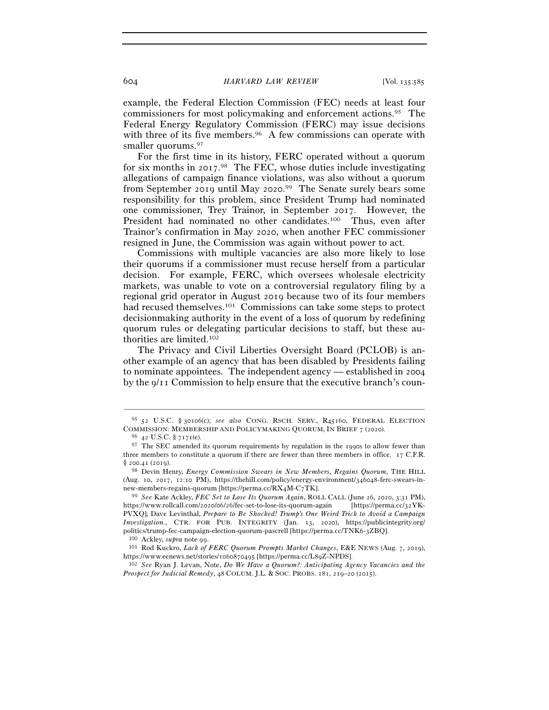example, the Federal Election Commission (FEC) needs at least four commissioners for most policymaking and enforcement actions.95 The Federal Energy Regulatory Commission (FERC) may issue decisions with three of its five members.<sup>96</sup> A few commissions can operate with smaller quorums.<sup>97</sup>

For the first time in its history, FERC operated without a quorum for six months in 2017.<sup>98</sup> The FEC, whose duties include investigating allegations of campaign finance violations, was also without a quorum from September 2019 until May 2020.<sup>99</sup> The Senate surely bears some responsibility for this problem, since President Trump had nominated one commissioner, Trey Trainor, in September 2017. However, the President had nominated no other candidates.<sup>100</sup> Thus, even after Trainor's confirmation in May 2020, when another FEC commissioner resigned in June, the Commission was again without power to act.

Commissions with multiple vacancies are also more likely to lose their quorums if a commissioner must recuse herself from a particular decision. For example, FERC, which oversees wholesale electricity markets, was unable to vote on a controversial regulatory filing by a regional grid operator in August 2019 because two of its four members had recused themselves.<sup>101</sup> Commissions can take some steps to protect decisionmaking authority in the event of a loss of quorum by redefining quorum rules or delegating particular decisions to staff, but these authorities are limited.102

The Privacy and Civil Liberties Oversight Board (PCLOB) is another example of an agency that has been disabled by Presidents failing to nominate appointees. The independent agency — established in 2004 by the 9/11 Commission to help ensure that the executive branch's coun-

<sup>–––––––––––––––––––––––––––––––––––––––––––––––––––––––––––––</sup> <sup>95</sup> 52 U.S.C. § 30106(c); *see also* CONG. RSCH. SERV., R45160, FEDERAL ELECTION COMMISSION: MEMBERSHIP AND POLICYMAKING QUORUM, IN BRIEF 7 (2020). <sup>96</sup> 42 U.S.C. § 7171(e).

 $^{97}\,$  The SEC amended its quorum requirements by regulation in the 1990s to allow fewer than three members to constitute a quorum if there are fewer than three members in office.  $17$  C.F.R. § 200.41 (2019). 98 Devin Henry, *Energy Commission Swears in New Members, Regains Quorum*, THE HILL

<sup>(</sup>Aug. 10, 2017, 12:10 PM), https://thehill.com/policy/energy-environment/346048-ferc-swears-innew-members-regains-quorum [https://perma.cc/RX4M-C<sup>7</sup>TK]. 99 *See* Kate Ackley, *FEC Set to Lose Its Quorum Again*, ROLL CALL (June 26, 2020, 3:31 PM),

https://www.rollcall.com/2020/06/26/fec-set-to-lose-its-quorum-again [https://perma.cc/32YK-PVXQ]; Dave Levinthal, *Prepare to Be Shocked! Trump's One Weird Trick to Avoid a Campaign Investigation.*, CTR. FOR PUB. INTEGRITY (Jan. 13, 2020), https://publicintegrity.org/ politics/trump-fec-campaign-election-quorum-pascrell [https://perma.cc/TNK6-<sup>3</sup>ZBQ]. 100 Ackley, *supra* note <sup>99</sup>. 101 Rod Kuckro, *Lack of FERC Quorum Prompts Market Changes*, E&E NEWS (Aug. 7, 2019),

https://www.eenews.net/stories/1060870495 [https://perma.cc/L<sup>89</sup>Z-NPDS]. 102 *See* Ryan J. Levan, Note, *Do We Have a Quorum?: Anticipating Agency Vacancies and the* 

*Prospect for Judicial Remedy*, 48 COLUM. J.L. & SOC. PROBS. 181, 219–20 (2015).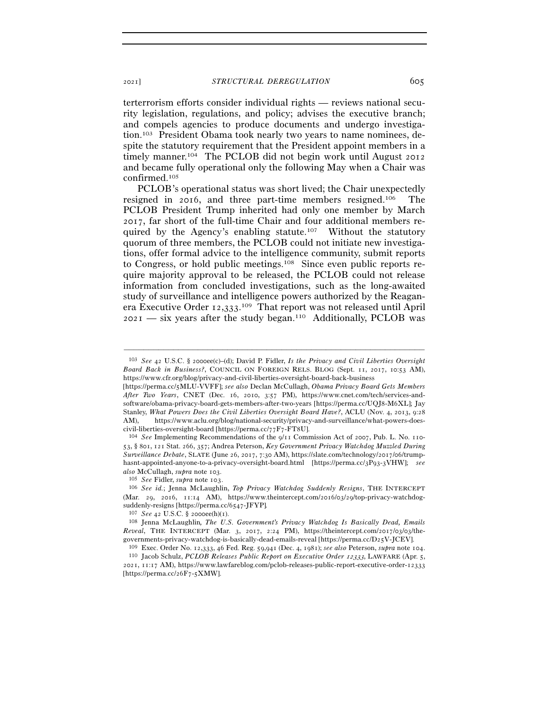terterrorism efforts consider individual rights — reviews national security legislation, regulations, and policy; advises the executive branch; and compels agencies to produce documents and undergo investigation.103 President Obama took nearly two years to name nominees, despite the statutory requirement that the President appoint members in a timely manner.104 The PCLOB did not begin work until August 2012 and became fully operational only the following May when a Chair was confirmed.105

PCLOB's operational status was short lived; the Chair unexpectedly resigned in 2016, and three part-time members resigned.106 The PCLOB President Trump inherited had only one member by March 2017, far short of the full-time Chair and four additional members required by the Agency's enabling statute.107 Without the statutory quorum of three members, the PCLOB could not initiate new investigations, offer formal advice to the intelligence community, submit reports to Congress, or hold public meetings.108 Since even public reports require majority approval to be released, the PCLOB could not release information from concluded investigations, such as the long-awaited study of surveillance and intelligence powers authorized by the Reaganera Executive Order 12,333.<sup>109</sup> That report was not released until April  $2021$  — six years after the study began.<sup>110</sup> Additionally, PCLOB was

–––––––––––––––––––––––––––––––––––––––––––––––––––––––––––––

53, § 801, 121 Stat. 266, 357; Andrea Peterson, *Key Government Privacy Watchdog Muzzled During Surveillance Debate*, SLATE (June 26, 2017, 7:30 AM), https://slate.com/technology/2017/06/trumphasnt-appointed-anyone-to-a-privacy-oversight-board.html [https://perma.cc/3P93-3VHW]; *see also* McCullagh, *supra* note 103.

<sup>105</sup> *See* Fidler, *supra* note <sup>103</sup>. 106 *See id.*; Jenna McLaughlin, *Top Privacy Watchdog Suddenly Resigns*, THE INTERCEPT (Mar. 29, 2016, 11:14 AM), https://www.theintercept.com/2016/03/29/top-privacy-watchdogsuddenly-resigns [https://perma.cc/6547-JFYP]*.*

<sup>107</sup> *See* <sup>42</sup> U.S.C. § 2000ee(h)(<sup>1</sup>). 108 Jenna McLaughlin*, The U.S. Government's Privacy Watchdog Is Basically Dead, Emails Reveal*, THE INTERCEPT (Mar. 3, 2017, 2:24 PM), https://theintercept.com/2017/03/03/thegovernments-privacy-watchdog-is-basically-dead-emails-reveal [https://perma.cc/D25V-JCEV].<br><sup>109</sup> Exec. Order No. 12,333, 46 Fed. Reg. 59,941 (Dec. 4, 1981); *see also* Peterson, *supra* note 104.<br><sup>110</sup> Jacob Schulz, *PCLOB* 

2021, 11:17 AM), https://www.lawfareblog.com/pclob-releases-public-report-executive-order-12333 [https://perma.cc/26F7-5XMW].

<sup>103</sup> *See* 42 U.S.C. § 2000ee(c)–(d); David P. Fidler, *Is the Privacy and Civil Liberties Oversight Board Back in Business?*, COUNCIL ON FOREIGN RELS. BLOG (Sept. 11, 2017, 10:53 AM), https://www.cfr.org/blog/privacy-and-civil-liberties-oversight-board-back-business

<sup>[</sup>https://perma.cc/5MLU-VVFF]; *see also* Declan McCullagh, *Obama Privacy Board Gets Members After Two Years*, CNET (Dec. 16, 2010, 3:57 PM), https://www.cnet.com/tech/services-andsoftware/obama-privacy-board-gets-members-after-two-years [https://perma.cc/UQJ8-M6XL]; Jay Stanley, *What Powers Does the Civil Liberties Oversight Board Have?*, ACLU (Nov. 4, 2013, 9:28 AM), https://www.aclu.org/blog/national-security/privacy-and-surveillance/what-powers-doescivil-liberties-oversight-board [https://perma.cc/77F7-FT<sup>8</sup>U]. 104 *See* Implementing Recommendations of the 9/11 Commission Act of 2007, Pub. L. No. 110-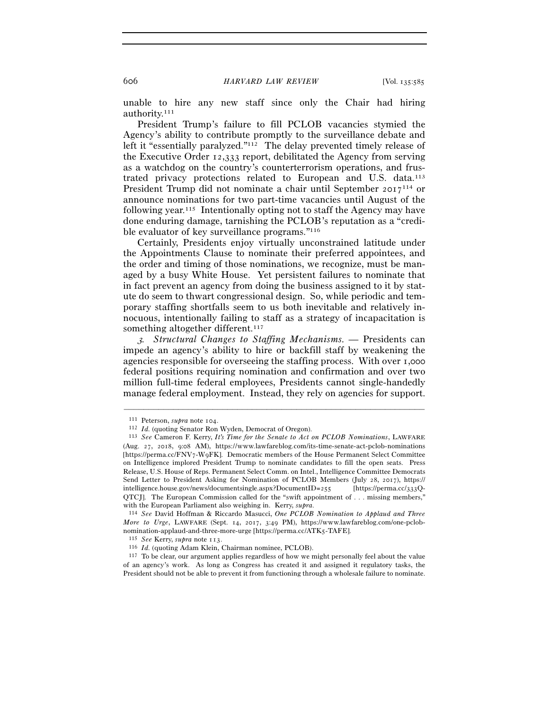unable to hire any new staff since only the Chair had hiring authority.111

President Trump's failure to fill PCLOB vacancies stymied the Agency's ability to contribute promptly to the surveillance debate and left it "essentially paralyzed."<sup>112</sup> The delay prevented timely release of the Executive Order 12,333 report, debilitated the Agency from serving as a watchdog on the country's counterterrorism operations, and frustrated privacy protections related to European and U.S. data.113 President Trump did not nominate a chair until September 2017114 or announce nominations for two part-time vacancies until August of the following year.115 Intentionally opting not to staff the Agency may have done enduring damage, tarnishing the PCLOB's reputation as a "credible evaluator of key surveillance programs."116

Certainly, Presidents enjoy virtually unconstrained latitude under the Appointments Clause to nominate their preferred appointees, and the order and timing of those nominations, we recognize, must be managed by a busy White House. Yet persistent failures to nominate that in fact prevent an agency from doing the business assigned to it by statute do seem to thwart congressional design. So, while periodic and temporary staffing shortfalls seem to us both inevitable and relatively innocuous, intentionally failing to staff as a strategy of incapacitation is something altogether different.<sup>117</sup>

<sup>3</sup>*. Structural Changes to Staffing Mechanisms. —* Presidents can impede an agency's ability to hire or backfill staff by weakening the agencies responsible for overseeing the staffing process. With over 1,000 federal positions requiring nomination and confirmation and over two million full-time federal employees, Presidents cannot single-handedly manage federal employment. Instead, they rely on agencies for support.

<sup>111</sup> Peterson, *supra* note <sup>104</sup>. 112 *Id.* (quoting Senator Ron Wyden, Democrat of Oregon). 113 *See* Cameron F. Kerry, *It's Time for the Senate to Act on PCLOB Nominations*, LAWFARE (Aug. 27, 2018, 9:08 AM), https://www.lawfareblog.com/its-time-senate-act-pclob-nominations [https://perma.cc/FNV7-W9FK]. Democratic members of the House Permanent Select Committee on Intelligence implored President Trump to nominate candidates to fill the open seats. Press Release, U.S. House of Reps. Permanent Select Comm. on Intel., Intelligence Committee Democrats Send Letter to President Asking for Nomination of PCLOB Members (July 28, 2017), https:// intelligence.house.gov/news/documentsingle.aspx?DocumentID=255 [https://perma.cc/333Q-QTCJ]. The European Commission called for the "swift appointment of . . . missing members," with the European Parliament also weighing in. Kerry, *supra*.<br><sup>114</sup> *See* David Hoffman & Riccardo Masucci, *One PCLOB Nomination to Applaud and Three* 

*More to Urge*, LAWFARE (Sept. 14, 2017, 3:49 PM), https://www.lawfareblog.com/one-pclobnomination-applaud-and-three-more-urge [https://perma.cc/ATK5-TAFE].<br>
<sup>115</sup> See Kerry, supra note 113.<br>
<sup>116</sup> *Id.* (quoting Adam Klein, Chairman nominee, PCLOB).<br>
<sup>116</sup> *Id.* (quoting Adam Klein, Chairman nominee, PCLOB)

of an agency's work. As long as Congress has created it and assigned it regulatory tasks, the President should not be able to prevent it from functioning through a wholesale failure to nominate.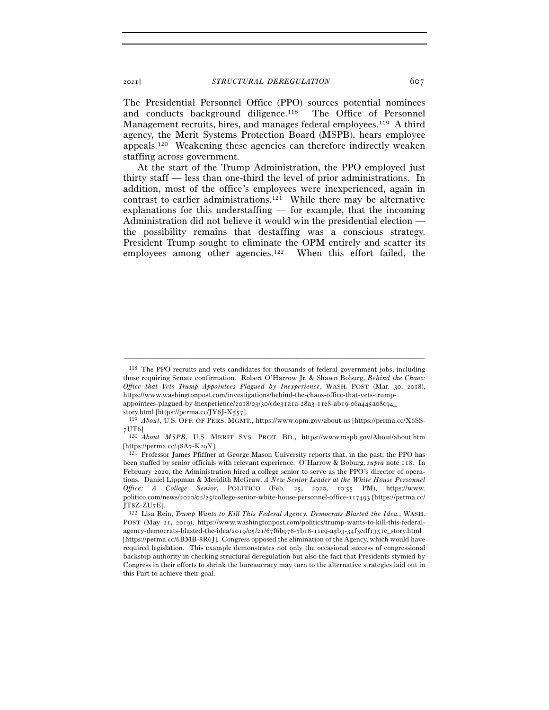The Presidential Personnel Office (PPO) sources potential nominees and conducts background diligence.<sup>118</sup> The Office of Personnel Management recruits, hires, and manages federal employees.<sup>119</sup> A third agency, the Merit Systems Protection Board (MSPB), hears employee appeals.120 Weakening these agencies can therefore indirectly weaken staffing across government.

At the start of the Trump Administration, the PPO employed just thirty staff — less than one-third the level of prior administrations. In addition, most of the office's employees were inexperienced, again in contrast to earlier administrations.121 While there may be alternative explanations for this understaffing — for example, that the incoming Administration did not believe it would win the presidential election the possibility remains that destaffing was a conscious strategy. President Trump sought to eliminate the OPM entirely and scatter its employees among other agencies.<sup>122</sup> When this effort failed, the

<sup>118</sup> The PPO recruits and vets candidates for thousands of federal government jobs, including those requiring Senate confirmation. Robert O'Harrow Jr. & Shawn Boburg, *Behind the Chaos: Office that Vets Trump Appointees Plagued by Inexperience*, WASH. POST (Mar. 30, 2018), https://www.washingtonpost.com/investigations/behind-the-chaos-office-that-vets-trumpappointees-plagued-by-inexperience/2018/03/30/cde31a1a-28a3-11e8-ab19-06a445a08c94\_

story.html [https://perma.cc/JY8J-X557].<br><sup>119</sup> *About*, U.S. OFF. OF PERS. MGMT., https://www.opm.gov/about-us [https://perma.cc/X6SS-7UT6].

<sup>&</sup>lt;sup>120</sup> *About MSPB*, U.S. MERIT SYS. PROT. BD., https://www.mspb.gov/About/about.htm

<sup>[</sup>https://perma.cc/48A7-K<sup>29</sup>Y]. 121 Professor James Pfiffner at George Mason University reports that, in the past, the PPO has been staffed by senior officials with relevant experience. O'Harrow & Boburg, *supra* note 118. In February 2020, the Administration hired a college senior to serve as the PPO's director of operations. Daniel Lippman & Meridith McGraw, *A New Senior Leader at the White House Personnel Office: A College Senior*, POLITICO (Feb. 25, 2020, 10:55 PM), https://www. politico.com/news/2020/02/25/college-senior-white-house-personnel-office-117493 [https://perma.cc/ JT8Z-ZU<sup>7</sup>E]. 122 Lisa Rein, *Trump Wants to Kill This Federal Agency. Democrats Blasted the Idea.*, WASH.

POST (May 21, 2019), https://www.washingtonpost.com/politics/trump-wants-to-kill-this-federalagency-democrats-blasted-the-idea/2019/05/21/67f6b978-7b18-11e9-a5b3-34f3edf1351e\_story.html [https://perma.cc/6BMB-8R6J]. Congress opposed the elimination of the Agency, which would have required legislation. This example demonstrates not only the occasional success of congressional backstop authority in checking structural deregulation but also the fact that Presidents stymied by Congress in their efforts to shrink the bureaucracy may turn to the alternative strategies laid out in this Part to achieve their goal.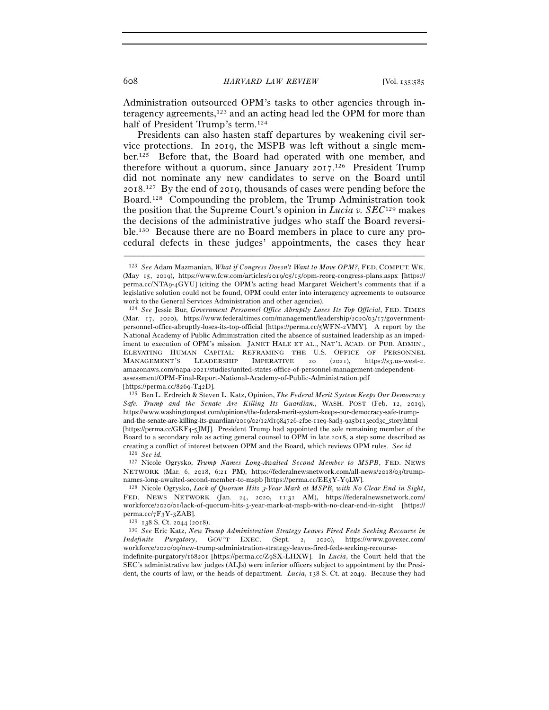608 *HARVARD LAW REVIEW* [Vol. 135:<sup>585</sup>

Administration outsourced OPM's tasks to other agencies through interagency agreements,<sup>123</sup> and an acting head led the OPM for more than half of President Trump's term.<sup>124</sup>

Presidents can also hasten staff departures by weakening civil service protections. In 2019, the MSPB was left without a single member.125 Before that, the Board had operated with one member, and therefore without a quorum, since January 2017.<sup>126</sup> President Trump did not nominate any new candidates to serve on the Board until 2018. 127 By the end of 2019, thousands of cases were pending before the Board.128 Compounding the problem, the Trump Administration took the position that the Supreme Court's opinion in *Lucia v. SEC*129 makes the decisions of the administrative judges who staff the Board reversible.130 Because there are no Board members in place to cure any procedural defects in these judges' appointments, the cases they hear

–––––––––––––––––––––––––––––––––––––––––––––––––––––––––––––

*Safe. Trump and the Senate Are Killing Its Guardian.*, WASH. POST (Feb. 12, 2019), https://www.washingtonpost.com/opinions/the-federal-merit-system-keeps-our-democracy-safe-trumpand-the-senate-are-killing-its-guardian/2019/02/12/d1984726-2f0e-11e9-8ad3-9a5b113ecd3c\_story.html [https://perma.cc/GKF4-5JMJ]. President Trump had appointed the sole remaining member of the Board to a secondary role as acting general counsel to OPM in late 2018, a step some described as creating a conflict of interest between OPM and the Board, which reviews OPM rules. *See id.* 126 *See id.* 

127 Nicole Ogrysko, *Trump Names Long-Awaited Second Member to MSPB*, FED. NEWS NETWORK (Mar. 6, 2018, 6:21 PM), https://federalnewsnetwork.com/all-news/2018/03/trump-

names-long-awaited-second-member-to-mspb [https://perma.cc/EE5Y-Y<sup>9</sup>LW]. 128 Nicole Ogrysko, *Lack of Quorum Hits* 3*-Year Mark at MSPB, with No Clear End in Sight*, FED. NEWS NETWORK (Jan. 24, 2020, 11:31 AM), https://federalnewsnetwork.com/ workforce/2020/01/lack-of-quorum-hits-3-year-mark-at-mspb-with-no-clear-end-in-sight [https://

perma.cc/7F3Y-<sup>3</sup>ZAB]. 129 <sup>138</sup> S. Ct. 2044 (<sup>2018</sup>). 130 *See* Eric Katz, *New Trump Administration Strategy Leaves Fired Feds Seeking Recourse in Indefinite Purgatory*, GOV'T EXEC. (Sept. 2, 2020), https://www.govexec.com/ workforce/2020/09/new-trump-administration-strategy-leaves-fired-feds-seeking-recourse-

indefinite-purgatory/168201 [https://perma.cc/Z9SX-LHXW]. In *Lucia*, the Court held that the SEC's administrative law judges (ALJs) were inferior officers subject to appointment by the President, the courts of law, or the heads of department. *Lucia*, 138 S. Ct. at 2049. Because they had

<sup>123</sup> *See* Adam Mazmanian, *What if Congress Doesn't Want to Move OPM?*, FED. COMPUT. WK. (May 15, 2019), https://www.fcw.com/articles/2019/05/15/opm-reorg-congress-plans.aspx [https:// perma.cc/NTA9-4GYU] (citing the OPM's acting head Margaret Weichert's comments that if a legislative solution could not be found, OPM could enter into interagency agreements to outsource work to the General Services Administration and other agencies).

<sup>124</sup> *See* Jessie Bur, *Government Personnel Office Abruptly Loses Its Top Official*, FED. TIMES (Mar. 17, 2020), https://www.federaltimes.com/management/leadership/2020/03/17/governmentpersonnel-office-abruptly-loses-its-top-official [https://perma.cc/5WFN-2VMY]. A report by the National Academy of Public Administration cited the absence of sustained leadership as an impediment to execution of OPM's mission. JANET HALE ET AL., NAT'L ACAD. OF PUB. ADMIN., ELEVATING HUMAN CAPITAL: REFRAMING THE U.S. OFFICE OF PERSONNEL MANAGEMENT'S LEADERSHIP IMPERATIVE 20 (2021), https://s3.us-west-2. amazonaws.com/napa-2021/studies/united-states-office-of-personnel-management-independentassessment/OPM-Final-Report-National-Academy-of-Public-Administration.pdf [https://perma.cc/8269-T<sup>42</sup>D]. 125 Ben L. Erdreich & Steven L. Katz, Opinion, *The Federal Merit System Keeps Our Democracy*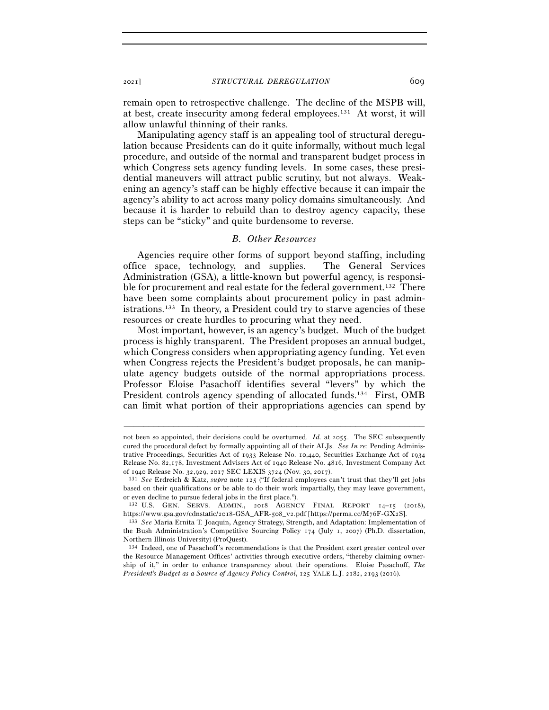remain open to retrospective challenge. The decline of the MSPB will, at best, create insecurity among federal employees.131 At worst, it will allow unlawful thinning of their ranks.

Manipulating agency staff is an appealing tool of structural deregulation because Presidents can do it quite informally, without much legal procedure, and outside of the normal and transparent budget process in which Congress sets agency funding levels. In some cases, these presidential maneuvers will attract public scrutiny, but not always. Weakening an agency's staff can be highly effective because it can impair the agency's ability to act across many policy domains simultaneously. And because it is harder to rebuild than to destroy agency capacity, these steps can be "sticky" and quite burdensome to reverse.

#### *B. Other Resources*

Agencies require other forms of support beyond staffing, including office space, technology, and supplies. The General Services Administration (GSA), a little-known but powerful agency, is responsible for procurement and real estate for the federal government.<sup>132</sup> There have been some complaints about procurement policy in past administrations.133 In theory, a President could try to starve agencies of these resources or create hurdles to procuring what they need.

Most important, however, is an agency's budget. Much of the budget process is highly transparent. The President proposes an annual budget, which Congress considers when appropriating agency funding. Yet even when Congress rejects the President's budget proposals, he can manipulate agency budgets outside of the normal appropriations process. Professor Eloise Pasachoff identifies several "levers" by which the President controls agency spending of allocated funds.<sup>134</sup> First, OMB can limit what portion of their appropriations agencies can spend by

not been so appointed, their decisions could be overturned. *Id.* at 2055. The SEC subsequently cured the procedural defect by formally appointing all of their ALJs. *See In re*: Pending Administrative Proceedings, Securities Act of 1933 Release No. 10,440, Securities Exchange Act of 1934 Release No. 82,178, Investment Advisers Act of 1940 Release No. 4816, Investment Company Act of 1940 Release No. 32,929, 2017 SEC LEXIS 3724 (Nov. 30, <sup>2017</sup>). 131 *See* Erdreich & Katz, *supra* note 125 ("If federal employees can't trust that they'll get jobs

based on their qualifications or be able to do their work impartially, they may leave government, or even decline to pursue federal jobs in the first place.").

<sup>132</sup> U.S. GEN. SERVS. ADMIN., 2018 AGENCY FINAL REPORT 14–15 (2018), https://www.gsa.gov/cdnstatic/2018-GSA\_AFR-508\_v2.pdf [https://perma.cc/M76F-GX<sup>2</sup>S]. 133 *See* Maria Ernita T. Joaquin, Agency Strategy, Strength, and Adaptation: Implementation of

the Bush Administration's Competitive Sourcing Policy 174 (July 1, 2007) (Ph.D. dissertation, Northern Illinois University) (ProQuest).

<sup>134</sup> Indeed, one of Pasachoff's recommendations is that the President exert greater control over the Resource Management Offices' activities through executive orders, "thereby claiming ownership of it," in order to enhance transparency about their operations. Eloise Pasachoff, *The President's Budget as a Source of Agency Policy Control*, 125 YALE L.J. 2182, 2193 (2016).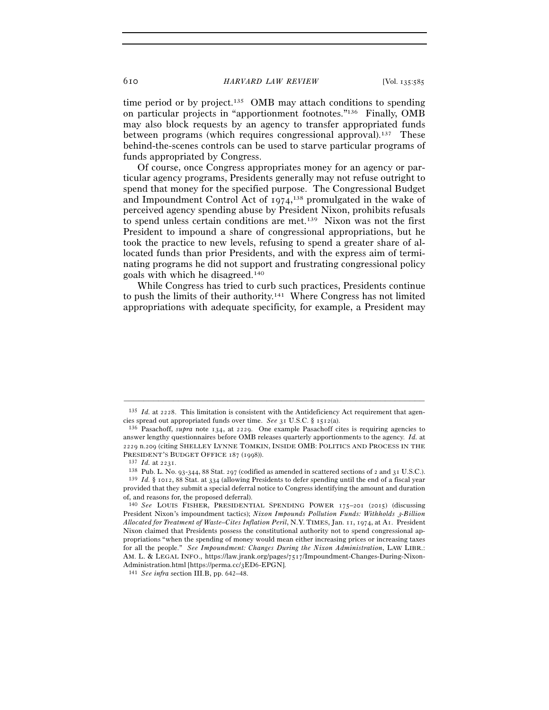610 *HARVARD LAW REVIEW* [Vol. 135:<sup>585</sup>

time period or by project.<sup>135</sup> OMB may attach conditions to spending on particular projects in "apportionment footnotes."136 Finally, OMB may also block requests by an agency to transfer appropriated funds between programs (which requires congressional approval).137 These behind-the-scenes controls can be used to starve particular programs of funds appropriated by Congress.

Of course, once Congress appropriates money for an agency or particular agency programs, Presidents generally may not refuse outright to spend that money for the specified purpose. The Congressional Budget and Impoundment Control Act of  $1974$ ,<sup>138</sup> promulgated in the wake of perceived agency spending abuse by President Nixon, prohibits refusals to spend unless certain conditions are met.139 Nixon was not the first President to impound a share of congressional appropriations, but he took the practice to new levels, refusing to spend a greater share of allocated funds than prior Presidents, and with the express aim of terminating programs he did not support and frustrating congressional policy goals with which he disagreed.140

While Congress has tried to curb such practices, Presidents continue to push the limits of their authority.141 Where Congress has not limited appropriations with adequate specificity, for example, a President may

<sup>–––––––––––––––––––––––––––––––––––––––––––––––––––––––––––––</sup> <sup>135</sup> *Id.* at 2228. This limitation is consistent with the Antideficiency Act requirement that agencies spread out appropriated funds over time. *See* 31 U.S.C. § <sup>1512</sup>(a). 136 Pasachoff, *supra* note 134, at 2229. One example Pasachoff cites is requiring agencies to

answer lengthy questionnaires before OMB releases quarterly apportionments to the agency. *Id.* at 2229 n.209 (citing SHELLEY LYNNE TOMKIN, INSIDE OMB: POLITICS AND PROCESS IN THE PRESIDENT'S BUDGET OFFICE 187 (1998)).<br><sup>137</sup> *Id.* at 2231.<br><sup>138</sup> Pub. L. No. 93-344, 88 Stat. 297 (codified as amended in scattered sections of 2 and 31 U.S.C.).<br><sup>139</sup> *Id.* § 1012, 88 Stat. at 334 (allowing Presidents t

provided that they submit a special deferral notice to Congress identifying the amount and duration of, and reasons for, the proposed deferral).

<sup>140</sup> *See* LOUIS FISHER, PRESIDENTIAL SPENDING POWER 175–201 (2015) (discussing President Nixon's impoundment tactics); *Nixon Impounds Pollution Funds: Withholds* 3*-Billion Allocated for Treatment of Waste–Cites Inflation Peril*, N.Y. TIMES, Jan. 11, 1974, at A1. President Nixon claimed that Presidents possess the constitutional authority not to spend congressional appropriations "when the spending of money would mean either increasing prices or increasing taxes for all the people." *See Impoundment: Changes During the Nixon Administration*, LAW LIBR.: AM. L. & LEGAL INFO., https://law.jrank.org/pages/7517/Impoundment-Changes-During-Nixon-Administration.html [https://perma.cc/3ED<sup>6</sup>-EPGN]. 141 *See infra* section III.B, pp. 642–48.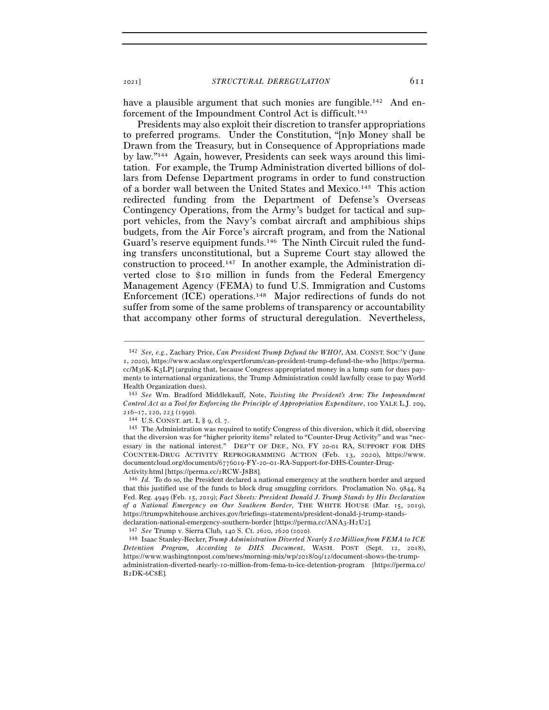<sup>2021</sup>] *STRUCTURAL DEREGULATION* 611

have a plausible argument that such monies are fungible.<sup>142</sup> And enforcement of the Impoundment Control Act is difficult.143

Presidents may also exploit their discretion to transfer appropriations to preferred programs. Under the Constitution, "[n]o Money shall be Drawn from the Treasury, but in Consequence of Appropriations made by law."144 Again, however, Presidents can seek ways around this limitation. For example, the Trump Administration diverted billions of dollars from Defense Department programs in order to fund construction of a border wall between the United States and Mexico.145 This action redirected funding from the Department of Defense's Overseas Contingency Operations, from the Army's budget for tactical and support vehicles, from the Navy's combat aircraft and amphibious ships budgets, from the Air Force's aircraft program, and from the National Guard's reserve equipment funds.146 The Ninth Circuit ruled the funding transfers unconstitutional, but a Supreme Court stay allowed the construction to proceed.147 In another example, the Administration diverted close to \$10 million in funds from the Federal Emergency Management Agency (FEMA) to fund U.S. Immigration and Customs Enforcement (ICE) operations.148 Major redirections of funds do not suffer from some of the same problems of transparency or accountability that accompany other forms of structural deregulation. Nevertheless,

<sup>142</sup> *See, e.g.*, Zachary Price, *Can President Trump Defund the WHO?*, AM. CONST. SOC'Y (June 1, 2020), https://www.acslaw.org/expertforum/can-president-trump-defund-the-who [https://perma. cc/M36K-K3LP] (arguing that, because Congress appropriated money in a lump sum for dues payments to international organizations, the Trump Administration could lawfully cease to pay World Health Organization dues).

<sup>143</sup> *See* Wm. Bradford Middlekauff, Note, *Twisting the President's Arm: The Impoundment Control Act as a Tool for Enforcing the Principle of Appropriation Expenditure*, 100 YALE L.J. 209, 216–17, 220, 223 (1990).<br><sup>144</sup> U.S. CONST. art. I, § 9, cl. 7.<br><sup>145</sup> The Administration was required to notify Congress of this diversion, which it did, observing

that the diversion was for "higher priority items" related to "Counter-Drug Activity" and was "necessary in the national interest." DEP'T OF DEF., NO. FY 20-01 RA, SUPPORT FOR DHS COUNTER-DRUG ACTIVITY REPROGRAMMING ACTION (Feb. 13, 2020), https://www. documentcloud.org/documents/6776019-FY-20–01-RA-Support-for-DHS-Counter-Drug-

Activity.html [https://perma.cc/2RCW-J8B<sup>8</sup>]. 146 *Id.* To do so, the President declared a national emergency at the southern border and argued that this justified use of the funds to block drug smuggling corridors. Proclamation No. 9844, 84 Fed. Reg. 4949 (Feb. 15, 2019); *Fact Sheets: President Donald J. Trump Stands by His Declaration of a National Emergency on Our Southern Border*, THE WHITE HOUSE (Mar. 15, 2019), https://trumpwhitehouse.archives.gov/briefings-statements/president-donald-j-trump-stands-

declaration-national-emergency-southern-border [https://perma.cc/ANA3-H2U2].<br><sup>147</sup> See Trump v. Sierra Club, 140 S. Ct. 2620, 2620 (2020).<br><sup>148</sup> Isaac Stanley-Becker, Trump Administration Diverted Nearly \$10 Million from F *Detention Program, According to DHS Document*, WASH. POST (Sept. 12, 2018), https://www.washingtonpost.com/news/morning-mix/wp/2018/09/12/document-shows-the-trumpadministration-diverted-nearly-10-million-from-fema-to-ice-detention-program [https://perma.cc/ B2DK-6C8E].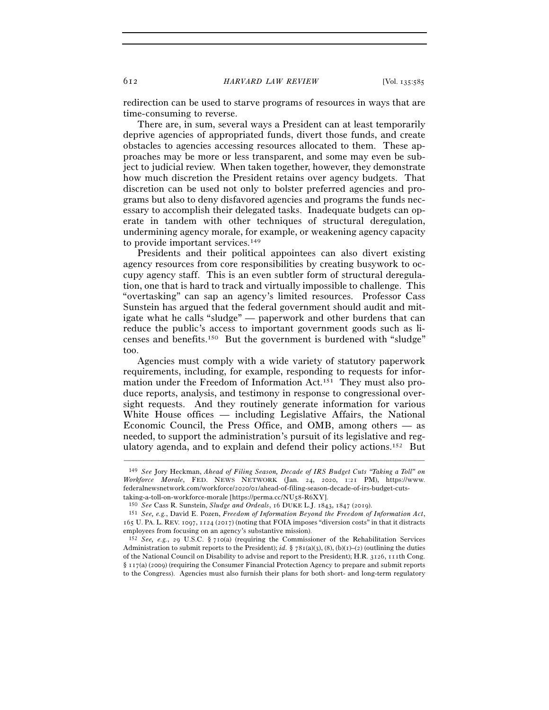redirection can be used to starve programs of resources in ways that are time-consuming to reverse.

There are, in sum, several ways a President can at least temporarily deprive agencies of appropriated funds, divert those funds, and create obstacles to agencies accessing resources allocated to them. These approaches may be more or less transparent, and some may even be subject to judicial review. When taken together, however, they demonstrate how much discretion the President retains over agency budgets. That discretion can be used not only to bolster preferred agencies and programs but also to deny disfavored agencies and programs the funds necessary to accomplish their delegated tasks. Inadequate budgets can operate in tandem with other techniques of structural deregulation, undermining agency morale, for example, or weakening agency capacity to provide important services.149

Presidents and their political appointees can also divert existing agency resources from core responsibilities by creating busywork to occupy agency staff. This is an even subtler form of structural deregulation, one that is hard to track and virtually impossible to challenge. This "overtasking" can sap an agency's limited resources. Professor Cass Sunstein has argued that the federal government should audit and mitigate what he calls "sludge" — paperwork and other burdens that can reduce the public's access to important government goods such as licenses and benefits.150 But the government is burdened with "sludge" too.

Agencies must comply with a wide variety of statutory paperwork requirements, including, for example, responding to requests for information under the Freedom of Information Act.151 They must also produce reports, analysis, and testimony in response to congressional oversight requests. And they routinely generate information for various White House offices — including Legislative Affairs, the National Economic Council, the Press Office, and OMB, among others — as needed, to support the administration's pursuit of its legislative and regulatory agenda, and to explain and defend their policy actions.152 But

<sup>149</sup> *See* Jory Heckman, *Ahead of Filing Season, Decade of IRS Budget Cuts "Taking a Toll" on Workforce Morale*, FED. NEWS NETWORK (Jan. 24, 2020, 1:21 PM), https://www. federalnewsnetwork.com/workforce/2020/01/ahead-of-filing-season-decade-of-irs-budget-cuts-

<sup>&</sup>lt;sup>150</sup> See Cass R. Sunstein, Sludge and Ordeals, 16 DUKE L.J. 1843, 1847 (2019).<br><sup>151</sup> See, e.g., David E. Pozen, *Freedom of Information Beyond the Freedom of Information Act*, 165 U. PA. L. REV. 1097, 1124 (2017) (noting that FOIA imposes "diversion costs" in that it distracts employees from focusing on an agency's substantive mission).

<sup>152</sup> *See, e.g.*, 29 U.S.C. § 710(a) (requiring the Commissioner of the Rehabilitation Services Administration to submit reports to the President); *id.*  $\S$  781(a)(3), (8), (b)(1)–(2) (outlining the duties of the National Council on Disability to advise and report to the President); H.R. 3126, 111th Cong. § 117(a) (2009) (requiring the Consumer Financial Protection Agency to prepare and submit reports to the Congress). Agencies must also furnish their plans for both short- and long-term regulatory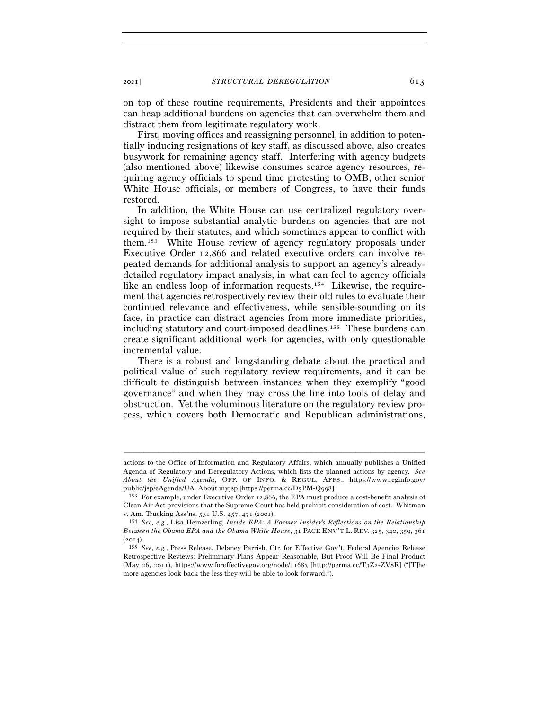on top of these routine requirements, Presidents and their appointees can heap additional burdens on agencies that can overwhelm them and distract them from legitimate regulatory work.

First, moving offices and reassigning personnel, in addition to potentially inducing resignations of key staff, as discussed above, also creates busywork for remaining agency staff. Interfering with agency budgets (also mentioned above) likewise consumes scarce agency resources, requiring agency officials to spend time protesting to OMB, other senior White House officials, or members of Congress, to have their funds restored.

In addition, the White House can use centralized regulatory oversight to impose substantial analytic burdens on agencies that are not required by their statutes, and which sometimes appear to conflict with them.153 White House review of agency regulatory proposals under Executive Order 12,866 and related executive orders can involve repeated demands for additional analysis to support an agency's alreadydetailed regulatory impact analysis, in what can feel to agency officials like an endless loop of information requests.154 Likewise, the requirement that agencies retrospectively review their old rules to evaluate their continued relevance and effectiveness, while sensible-sounding on its face, in practice can distract agencies from more immediate priorities, including statutory and court-imposed deadlines.155 These burdens can create significant additional work for agencies, with only questionable incremental value.

There is a robust and longstanding debate about the practical and political value of such regulatory review requirements, and it can be difficult to distinguish between instances when they exemplify "good governance" and when they may cross the line into tools of delay and obstruction. Yet the voluminous literature on the regulatory review process, which covers both Democratic and Republican administrations,

actions to the Office of Information and Regulatory Affairs, which annually publishes a Unified Agenda of Regulatory and Deregulatory Actions, which lists the planned actions by agency. *See About the Unified Agenda*, OFF. OF INFO. & REGUL. AFFS., https://www.reginfo.gov/ public/jsp/eAgenda/UA\_About.myjsp [https://perma.cc/D5PM-Q998].<br><sup>153</sup> For example, under Executive Order 12,866, the EPA must produce a cost-benefit analysis of

Clean Air Act provisions that the Supreme Court has held prohibit consideration of cost. Whitman v. Am. Trucking Ass'ns, 531 U.S. 457, 471 (2001).

<sup>&</sup>lt;sup>154</sup> See, e.g., Lisa Heinzerling, *Inside EPA: A Former Insider's Reflections on the Relationship Between the Obama EPA and the Obama White House*, 31 PACE ENV'T L. REV. 325, 340, 359, 361

<sup>(</sup><sup>2014</sup>). 155 *See, e.g.*, Press Release, Delaney Parrish, Ctr. for Effective Gov't, Federal Agencies Release Retrospective Reviews: Preliminary Plans Appear Reasonable, But Proof Will Be Final Product (May 26, 2011), https://www.foreffectivegov.org/node/11683 [http://perma.cc/T3Z2-ZV8R] ("[T]he more agencies look back the less they will be able to look forward.").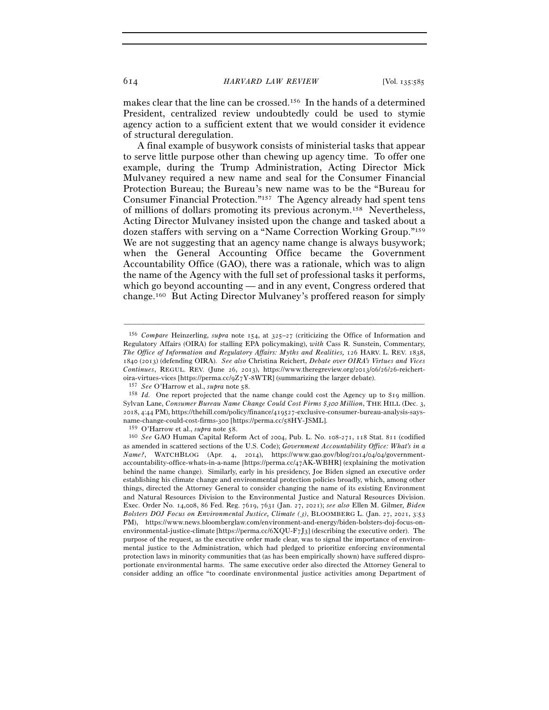makes clear that the line can be crossed.156 In the hands of a determined President, centralized review undoubtedly could be used to stymie agency action to a sufficient extent that we would consider it evidence of structural deregulation.

A final example of busywork consists of ministerial tasks that appear to serve little purpose other than chewing up agency time. To offer one example, during the Trump Administration, Acting Director Mick Mulvaney required a new name and seal for the Consumer Financial Protection Bureau; the Bureau's new name was to be the "Bureau for Consumer Financial Protection."157 The Agency already had spent tens of millions of dollars promoting its previous acronym.158 Nevertheless, Acting Director Mulvaney insisted upon the change and tasked about a dozen staffers with serving on a "Name Correction Working Group."159 We are not suggesting that an agency name change is always busywork; when the General Accounting Office became the Government Accountability Office (GAO), there was a rationale, which was to align the name of the Agency with the full set of professional tasks it performs, which go beyond accounting — and in any event, Congress ordered that change.160 But Acting Director Mulvaney's proffered reason for simply

<sup>156</sup> *Compare* Heinzerling, *supra* note 154, at 325–27 (criticizing the Office of Information and Regulatory Affairs (OIRA) for stalling EPA policymaking), *with* Cass R. Sunstein, Commentary, *The Office of Information and Regulatory Affairs: Myths and Realities,* 126 HARV. L. REV. 1838, 1840 (2013) (defending OIRA). *See also* Christina Reichert, *Debate over OIRA's Virtues and Vices Continues*, REGUL. REV. (June 26, 2013), https://www.theregreview.org/2013/06/26/26-reichertoira-virtues-vices [https://perma.cc/9Z7Y-8WTR] (summarizing the larger debate).<br><sup>157</sup> See O'Harrow et al., *supra* note 58.<br><sup>158</sup> Id. One report projected that the name change could cost the Agency up to \$19 million.

Sylvan Lane, *Consumer Bureau Name Change Could Cost Firms \$*300 *Million*, THE HILL (Dec. 3, 2018, 4:44 PM), https://thehill.com/policy/finance/419527-exclusive-consumer-bureau-analysis-saysname-change-could-cost-firms-300 [https://perma.cc/58HY-JSML].

<sup>159</sup> O'Harrow et al., *supra* note <sup>58</sup>. 160 *See* GAO Human Capital Reform Act of 2004, Pub. L. No. 108-271, 118 Stat. 811 (codified as amended in scattered sections of the U.S. Code); *Government Accountability Office: What's in a Name?*, WATCHBLOG (Apr. 4, 2014), https://www.gao.gov/blog/2014/04/04/governmentaccountability-office-whats-in-a-name [https://perma.cc/47AK-WBHR] (explaining the motivation behind the name change). Similarly, early in his presidency, Joe Biden signed an executive order establishing his climate change and environmental protection policies broadly, which, among other things, directed the Attorney General to consider changing the name of its existing Environment and Natural Resources Division to the Environmental Justice and Natural Resources Division. Exec. Order No. 14,008, 86 Fed. Reg. 7619, 7631 (Jan. 27, 2021); *see also* Ellen M. Gilmer*, Biden Bolsters DOJ Focus on Environmental Justice, Climate (*3*)*, BLOOMBERG L. (Jan. 27, 2021, 3:53 PM), https://www.news.bloomberglaw.com/environment-and-energy/biden-bolsters-doj-focus-onenvironmental-justice-climate [https://perma.cc/6XQU-F7J3] (describing the executive order). The purpose of the request, as the executive order made clear, was to signal the importance of environmental justice to the Administration, which had pledged to prioritize enforcing environmental protection laws in minority communities that (as has been empirically shown) have suffered disproportionate environmental harms. The same executive order also directed the Attorney General to consider adding an office "to coordinate environmental justice activities among Department of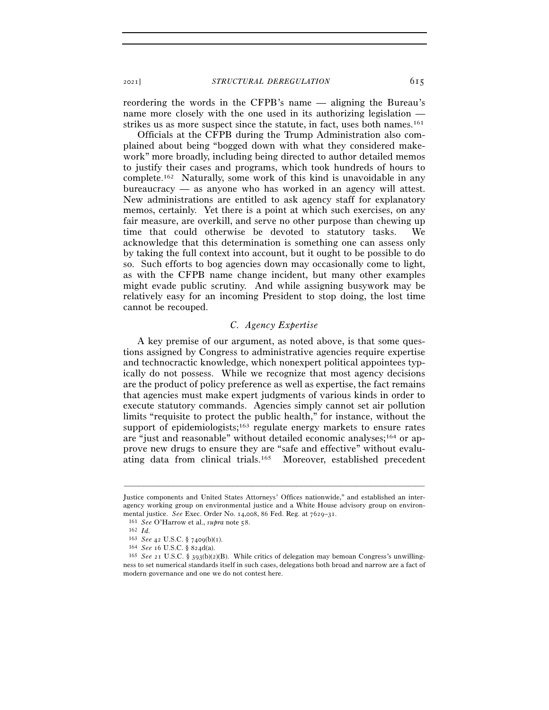<sup>2021</sup>] *STRUCTURAL DEREGULATION* 615

reordering the words in the CFPB's name — aligning the Bureau's name more closely with the one used in its authorizing legislation strikes us as more suspect since the statute, in fact, uses both names.<sup>161</sup>

Officials at the CFPB during the Trump Administration also complained about being "bogged down with what they considered makework" more broadly, including being directed to author detailed memos to justify their cases and programs, which took hundreds of hours to complete.162 Naturally, some work of this kind is unavoidable in any bureaucracy — as anyone who has worked in an agency will attest. New administrations are entitled to ask agency staff for explanatory memos, certainly. Yet there is a point at which such exercises, on any fair measure, are overkill, and serve no other purpose than chewing up time that could otherwise be devoted to statutory tasks. We acknowledge that this determination is something one can assess only by taking the full context into account, but it ought to be possible to do so. Such efforts to bog agencies down may occasionally come to light, as with the CFPB name change incident, but many other examples might evade public scrutiny. And while assigning busywork may be relatively easy for an incoming President to stop doing, the lost time cannot be recouped.

### *C. Agency Expertise*

A key premise of our argument, as noted above, is that some questions assigned by Congress to administrative agencies require expertise and technocractic knowledge, which nonexpert political appointees typically do not possess. While we recognize that most agency decisions are the product of policy preference as well as expertise, the fact remains that agencies must make expert judgments of various kinds in order to execute statutory commands. Agencies simply cannot set air pollution limits "requisite to protect the public health," for instance, without the support of epidemiologists; $163$  regulate energy markets to ensure rates are "just and reasonable" without detailed economic analyses;<sup>164</sup> or approve new drugs to ensure they are "safe and effective" without evaluating data from clinical trials.165 Moreover, established precedent

Justice components and United States Attorneys' Offices nationwide," and established an interagency working group on environmental justice and a White House advisory group on environmental justice. *See* Exec. Order No. 14,008, 86 Fed. Reg. at 7629–31.<br><sup>161</sup> *See* O'Harrow et al., *supra* note 58.<br><sup>162</sup> *Id.* 

<sup>163</sup> *See* <sup>42</sup> U.S.C. § 7409(b)(<sup>1</sup>). 164 *See* <sup>16</sup> U.S.C. § <sup>824</sup>d(a). 165 *See* <sup>21</sup> U.S.C. § 393(b)(2)(B). While critics of delegation may bemoan Congress's unwillingness to set numerical standards itself in such cases, delegations both broad and narrow are a fact of modern governance and one we do not contest here.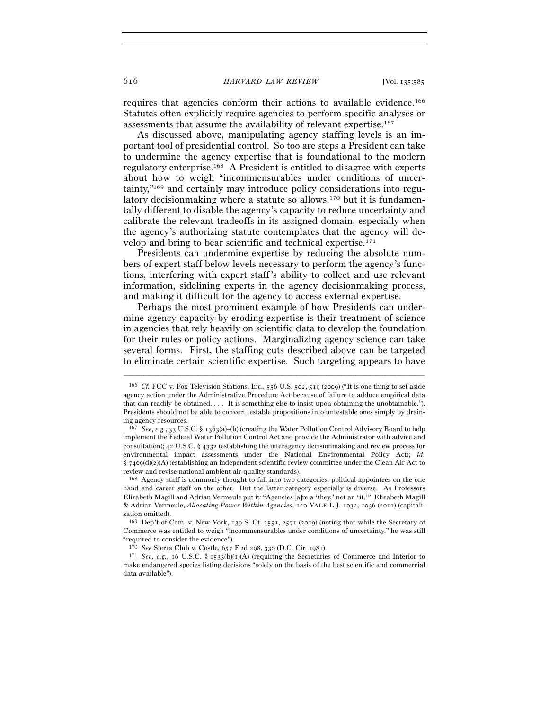#### 616 *HARVARD LAW REVIEW* [Vol. 135:<sup>585</sup>

requires that agencies conform their actions to available evidence.166 Statutes often explicitly require agencies to perform specific analyses or assessments that assume the availability of relevant expertise.167

As discussed above, manipulating agency staffing levels is an important tool of presidential control. So too are steps a President can take to undermine the agency expertise that is foundational to the modern regulatory enterprise.168 A President is entitled to disagree with experts about how to weigh "incommensurables under conditions of uncertainty,"169 and certainly may introduce policy considerations into regulatory decision making where a statute so allows, $170$  but it is fundamentally different to disable the agency's capacity to reduce uncertainty and calibrate the relevant tradeoffs in its assigned domain, especially when the agency's authorizing statute contemplates that the agency will develop and bring to bear scientific and technical expertise.171

Presidents can undermine expertise by reducing the absolute numbers of expert staff below levels necessary to perform the agency's functions, interfering with expert staff's ability to collect and use relevant information, sidelining experts in the agency decisionmaking process, and making it difficult for the agency to access external expertise.

Perhaps the most prominent example of how Presidents can undermine agency capacity by eroding expertise is their treatment of science in agencies that rely heavily on scientific data to develop the foundation for their rules or policy actions. Marginalizing agency science can take several forms. First, the staffing cuts described above can be targeted to eliminate certain scientific expertise. Such targeting appears to have

<sup>166</sup> *Cf.* FCC v. Fox Television Stations, Inc., 556 U.S. 502, 519 (2009) ("It is one thing to set aside agency action under the Administrative Procedure Act because of failure to adduce empirical data that can readily be obtained. . . . It is something else to insist upon obtaining the unobtainable."). Presidents should not be able to convert testable propositions into untestable ones simply by draining agency resources.

<sup>167</sup> *See, e.g.*, 33 U.S.C. § 1363(a)–(b) (creating the Water Pollution Control Advisory Board to help implement the Federal Water Pollution Control Act and provide the Administrator with advice and consultation); 42 U.S.C. § 4332 (establishing the interagency decisionmaking and review process for environmental impact assessments under the National Environmental Policy Act); *id.*   $§$  7409(d)(2)(A) (establishing an independent scientific review committee under the Clean Air Act to review and revise national ambient air quality standards).

<sup>168</sup> Agency staff is commonly thought to fall into two categories: political appointees on the one hand and career staff on the other. But the latter category especially is diverse. As Professors Elizabeth Magill and Adrian Vermeule put it: "Agencies [a]re a 'they,' not an 'it.'" Elizabeth Magill & Adrian Vermeule, *Allocating Power Within Agencies*, 120 YALE L.J. 1032, 1036 (2011) (capitalization omitted).

<sup>169</sup> Dep't of Com. v. New York, 139 S. Ct. 2551, 2571 (2019) (noting that while the Secretary of Commerce was entitled to weigh "incommensurables under conditions of uncertainty," he was still "required to consider the evidence").

<sup>170</sup> *See* Sierra Club v. Costle, 657 F.2d 298, 330 (D.C. Cir. 1981).

<sup>&</sup>lt;sup>171</sup> *See, e.g.*, 16 U.S.C. § 1533(b)(1)(A) (requiring the Secretaries of Commerce and Interior to make endangered species listing decisions "solely on the basis of the best scientific and commercial data available").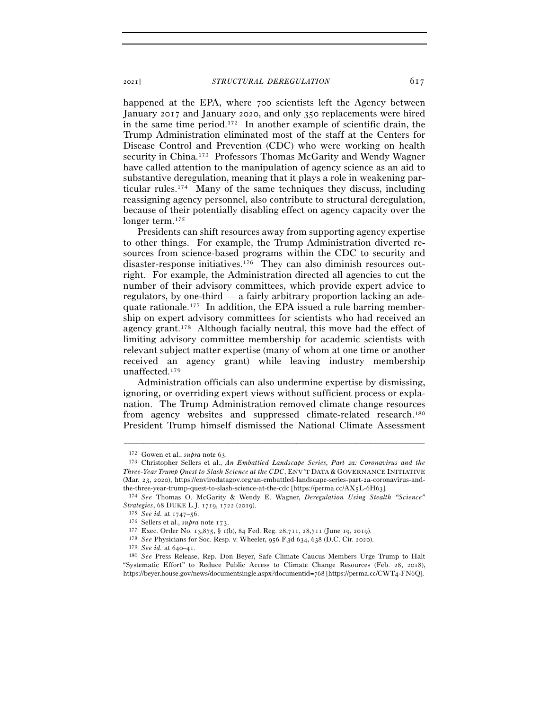happened at the EPA, where 700 scientists left the Agency between January 2017 and January 2020, and only 350 replacements were hired in the same time period.172 In another example of scientific drain, the Trump Administration eliminated most of the staff at the Centers for Disease Control and Prevention (CDC) who were working on health security in China.173 Professors Thomas McGarity and Wendy Wagner have called attention to the manipulation of agency science as an aid to substantive deregulation, meaning that it plays a role in weakening particular rules.174 Many of the same techniques they discuss, including reassigning agency personnel, also contribute to structural deregulation, because of their potentially disabling effect on agency capacity over the longer term.<sup>175</sup>

Presidents can shift resources away from supporting agency expertise to other things. For example, the Trump Administration diverted resources from science-based programs within the CDC to security and disaster-response initiatives.176 They can also diminish resources outright. For example, the Administration directed all agencies to cut the number of their advisory committees, which provide expert advice to regulators, by one-third — a fairly arbitrary proportion lacking an adequate rationale.177 In addition, the EPA issued a rule barring membership on expert advisory committees for scientists who had received an agency grant.178 Although facially neutral, this move had the effect of limiting advisory committee membership for academic scientists with relevant subject matter expertise (many of whom at one time or another received an agency grant) while leaving industry membership unaffected.179

Administration officials can also undermine expertise by dismissing, ignoring, or overriding expert views without sufficient process or explanation. The Trump Administration removed climate change resources from agency websites and suppressed climate-related research.180 President Trump himself dismissed the National Climate Assessment

<sup>172</sup> Gowen et al., *supra* note <sup>63</sup>. 173 Christopher Sellers et al., *An Embattled Landscape Series, Part* 2*a: Coronavirus and the Three-Year Trump Quest to Slash Science at the CDC*, ENV'T DATA & GOVERNANCE INITIATIVE (Mar. 23, 2020), https://envirodatagov.org/an-embattled-landscape-series-part-2a-coronavirus-andthe-three-year-trump-quest-to-slash-science-at-the-cdc [https://perma.cc/AX5L-6H<sup>63</sup>]. 174 *See* Thomas O. McGarity & Wendy E. Wagner, *Deregulation Using Stealth "Science"* 

Strategies, 68 DUKE L.J. 1719, 1722 (2019).<br>
<sup>175</sup> See id. at 1747–56.<br>
<sup>176</sup> Sellers et al., *supra* note 173.<br>
<sup>177</sup> Exec. Order No. 13,875, § 1(b), 84 Fed. Reg. 28,711, 28,711 (June 19, 2019).<br>
<sup>178</sup> See Physicians for

<sup>&</sup>lt;sup>180</sup> *See* Press Release, Rep. Don Bever, Safe Climate Caucus Members Urge Trump to Halt "Systematic Effort" to Reduce Public Access to Climate Change Resources (Feb. 28, 2018), https://beyer.house.gov/news/documentsingle.aspx?documentid=768 [https://perma.cc/CWT4-FN6Q].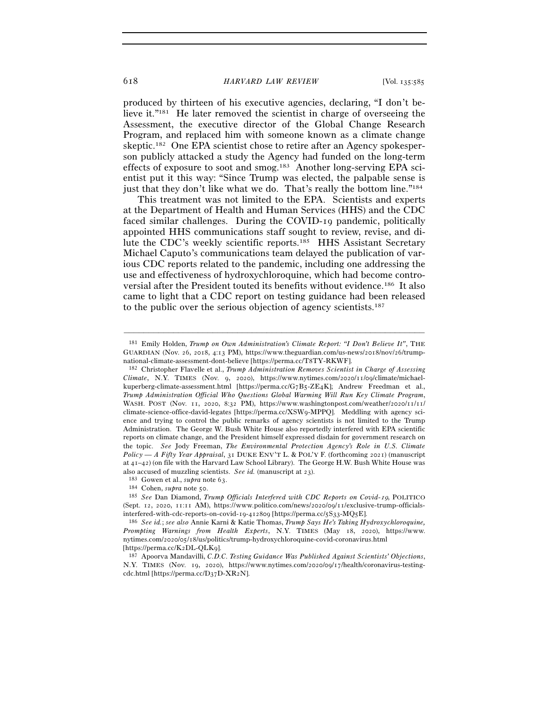produced by thirteen of his executive agencies, declaring, "I don't believe it."<sup>181</sup> He later removed the scientist in charge of overseeing the Assessment, the executive director of the Global Change Research Program, and replaced him with someone known as a climate change skeptic.182 One EPA scientist chose to retire after an Agency spokesperson publicly attacked a study the Agency had funded on the long-term effects of exposure to soot and smog.183 Another long-serving EPA scientist put it this way: "Since Trump was elected, the palpable sense is just that they don't like what we do. That's really the bottom line."<sup>184</sup>

This treatment was not limited to the EPA. Scientists and experts at the Department of Health and Human Services (HHS) and the CDC faced similar challenges. During the COVID-19 pandemic, politically appointed HHS communications staff sought to review, revise, and dilute the CDC's weekly scientific reports.185 HHS Assistant Secretary Michael Caputo's communications team delayed the publication of various CDC reports related to the pandemic, including one addressing the use and effectiveness of hydroxychloroquine, which had become controversial after the President touted its benefits without evidence.186 It also came to light that a CDC report on testing guidance had been released to the public over the serious objection of agency scientists.187

<sup>181</sup> Emily Holden, *Trump on Own Administration's Climate Report: "I Don't Believe It"*, THE GUARDIAN (Nov. 26, 2018, 4:13 PM), https://www.theguardian.com/us-news/2018/nov/26/trump-

national-climate-assessment-dont-believe [https://perma.cc/T<sup>8</sup>TY-RKWF]. 182 Christopher Flavelle et al., *Trump Administration Removes Scientist in Charge of Assessing Climate*, N.Y. TIMES (Nov. 9, 2020), https://www.nytimes.com/2020/11/09/climate/michaelkuperberg-climate-assessment.html [https://perma.cc/G7B5-ZE4K]; Andrew Freedman et al., *Trump Administration Official Who Questions Global Warming Will Run Key Climate Program*, WASH. POST (Nov. 11, 2020, 8:32 PM), https://www.washingtonpost.com/weather/2020/11/11/ climate-science-office-david-legates [https://perma.cc/XSW9-MPPQ]. Meddling with agency science and trying to control the public remarks of agency scientists is not limited to the Trump Administration. The George W. Bush White House also reportedly interfered with EPA scientific reports on climate change, and the President himself expressed disdain for government research on the topic. *See* Jody Freeman, *The Environmental Protection Agency's Role in U.S. Climate Policy — A Fifty Year Appraisal*, 31 DUKE ENV'T L. & POL'Y F. (forthcoming 2021) (manuscript at 41–42) (on file with the Harvard Law School Library). The George H.W. Bush White House was also accused of muzzling scientists. See id. (manuscript at 23).<br>
<sup>183</sup> Gowen et al., *supra* note 63.<br>
<sup>184</sup> Cohen, *supra* note 50.<br>
<sup>185</sup> See Dan Diamond, *Trump Officials Interfered with CDC Reports on Covid-19*, POLIT

<sup>(</sup>Sept. 12, 2020, 11:11 AM), https://www.politico.com/news/2020/09/11/exclusive-trump-officialsinterfered-with-cdc-reports-on-covid-19-412809 [https://perma.cc/5S33-MQ<sup>5</sup>E]. 186 *See id.*; *see also* Annie Karni & Katie Thomas, *Trump Says He's Taking Hydroxychloroquine,* 

*Prompting Warnings from Health Experts*, N.Y. TIMES (May 18, 2020), https://www. nytimes.com/2020/05/18/us/politics/trump-hydroxychloroquine-covid-coronavirus.html

<sup>[</sup>https://perma.cc/K2DL-QLK<sup>9</sup>]. 187 Apoorva Mandavilli, *C.D.C. Testing Guidance Was Published Against Scientists' Objections*, N.Y. TIMES (Nov. 19, 2020), https://www.nytimes.com/2020/09/17/health/coronavirus-testingcdc.html [https://perma.cc/D37D-XR2N].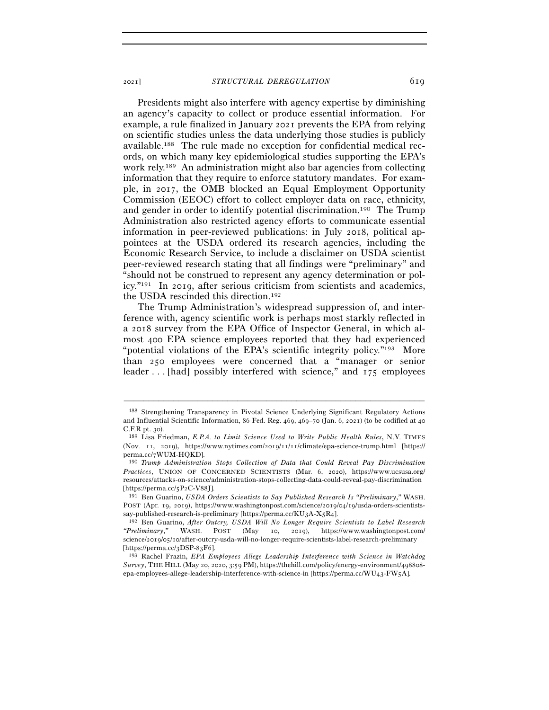Presidents might also interfere with agency expertise by diminishing an agency's capacity to collect or produce essential information. For example, a rule finalized in January 2021 prevents the EPA from relying on scientific studies unless the data underlying those studies is publicly available.188 The rule made no exception for confidential medical records, on which many key epidemiological studies supporting the EPA's work rely.189 An administration might also bar agencies from collecting information that they require to enforce statutory mandates. For example, in 2017, the OMB blocked an Equal Employment Opportunity Commission (EEOC) effort to collect employer data on race, ethnicity, and gender in order to identify potential discrimination.190 The Trump Administration also restricted agency efforts to communicate essential information in peer-reviewed publications: in July 2018, political appointees at the USDA ordered its research agencies, including the Economic Research Service, to include a disclaimer on USDA scientist peer-reviewed research stating that all findings were "preliminary" and "should not be construed to represent any agency determination or policy."191 In 2019, after serious criticism from scientists and academics, the USDA rescinded this direction.192

The Trump Administration's widespread suppression of, and interference with, agency scientific work is perhaps most starkly reflected in a 2018 survey from the EPA Office of Inspector General, in which almost 400 EPA science employees reported that they had experienced "potential violations of the EPA's scientific integrity policy."193 More than 250 employees were concerned that a "manager or senior leader . . . [had] possibly interfered with science," and 175 employees

<sup>188</sup> Strengthening Transparency in Pivotal Science Underlying Significant Regulatory Actions and Influential Scientific Information, 86 Fed. Reg. 469, 469–70 (Jan. 6, 2021) (to be codified at 40 C.F.R pt. <sup>30</sup>). 189 Lisa Friedman, *E.P.A. to Limit Science Used to Write Public Health Rules*, N.Y. TIMES

<sup>(</sup>Nov. 11, 2019), https://www.nytimes.com/2019/11/11/climate/epa-science-trump.html [https:// perma.cc/<sup>7</sup>WUM-HQKD]. 190 *Trump Administration Stops Collection of Data that Could Reveal Pay Discrimination* 

*Practices*, UNION OF CONCERNED SCIENTISTS (Mar. 6, 2020), https://www.ucsusa.org/ resources/attacks-on-science/administration-stops-collecting-data-could-reveal-pay-discrimination [https://perma.cc/5P2C-V<sup>88</sup>J]. 191 Ben Guarino, *USDA Orders Scientists to Say Published Research Is "Preliminary*,*"* WASH.

POST (Apr. 19, 2019), https://www.washingtonpost.com/science/2019/04/19/usda-orders-scientistssay-published-research-is-preliminary [https://perma.cc/KU3A-X5R4].

<sup>192</sup> Ben Guarino, *After Outcry, USDA Will No Longer Require Scientists to Label Research "Preliminary*,*"* WASH. POST (May 10, 2019), https://www.washingtonpost.com/ science/2019/05/10/after-outcry-usda-will-no-longer-require-scientists-label-research-preliminary [https://perma.cc/3DSP-83F<sup>6</sup>]. 193 Rachel Frazin, *EPA Employees Allege Leadership Interference with Science in Watchdog* 

*Survey*, THE HILL (May 20, 2020, 3:59 PM), https://thehill.com/policy/energy-environment/498808 epa-employees-allege-leadership-interference-with-science-in [https://perma.cc/WU43-FW5A].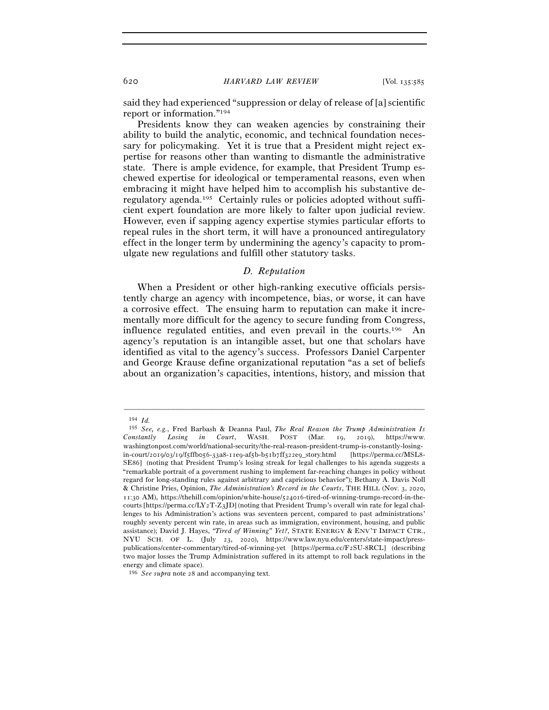said they had experienced "suppression or delay of release of [a] scientific report or information."194

Presidents know they can weaken agencies by constraining their ability to build the analytic, economic, and technical foundation necessary for policymaking. Yet it is true that a President might reject expertise for reasons other than wanting to dismantle the administrative state. There is ample evidence, for example, that President Trump eschewed expertise for ideological or temperamental reasons, even when embracing it might have helped him to accomplish his substantive deregulatory agenda.195 Certainly rules or policies adopted without sufficient expert foundation are more likely to falter upon judicial review. However, even if sapping agency expertise stymies particular efforts to repeal rules in the short term, it will have a pronounced antiregulatory effect in the longer term by undermining the agency's capacity to promulgate new regulations and fulfill other statutory tasks.

### *D. Reputation*

When a President or other high-ranking executive officials persistently charge an agency with incompetence, bias, or worse, it can have a corrosive effect. The ensuing harm to reputation can make it incrementally more difficult for the agency to secure funding from Congress, influence regulated entities, and even prevail in the courts.196 An agency's reputation is an intangible asset, but one that scholars have identified as vital to the agency's success. Professors Daniel Carpenter and George Krause define organizational reputation "as a set of beliefs about an organization's capacities, intentions, history, and mission that

<sup>194</sup> *Id.*

<sup>195</sup> *See, e.g.*, Fred Barbash & Deanna Paul, *The Real Reason the Trump Administration Is Constantly Losing in Court*, WASH. POST (Mar. 19, 2019), https://www. washingtonpost.com/world/national-security/the-real-reason-president-trump-is-constantly-losingin-court/2019/03/19/f5ffb056-33a8-11e9-af5b-b51b7ff322e9\_story.html [https://perma.cc/MSL8- SE86] (noting that President Trump's losing streak for legal challenges to his agenda suggests a "remarkable portrait of a government rushing to implement far-reaching changes in policy without regard for long-standing rules against arbitrary and capricious behavior"); Bethany A. Davis Noll & Christine Pries, Opinion, *The Administration's Record in the Courts*, THE HILL (Nov. 3, 2020, 11:30 AM), https://thehill.com/opinion/white-house/524016-tired-of-winning-trumps-record-in-thecourts [https://perma.cc/LY2T-Z3JD] (noting that President Trump's overall win rate for legal challenges to his Administration's actions was seventeen percent, compared to past administrations' roughly seventy percent win rate, in areas such as immigration, environment, housing, and public assistance); David J. Hayes, *"Tired of Winning" Yet?*, STATE ENERGY & ENV'T IMPACT CTR., NYU SCH. OF L. (July 23, 2020), https://www.law.nyu.edu/centers/state-impact/presspublications/center-commentary/tired-of-winning-yet [https://perma.cc/F2SU-8RCL] (describing two major losses the Trump Administration suffered in its attempt to roll back regulations in the energy and climate space).

<sup>196</sup> *See supra* note 28 and accompanying text.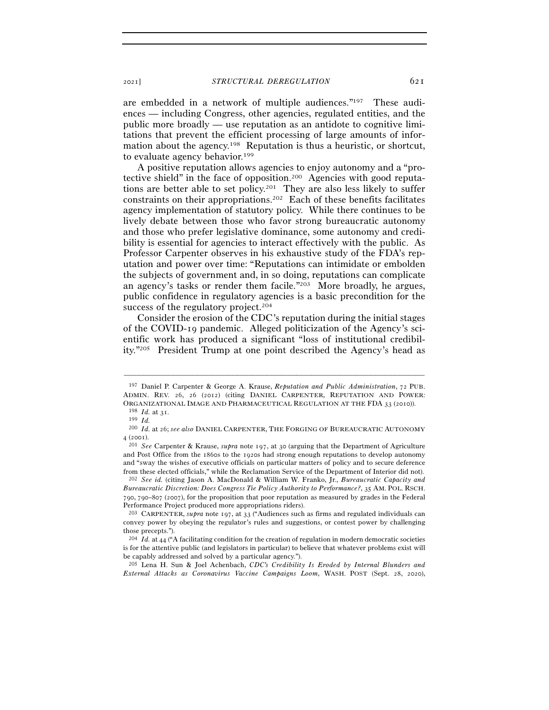are embedded in a network of multiple audiences."197 These audiences — including Congress, other agencies, regulated entities, and the public more broadly — use reputation as an antidote to cognitive limitations that prevent the efficient processing of large amounts of information about the agency.198 Reputation is thus a heuristic, or shortcut, to evaluate agency behavior.199

A positive reputation allows agencies to enjoy autonomy and a "protective shield" in the face of opposition.200 Agencies with good reputations are better able to set policy.201 They are also less likely to suffer constraints on their appropriations.202 Each of these benefits facilitates agency implementation of statutory policy. While there continues to be lively debate between those who favor strong bureaucratic autonomy and those who prefer legislative dominance, some autonomy and credibility is essential for agencies to interact effectively with the public. As Professor Carpenter observes in his exhaustive study of the FDA's reputation and power over time: "Reputations can intimidate or embolden the subjects of government and, in so doing, reputations can complicate an agency's tasks or render them facile."203 More broadly, he argues, public confidence in regulatory agencies is a basic precondition for the success of the regulatory project.<sup>204</sup>

Consider the erosion of the CDC's reputation during the initial stages of the COVID-19 pandemic. Alleged politicization of the Agency's scientific work has produced a significant "loss of institutional credibility."205 President Trump at one point described the Agency's head as

<sup>197</sup> Daniel P. Carpenter & George A. Krause, *Reputation and Public Administration*, 72 PUB. ADMIN. REV. 26, 26 (2012) (citing DANIEL CARPENTER, REPUTATION AND POWER: ORGANIZATIONAL IMAGE AND PHARMACEUTICAL REGULATION AT THE FDA  $3\,$  (2010)).  $^{198}$   $Id.$  at  $3^{\rm I}.$   $^{199}$   $Id.$ 

<sup>200</sup> *Id.* at 26; *see also* DANIEL CARPENTER, THE FORGING OF BUREAUCRATIC AUTONOMY <sup>4</sup> (<sup>2001</sup>). 201 *See* Carpenter & Krause, *supra* note 197, at 30 (arguing that the Department of Agriculture

and Post Office from the 1860s to the 1920s had strong enough reputations to develop autonomy and "sway the wishes of executive officials on particular matters of policy and to secure deference from these elected officials," while the Reclamation Service of the Department of Interior did not). 202 *See id.* (citing Jason A. MacDonald & William W. Franko, Jr., *Bureaucratic Capacity and* 

*Bureaucratic Discretion: Does Congress Tie Policy Authority to Performance?*, 35 AM. POL. RSCH. 790, 790–807 (2007), for the proposition that poor reputation as measured by grades in the Federal Performance Project produced more appropriations riders).

<sup>203</sup> CARPENTER, *supra* note 197, at 33 ("Audiences such as firms and regulated individuals can convey power by obeying the regulator's rules and suggestions, or contest power by challenging those precepts.").

<sup>204</sup> *Id.* at 44 ("A facilitating condition for the creation of regulation in modern democratic societies is for the attentive public (and legislators in particular) to believe that whatever problems exist will be capably addressed and solved by a particular agency.").

<sup>205</sup> Lena H. Sun & Joel Achenbach, *CDC's Credibility Is Eroded by Internal Blunders and External Attacks as Coronavirus Vaccine Campaigns Loom*, WASH. POST (Sept. 28, 2020),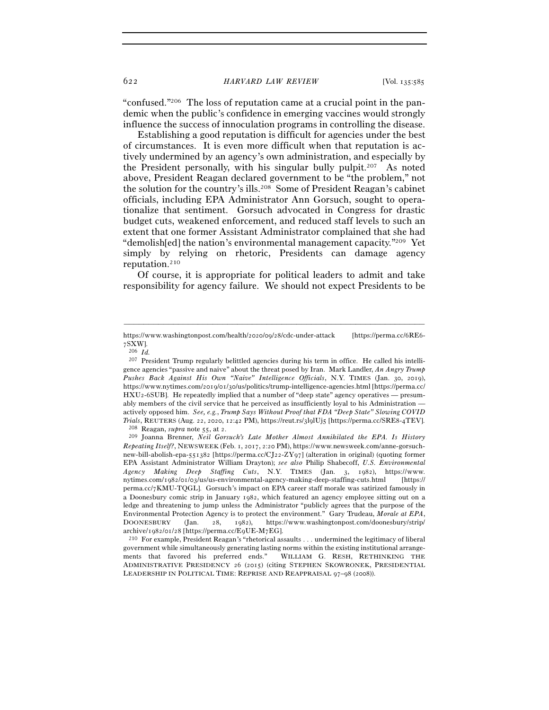"confused."206 The loss of reputation came at a crucial point in the pandemic when the public's confidence in emerging vaccines would strongly influence the success of innoculation programs in controlling the disease.

Establishing a good reputation is difficult for agencies under the best of circumstances. It is even more difficult when that reputation is actively undermined by an agency's own administration, and especially by the President personally, with his singular bully pulpit.207 As noted above, President Reagan declared government to be "the problem," not the solution for the country's ills.208 Some of President Reagan's cabinet officials, including EPA Administrator Ann Gorsuch, sought to operationalize that sentiment. Gorsuch advocated in Congress for drastic budget cuts, weakened enforcement, and reduced staff levels to such an extent that one former Assistant Administrator complained that she had "demolish[ed] the nation's environmental management capacity."209 Yet simply by relying on rhetoric, Presidents can damage agency reputation.210

Of course, it is appropriate for political leaders to admit and take responsibility for agency failure. We should not expect Presidents to be

<sup>–––––––––––––––––––––––––––––––––––––––––––––––––––––––––––––</sup> https://www.washingtonpost.com/health/2020/09/28/cdc-under-attack [https://perma.cc/6RE6- 7SXW].

<sup>206</sup> *Id.* 

<sup>207</sup> President Trump regularly belittled agencies during his term in office. He called his intelligence agencies "passive and naive" about the threat posed by Iran. Mark Landler, *An Angry Trump Pushes Back Against His Own "Naive" Intelligence Officials*, N.Y. TIMES (Jan. 30, 2019), https://www.nytimes.com/2019/01/30/us/politics/trump-intelligence-agencies.html [https://perma.cc/ HXU2-6SUB]. He repeatedly implied that a number of "deep state" agency operatives — presumably members of the civil service that he perceived as insufficiently loyal to his Administration actively opposed him. *See, e.g.*, *Trump Says Without Proof that FDA "Deep State" Slowing COVID*  Trials, REUTERS (Aug. 22, 2020, 12:42 PM), https://reut.rs/3lglUj5 [https://perma.cc/SRE8-4TEV].<br><sup>208</sup> Reagan, *supra* note 55, at 2.<br><sup>209</sup> Joanna Brenner, *Neil Gorsuch's Late Mother Almost Annihilated the EPA. Is History* 

*Repeating Itself?*, NEWSWEEK (Feb. 1, 2017, 2:20 PM), https://www.newsweek.com/anne-gorsuchnew-bill-abolish-epa-551382 [https://perma.cc/CJ22-ZY97] (alteration in original) (quoting former EPA Assistant Administrator William Drayton); *see also* Philip Shabecoff, *U.S. Environmental Agency Making Deep Staffing Cuts*, N.Y. TIMES (Jan. 3, 1982), https://www. nytimes.com/1982/01/03/us/us-environmental-agency-making-deep-staffing-cuts.html [https:// perma.cc/7KMU-TQGL]. Gorsuch's impact on EPA career staff morale was satirized famously in a Doonesbury comic strip in January 1982, which featured an agency employee sitting out on a ledge and threatening to jump unless the Administrator "publicly agrees that the purpose of the Environmental Protection Agency is to protect the environment." Gary Trudeau, *Morale at EPA*, DOONESBURY (Jan. 28, 1982), https://www.washingtonpost.com/doonesbury/strip/ archive/1982/01/28 [https://perma.cc/E9UE-M7EG].<br><sup>210</sup> For example, President Reagan's "rhetorical assaults . . . undermined the legitimacy of liberal

government while simultaneously generating lasting norms within the existing institutional arrangements that favored his preferred ends." WILLIAM G. RESH, RETHINKING THE ADMINISTRATIVE PRESIDENCY 26 (2015) (citing STEPHEN SKOWRONEK, PRESIDENTIAL LEADERSHIP IN POLITICAL TIME: REPRISE AND REAPPRAISAL 97–98 (2008)).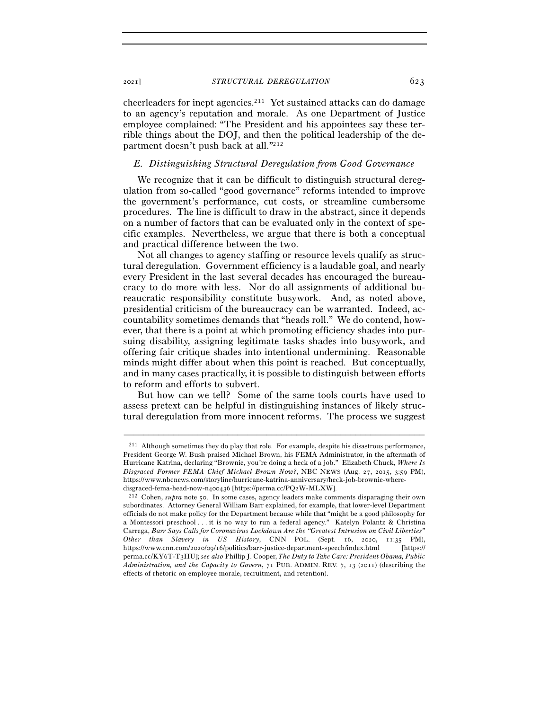cheerleaders for inept agencies.211 Yet sustained attacks can do damage to an agency's reputation and morale. As one Department of Justice employee complained: "The President and his appointees say these terrible things about the DOJ, and then the political leadership of the department doesn't push back at all."<sup>212</sup>

# *E. Distinguishing Structural Deregulation from Good Governance*

We recognize that it can be difficult to distinguish structural deregulation from so-called "good governance" reforms intended to improve the government's performance, cut costs, or streamline cumbersome procedures. The line is difficult to draw in the abstract, since it depends on a number of factors that can be evaluated only in the context of specific examples. Nevertheless, we argue that there is both a conceptual and practical difference between the two.

Not all changes to agency staffing or resource levels qualify as structural deregulation. Government efficiency is a laudable goal, and nearly every President in the last several decades has encouraged the bureaucracy to do more with less. Nor do all assignments of additional bureaucratic responsibility constitute busywork. And, as noted above, presidential criticism of the bureaucracy can be warranted. Indeed, accountability sometimes demands that "heads roll." We do contend, however, that there is a point at which promoting efficiency shades into pursuing disability, assigning legitimate tasks shades into busywork, and offering fair critique shades into intentional undermining. Reasonable minds might differ about when this point is reached. But conceptually, and in many cases practically, it is possible to distinguish between efforts to reform and efforts to subvert.

But how can we tell? Some of the same tools courts have used to assess pretext can be helpful in distinguishing instances of likely structural deregulation from more innocent reforms. The process we suggest

<sup>211</sup> Although sometimes they do play that role. For example, despite his disastrous performance, President George W. Bush praised Michael Brown, his FEMA Administrator, in the aftermath of Hurricane Katrina, declaring "Brownie, you're doing a heck of a job." Elizabeth Chuck, *Where Is Disgraced Former FEMA Chief Michael Brown Now?*, NBC NEWS (Aug. 27, 2015, 3:59 PM), https://www.nbcnews.com/storyline/hurricane-katrina-anniversary/heck-job-brownie-where-

disgraced-fema-head-now-n400436 [https://perma.cc/PQ<sup>2</sup>W-MLXW]. 212 Cohen, *supra* note 50. In some cases, agency leaders make comments disparaging their own subordinates. Attorney General William Barr explained, for example, that lower-level Department officials do not make policy for the Department because while that "might be a good philosophy for a Montessori preschool . . . it is no way to run a federal agency." Katelyn Polantz & Christina Carrega, *Barr Says Calls for Coronavirus Lockdown Are the "Greatest Intrusion on Civil Liberties" Other than Slavery in US History*, CNN POL. (Sept. 16, 2020, 11:35 PM), https://www.cnn.com/2020/09/16/politics/barr-justice-department-speech/index.html [https:// perma.cc/KY6T-T3HU]; *see also* Phillip J. Cooper, *The Duty to Take Care: President Obama, Public Administration, and the Capacity to Govern*, 71 PUB. ADMIN. REV. 7, 13 (2011) (describing the effects of rhetoric on employee morale, recruitment, and retention).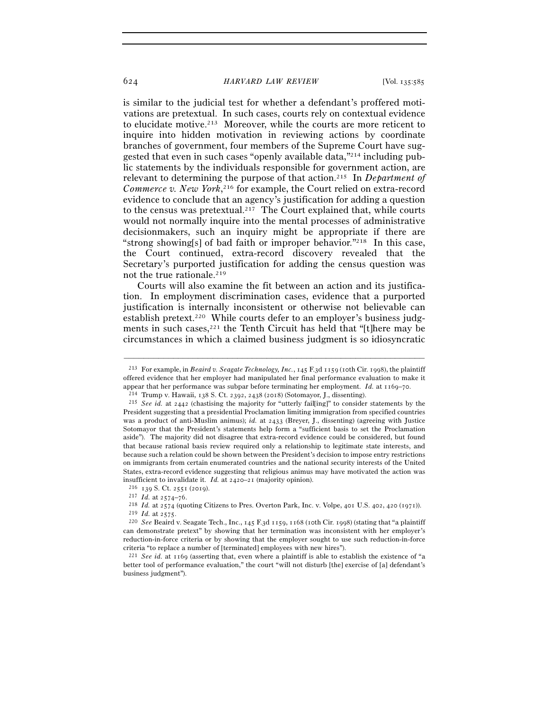#### 624 *HARVARD LAW REVIEW* [Vol. 135:<sup>585</sup>

is similar to the judicial test for whether a defendant's proffered motivations are pretextual. In such cases, courts rely on contextual evidence to elucidate motive.213 Moreover, while the courts are more reticent to inquire into hidden motivation in reviewing actions by coordinate branches of government, four members of the Supreme Court have suggested that even in such cases "openly available data,"214 including public statements by the individuals responsible for government action, are relevant to determining the purpose of that action.215 In *Department of Commerce v. New York*, 216 for example, the Court relied on extra-record evidence to conclude that an agency's justification for adding a question to the census was pretextual.217 The Court explained that, while courts would not normally inquire into the mental processes of administrative decisionmakers, such an inquiry might be appropriate if there are "strong showing[s] of bad faith or improper behavior."218 In this case, the Court continued, extra-record discovery revealed that the Secretary's purported justification for adding the census question was not the true rationale.<sup>219</sup>

Courts will also examine the fit between an action and its justification. In employment discrimination cases, evidence that a purported justification is internally inconsistent or otherwise not believable can establish pretext.<sup>220</sup> While courts defer to an employer's business judgments in such cases,  $2^{21}$  the Tenth Circuit has held that "[t]here may be circumstances in which a claimed business judgment is so idiosyncratic

<sup>213</sup> For example, in *Beaird v. Seagate Technology, Inc.*, 145 F.3d 1159 (10th Cir. 1998), the plaintiff offered evidence that her employer had manipulated her final performance evaluation to make it appear that her performance was subpar before terminating her employment. *Id.* at  $1169-70$ .<br><sup>214</sup> Trump v. Hawaii, 138 S. Ct. 2392, 2438 (2018) (Sotomayor, J., dissenting).<br><sup>215</sup> See id. at 2442 (chastising the majority

President suggesting that a presidential Proclamation limiting immigration from specified countries was a product of anti-Muslim animus); *id.* at 2433 (Breyer, J., dissenting) (agreeing with Justice Sotomayor that the President's statements help form a "sufficient basis to set the Proclamation aside"). The majority did not disagree that extra-record evidence could be considered, but found that because rational basis review required only a relationship to legitimate state interests, and because such a relation could be shown between the President's decision to impose entry restrictions on immigrants from certain enumerated countries and the national security interests of the United States, extra-record evidence suggesting that religious animus may have motivated the action was

insufficient to invalidate it. *Id.* at 2420–21 (majority opinion).<br>
<sup>216</sup> 139 S. Ct. 2551 (2019).<br>
<sup>217</sup> *Id.* at 2574–76.<br>
<sup>218</sup> *Id.* at 2574 (quoting Citizens to Pres. Overton Park, Inc. v. Volpe, 401 U.S. 402, 420 (1

can demonstrate pretext" by showing that her termination was inconsistent with her employer's reduction-in-force criteria or by showing that the employer sought to use such reduction-in-force criteria "to replace a number of [terminated] employees with new hires"). 221 *See id.* at 1169 (asserting that, even where a plaintiff is able to establish the existence of "a

better tool of performance evaluation," the court "will not disturb [the] exercise of [a] defendant's business judgment").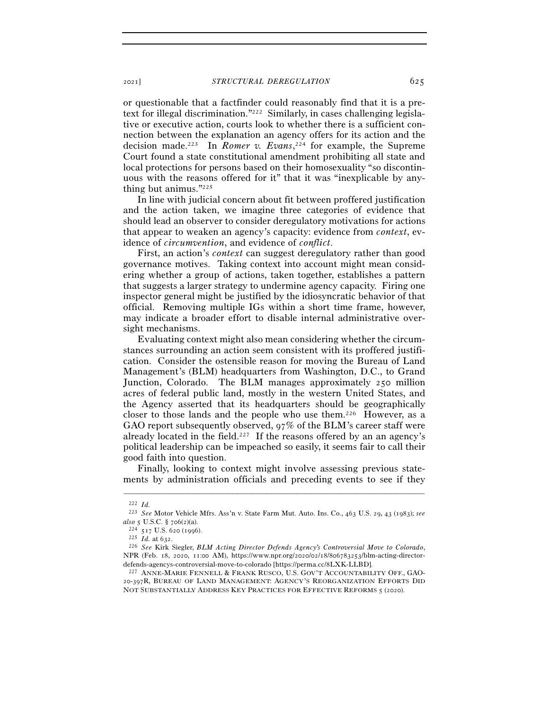or questionable that a factfinder could reasonably find that it is a pretext for illegal discrimination."222 Similarly, in cases challenging legislative or executive action, courts look to whether there is a sufficient connection between the explanation an agency offers for its action and the decision made.223 In *Romer v. Evans*, 224 for example, the Supreme Court found a state constitutional amendment prohibiting all state and local protections for persons based on their homosexuality "so discontinuous with the reasons offered for it" that it was "inexplicable by anything but animus."225

In line with judicial concern about fit between proffered justification and the action taken, we imagine three categories of evidence that should lead an observer to consider deregulatory motivations for actions that appear to weaken an agency's capacity: evidence from *context*, evidence of *circumvention*, and evidence of *conflict*.

First, an action's *context* can suggest deregulatory rather than good governance motives. Taking context into account might mean considering whether a group of actions, taken together, establishes a pattern that suggests a larger strategy to undermine agency capacity. Firing one inspector general might be justified by the idiosyncratic behavior of that official. Removing multiple IGs within a short time frame, however, may indicate a broader effort to disable internal administrative oversight mechanisms.

Evaluating context might also mean considering whether the circumstances surrounding an action seem consistent with its proffered justification. Consider the ostensible reason for moving the Bureau of Land Management's (BLM) headquarters from Washington, D.C., to Grand Junction, Colorado. The BLM manages approximately 250 million acres of federal public land, mostly in the western United States, and the Agency asserted that its headquarters should be geographically closer to those lands and the people who use them.226 However, as a GAO report subsequently observed, 97% of the BLM's career staff were already located in the field.<sup>227</sup> If the reasons offered by an an agency's political leadership can be impeached so easily, it seems fair to call their good faith into question.

Finally, looking to context might involve assessing previous statements by administration officials and preceding events to see if they

<sup>222</sup> *Id.*

<sup>223</sup> *See* Motor Vehicle Mfrs. Ass'n v. State Farm Mut. Auto. Ins. Co., 463 U.S. 29, 43 (1983); *see* 

*also* <sup>5</sup> U.S.C. § 706(<sup>2</sup>)(a). 224 <sup>517</sup> U.S. 620 (<sup>1996</sup>). 225 *Id.* at <sup>632</sup>. 226 *See* Kirk Siegler, *BLM Acting Director Defends Agency's Controversial Move to Colorado*, NPR (Feb. 18, 2020, 11:00 AM), https://www.npr.org/2020/02/18/806783253/blm-acting-directordefends-agencys-controversial-move-to-colorado [https://perma.cc/8LXK-LLBD].<br><sup>227</sup> ANNE-MARIE FENNELL & FRANK RUSCO, U.S. GOV'T ACCOUNTABILITY OFF., GAO-

<sup>20</sup>-397R, BUREAU OF LAND MANAGEMENT: AGENCY'S REORGANIZATION EFFORTS DID NOT SUBSTANTIALLY ADDRESS KEY PRACTICES FOR EFFECTIVE REFORMS 5 (2020).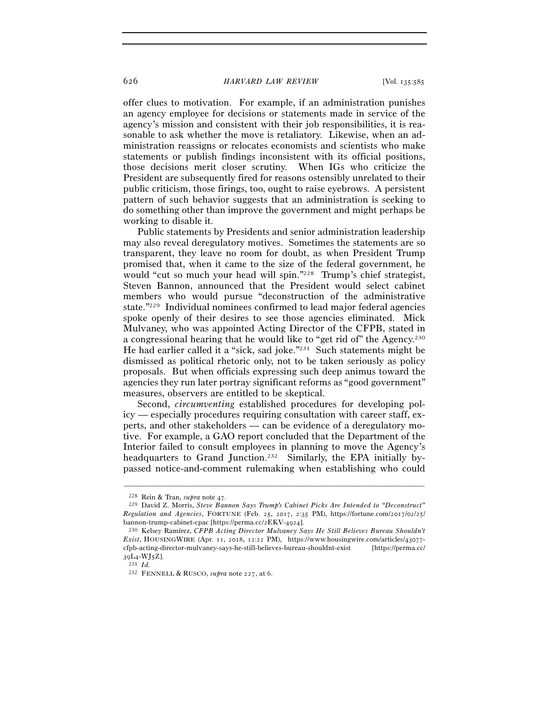offer clues to motivation. For example, if an administration punishes an agency employee for decisions or statements made in service of the agency's mission and consistent with their job responsibilities, it is reasonable to ask whether the move is retaliatory. Likewise, when an administration reassigns or relocates economists and scientists who make statements or publish findings inconsistent with its official positions, those decisions merit closer scrutiny. When IGs who criticize the President are subsequently fired for reasons ostensibly unrelated to their public criticism, those firings, too, ought to raise eyebrows. A persistent pattern of such behavior suggests that an administration is seeking to do something other than improve the government and might perhaps be working to disable it.

Public statements by Presidents and senior administration leadership may also reveal deregulatory motives. Sometimes the statements are so transparent, they leave no room for doubt, as when President Trump promised that, when it came to the size of the federal government, he would "cut so much your head will spin."228 Trump's chief strategist, Steven Bannon, announced that the President would select cabinet members who would pursue "deconstruction of the administrative state."229 Individual nominees confirmed to lead major federal agencies spoke openly of their desires to see those agencies eliminated. Mick Mulvaney, who was appointed Acting Director of the CFPB, stated in a congressional hearing that he would like to "get rid of" the Agency.230 He had earlier called it a "sick, sad joke."231 Such statements might be dismissed as political rhetoric only, not to be taken seriously as policy proposals. But when officials expressing such deep animus toward the agencies they run later portray significant reforms as "good government" measures, observers are entitled to be skeptical.

Second, *circumventing* established procedures for developing policy — especially procedures requiring consultation with career staff, experts, and other stakeholders — can be evidence of a deregulatory motive. For example, a GAO report concluded that the Department of the Interior failed to consult employees in planning to move the Agency's headquarters to Grand Junction.<sup>232</sup> Similarly, the EPA initially bypassed notice-and-comment rulemaking when establishing who could

<sup>228</sup> Rein & Tran, *supra* note <sup>47</sup>. 229 David Z. Morris, *Steve Bannon Says Trump's Cabinet Picks Are Intended to "Deconstruct" Regulation and Agencies*, FORTUNE (Feb. 25, 2017, 2:35 PM), https://fortune.com/2017/02/25/ bannon-trump-cabinet-cpac [https://perma.cc/2EKV-<sup>4924</sup>]. 230 Kelsey Ramírez, *CFPB Acting Director Mulvaney Says He Still Believes Bureau Shouldn't* 

*Exist*, HOUSINGWIRE (Apr. 11, 2018, 12:22 PM), https://www.housingwire.com/articles/43077 cfpb-acting-director-mulvaney-says-he-still-believes-bureau-shouldnt-exist [https://perma.cc/  $39L<sub>4</sub> - WJ<sub>5</sub>Z$ ].<br> $^{231}Id.$ 

<sup>232</sup> FENNELL & RUSCO, *supra* note 227, at 6.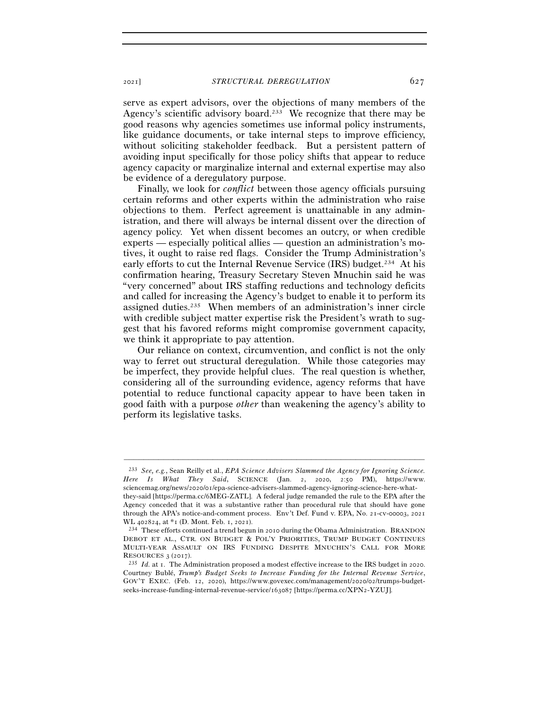serve as expert advisors, over the objections of many members of the Agency's scientific advisory board.<sup>233</sup> We recognize that there may be good reasons why agencies sometimes use informal policy instruments, like guidance documents, or take internal steps to improve efficiency, without soliciting stakeholder feedback. But a persistent pattern of avoiding input specifically for those policy shifts that appear to reduce agency capacity or marginalize internal and external expertise may also be evidence of a deregulatory purpose.

Finally, we look for *conflict* between those agency officials pursuing certain reforms and other experts within the administration who raise objections to them. Perfect agreement is unattainable in any administration, and there will always be internal dissent over the direction of agency policy. Yet when dissent becomes an outcry, or when credible experts — especially political allies — question an administration's motives, it ought to raise red flags. Consider the Trump Administration's early efforts to cut the Internal Revenue Service (IRS) budget.<sup>234</sup> At his confirmation hearing, Treasury Secretary Steven Mnuchin said he was "very concerned" about IRS staffing reductions and technology deficits and called for increasing the Agency's budget to enable it to perform its assigned duties.235 When members of an administration's inner circle with credible subject matter expertise risk the President's wrath to suggest that his favored reforms might compromise government capacity, we think it appropriate to pay attention.

Our reliance on context, circumvention, and conflict is not the only way to ferret out structural deregulation. While those categories may be imperfect, they provide helpful clues. The real question is whether, considering all of the surrounding evidence, agency reforms that have potential to reduce functional capacity appear to have been taken in good faith with a purpose *other* than weakening the agency's ability to perform its legislative tasks.

<sup>233</sup> *See, e.g.*, Sean Reilly et al., *EPA Science Advisers Slammed the Agency for Ignoring Science. Here Is What They Said*, SCIENCE (Jan. 2, 2020, 2:50 PM), https://www. sciencemag.org/news/2020/01/epa-science-advisers-slammed-agency-ignoring-science-here-whatthey-said [https://perma.cc/6MEG-ZATL]. A federal judge remanded the rule to the EPA after the Agency conceded that it was a substantive rather than procedural rule that should have gone through the APA's notice-and-comment process. Env't Def. Fund v. EPA, No. 21-cv-00003, 2021

WL 402824, at  $*_1$  (D. Mont. Feb. 1, 2021).<br><sup>234</sup> These efforts continued a trend begun in 2010 during the Obama Administration. BRANDON DEBOT ET AL., CTR. ON BUDGET & POL'Y PRIORITIES, TRUMP BUDGET CONTINUES MULTI-YEAR ASSAULT ON IRS FUNDING DESPITE MNUCHIN'S CALL FOR MORE

RESOURCES <sup>3</sup> (<sup>2017</sup>). 235 *Id.* at 1. The Administration proposed a modest effective increase to the IRS budget in 2020. Courtney Bublé, *Trump's Budget Seeks to Increase Funding for the Internal Revenue Service*, GOV'T EXEC. (Feb. 12, 2020), https://www.govexec.com/management/2020/02/trumps-budgetseeks-increase-funding-internal-revenue-service/163087 [https://perma.cc/XPN2-YZUJ].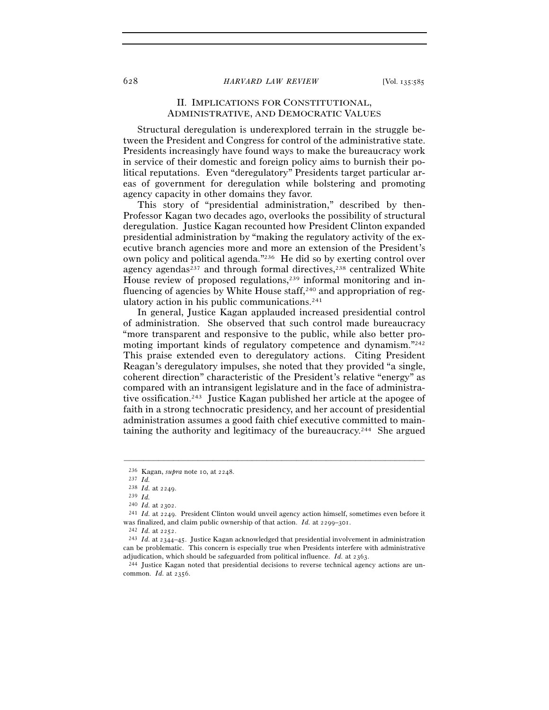### 628 *HARVARD LAW REVIEW* [Vol. 135:<sup>585</sup>

# II. IMPLICATIONS FOR CONSTITUTIONAL, ADMINISTRATIVE, AND DEMOCRATIC VALUES

Structural deregulation is underexplored terrain in the struggle between the President and Congress for control of the administrative state. Presidents increasingly have found ways to make the bureaucracy work in service of their domestic and foreign policy aims to burnish their political reputations. Even "deregulatory" Presidents target particular areas of government for deregulation while bolstering and promoting agency capacity in other domains they favor.

This story of "presidential administration," described by then-Professor Kagan two decades ago, overlooks the possibility of structural deregulation. Justice Kagan recounted how President Clinton expanded presidential administration by "making the regulatory activity of the executive branch agencies more and more an extension of the President's own policy and political agenda."236 He did so by exerting control over agency agendas $^{237}$  and through formal directives, $^{238}$  centralized White House review of proposed regulations,<sup>239</sup> informal monitoring and influencing of agencies by White House staff,<sup>240</sup> and appropriation of regulatory action in his public communications.<sup>241</sup>

In general, Justice Kagan applauded increased presidential control of administration. She observed that such control made bureaucracy "more transparent and responsive to the public, while also better promoting important kinds of regulatory competence and dynamism."242 This praise extended even to deregulatory actions. Citing President Reagan's deregulatory impulses, she noted that they provided "a single, coherent direction" characteristic of the President's relative "energy" as compared with an intransigent legislature and in the face of administrative ossification.243 Justice Kagan published her article at the apogee of faith in a strong technocratic presidency, and her account of presidential administration assumes a good faith chief executive committed to maintaining the authority and legitimacy of the bureaucracy.<sup>244</sup> She argued

<sup>236</sup> Kagan, *supra* note 10, at <sup>2248</sup>. 237 *Id.* 

<sup>238</sup> *Id.* at <sup>2249</sup>. 239 *Id.* 

<sup>240</sup> *Id.* at <sup>2302</sup>. 241 *Id.* at 2249. President Clinton would unveil agency action himself, sometimes even before it was finalized, and claim public ownership of that action. *Id.* at 2299–301.<br><sup>242</sup> *Id.* at 2252.<br><sup>243</sup> *Id.* at 2344–45. Justice Kagan acknowledged that presidential involvement in administration

can be problematic. This concern is especially true when Presidents interfere with administrative adjudication, which should be safeguarded from political influence. *Id.* at 2363.<br><sup>244</sup> Justice Kagan noted that presidential decisions to reverse technical agency actions are un-

common. *Id.* at 2356.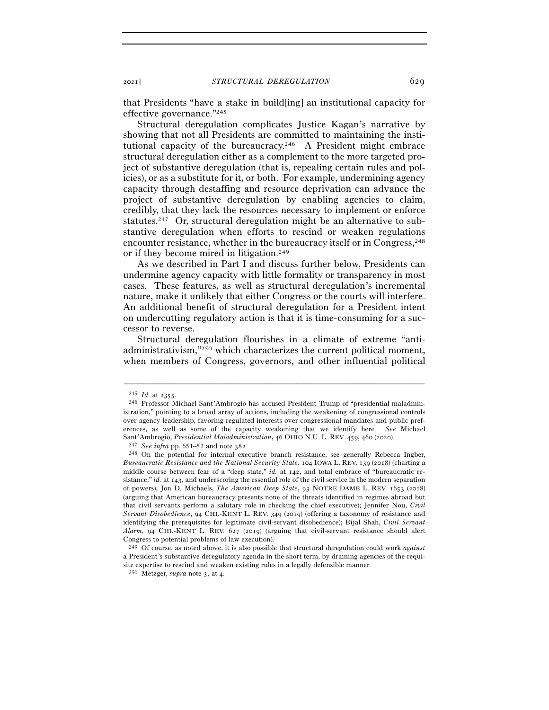that Presidents "have a stake in build[ing] an institutional capacity for effective governance."245

Structural deregulation complicates Justice Kagan's narrative by showing that not all Presidents are committed to maintaining the institutional capacity of the bureaucracy.246 A President might embrace structural deregulation either as a complement to the more targeted project of substantive deregulation (that is, repealing certain rules and policies), or as a substitute for it, or both. For example, undermining agency capacity through destaffing and resource deprivation can advance the project of substantive deregulation by enabling agencies to claim, credibly, that they lack the resources necessary to implement or enforce statutes.247 Or, structural deregulation might be an alternative to substantive deregulation when efforts to rescind or weaken regulations encounter resistance, whether in the bureaucracy itself or in Congress, <sup>248</sup> or if they become mired in litigation.249

As we described in Part I and discuss further below, Presidents can undermine agency capacity with little formality or transparency in most cases. These features, as well as structural deregulation's incremental nature, make it unlikely that either Congress or the courts will interfere. An additional benefit of structural deregulation for a President intent on undercutting regulatory action is that it is time-consuming for a successor to reverse.

Structural deregulation flourishes in a climate of extreme "antiadministrativism,"250 which characterizes the current political moment, when members of Congress, governors, and other influential political

<sup>&</sup>lt;sup>245</sup> *Id.* at 2355.<br><sup>246</sup> Professor Michael Sant'Ambrogio has accused President Trump of "presidential maladministration," pointing to a broad array of actions, including the weakening of congressional controls over agency leadership, favoring regulated interests over congressional mandates and public preferences, as well as some of the capacity weakening that we identify here. *See* Michael Sant'Ambrogio, Presidential Maladministration, 46 OHIO N.U. L. REV. 459, 460 (2020).<br><sup>247</sup> See infra pp. 651–52 and note 382.<br><sup>248</sup> On the potential for internal executive branch resistance, see generally Rebecca Ingber,

*Bureaucratic Resistance and the National Security State*, 104 IOWA L. REV. 139 (2018) (charting a middle course between fear of a "deep state," *id.* at 142, and total embrace of "bureaucratic resistance," *id.* at 143, and underscoring the essential role of the civil service in the modern separation of powers); Jon D. Michaels, *The American Deep State*, 93 NOTRE DAME L. REV. 1653 (2018) (arguing that American bureaucracy presents none of the threats identified in regimes abroad but that civil servants perform a salutary role in checking the chief executive); Jennifer Nou, *Civil Servant Disobedience*, 94 CHI.-KENT L. REV. 349 (2019) (offering a taxonomy of resistance and identifying the prerequisites for legitimate civil-servant disobedience); Bijal Shah, *Civil Servant Alarm*, 94 CHI.-KENT L. REV. 627 (2019) (arguing that civil-servant resistance should alert Congress to potential problems of law execution).

<sup>249</sup> Of course, as noted above, it is also possible that structural deregulation could work *against* a President's substantive deregulatory agenda in the short term, by draining agencies of the requisite expertise to rescind and weaken existing rules in a legally defensible manner.

<sup>250</sup> Metzger, *supra* note 3, at 4.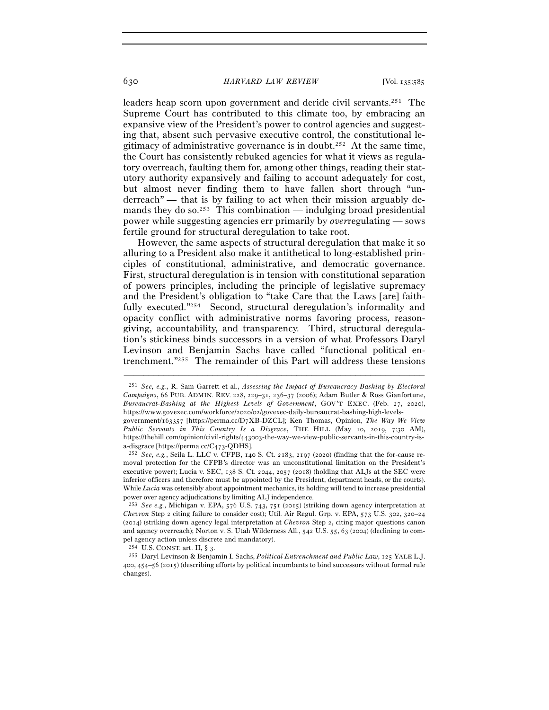#### 630 *HARVARD LAW REVIEW* [Vol. 135:<sup>585</sup>

leaders heap scorn upon government and deride civil servants.251 The Supreme Court has contributed to this climate too, by embracing an expansive view of the President's power to control agencies and suggesting that, absent such pervasive executive control, the constitutional legitimacy of administrative governance is in doubt.252 At the same time, the Court has consistently rebuked agencies for what it views as regulatory overreach, faulting them for, among other things, reading their statutory authority expansively and failing to account adequately for cost, but almost never finding them to have fallen short through "underreach" — that is by failing to act when their mission arguably demands they do so.<sup>253</sup> This combination — indulging broad presidential power while suggesting agencies err primarily by *over*regulating — sows fertile ground for structural deregulation to take root.

However, the same aspects of structural deregulation that make it so alluring to a President also make it antithetical to long-established principles of constitutional, administrative, and democratic governance. First, structural deregulation is in tension with constitutional separation of powers principles, including the principle of legislative supremacy and the President's obligation to "take Care that the Laws [are] faithfully executed."<sup>254</sup> Second, structural deregulation's informality and opacity conflict with administrative norms favoring process, reasongiving, accountability, and transparency. Third, structural deregulation's stickiness binds successors in a version of what Professors Daryl Levinson and Benjamin Sachs have called "functional political entrenchment."255 The remainder of this Part will address these tensions

<sup>251</sup> *See, e.g.*, R. Sam Garrett et al., *Assessing the Impact of Bureaucracy Bashing by Electoral Campaigns*, 66 PUB. ADMIN. REV. 228, 229–31, 236–37 (2006); Adam Butler & Ross Gianfortune, *Bureaucrat-Bashing at the Highest Levels of Government*, GOV'T EXEC. (Feb. 27, 2020), https://www.govexec.com/workforce/2020/02/govexec-daily-bureaucrat-bashing-high-levels-

government/163357 [https://perma.cc/D7XB-DZCL]; Ken Thomas, Opinion, *The Way We View Public Servants in This Country Is a Disgrace*, THE HILL (May 10, 2019, 7:30 AM), https://thehill.com/opinion/civil-rights/443003-the-way-we-view-public-servants-in-this-country-isa-disgrace [https://perma.cc/C<sup>473</sup>-QDHS]. 252 *See, e.g.*, Seila L. LLC v. CFPB, 140 S. Ct. 2183, 2197 (2020) (finding that the for-cause re-

moval protection for the CFPB's director was an unconstitutional limitation on the President's executive power); Lucia v. SEC, 138 S. Ct. 2044, 2057 (2018) (holding that ALJs at the SEC were inferior officers and therefore must be appointed by the President, department heads, or the courts). While *Lucia* was ostensibly about appointment mechanics, its holding will tend to increase presidential power over agency adjudications by limiting ALJ independence.

<sup>253</sup> *See e.g.*, Michigan v. EPA, 576 U.S. 743, 751 (2015) (striking down agency interpretation at *Chevron* Step 2 citing failure to consider cost); Util. Air Regul. Grp. v. EPA, 573 U.S. 302, 320–24 (2014) (striking down agency legal interpretation at *Chevron* Step 2, citing major questions canon and agency overreach); Norton v. S. Utah Wilderness All., 542 U.S. 55, 63 (2004) (declining to compel agency action unless discrete and mandatory).

<sup>254</sup> U.S. CONST. art. II, § <sup>3</sup>. 255 Daryl Levinson & Benjamin I. Sachs, *Political Entrenchment and Public Law*, 125 YALE L.J. 400, 454–56 (2015) (describing efforts by political incumbents to bind successors without formal rule changes).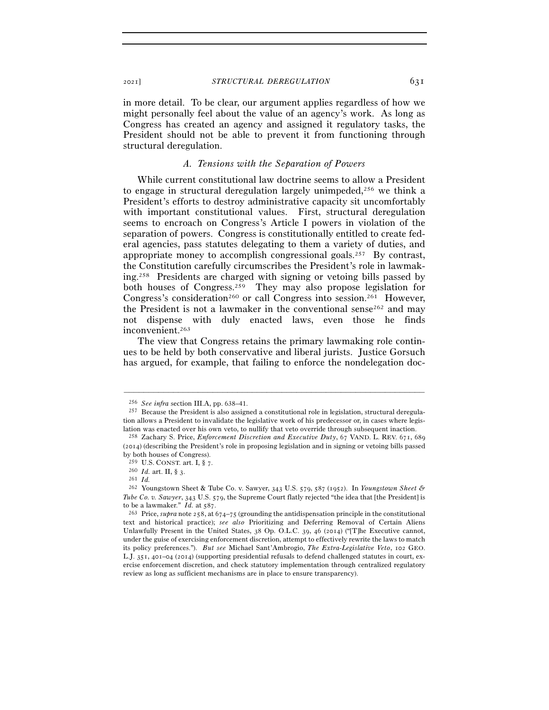in more detail. To be clear, our argument applies regardless of how we might personally feel about the value of an agency's work. As long as Congress has created an agency and assigned it regulatory tasks, the President should not be able to prevent it from functioning through structural deregulation.

# *A. Tensions with the Separation of Powers*

While current constitutional law doctrine seems to allow a President to engage in structural deregulation largely unimpeded,<sup>256</sup> we think a President's efforts to destroy administrative capacity sit uncomfortably with important constitutional values. First, structural deregulation seems to encroach on Congress's Article I powers in violation of the separation of powers. Congress is constitutionally entitled to create federal agencies, pass statutes delegating to them a variety of duties, and appropriate money to accomplish congressional goals.257 By contrast, the Constitution carefully circumscribes the President's role in lawmaking.258 Presidents are charged with signing or vetoing bills passed by both houses of Congress.259 They may also propose legislation for Congress's consideration<sup>260</sup> or call Congress into session.<sup>261</sup> However, the President is not a lawmaker in the conventional sense  $2^{62}$  and may not dispense with duly enacted laws, even those he finds inconvenient.263

The view that Congress retains the primary lawmaking role continues to be held by both conservative and liberal jurists. Justice Gorsuch has argued, for example, that failing to enforce the nondelegation doc-

<sup>256</sup> *See infra* section III.A, pp. 638–41.

<sup>257</sup> Because the President is also assigned a constitutional role in legislation, structural deregulation allows a President to invalidate the legislative work of his predecessor or, in cases where legislation was enacted over his own veto, to nullify that veto override through subsequent inaction. 258 Zachary S. Price, *Enforcement Discretion and Executive Duty*, 67 VAND. L. REV. 671, <sup>689</sup>

<sup>(</sup>2014) (describing the President's role in proposing legislation and in signing or vetoing bills passed by both houses of Congress).

<sup>259</sup> U.S. CONST. art. I, § <sup>7</sup>. 260 *Id.* art. II, § <sup>3</sup>. 261 *Id.* 

<sup>262</sup> Youngstown Sheet & Tube Co. v. Sawyer, 343 U.S. 579, 587 (1952). In *Youngstown Sheet & Tube Co. v. Sawyer*, 343 U.S. 579, the Supreme Court flatly rejected "the idea that [the President] is to be a lawmaker." *Id.* at 587.<br><sup>263</sup> Price, *supra* note 258, at 674–75 (grounding the antidispensation principle in the constitutional

text and historical practice); *see also* Prioritizing and Deferring Removal of Certain Aliens Unlawfully Present in the United States, 38 Op. O.L.C. 39, 46 (2014) ("[T]he Executive cannot, under the guise of exercising enforcement discretion, attempt to effectively rewrite the laws to match its policy preferences."). *But see* Michael Sant'Ambrogio, *The Extra-Legislative Veto*, 102 GEO. L.J. 351, 401–04 (2014) (supporting presidential refusals to defend challenged statutes in court, exercise enforcement discretion, and check statutory implementation through centralized regulatory review as long as sufficient mechanisms are in place to ensure transparency).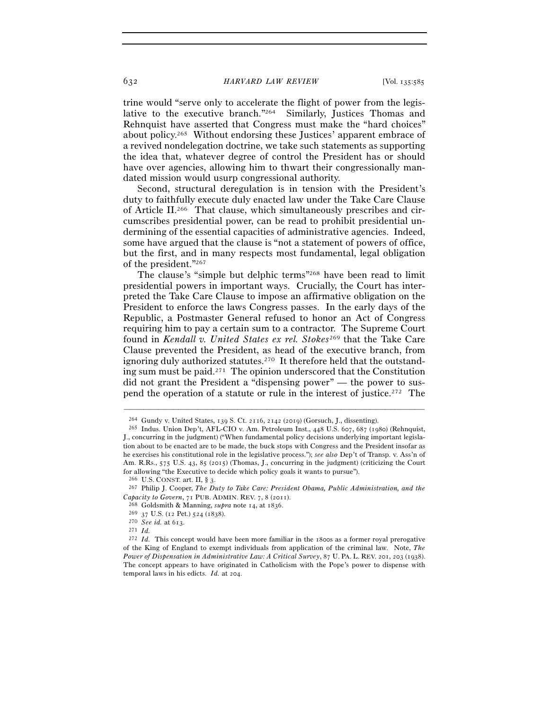trine would "serve only to accelerate the flight of power from the legislative to the executive branch."264 Similarly, Justices Thomas and Rehnquist have asserted that Congress must make the "hard choices" about policy.265 Without endorsing these Justices' apparent embrace of a revived nondelegation doctrine, we take such statements as supporting the idea that, whatever degree of control the President has or should have over agencies, allowing him to thwart their congressionally mandated mission would usurp congressional authority.

Second, structural deregulation is in tension with the President's duty to faithfully execute duly enacted law under the Take Care Clause of Article II.266 That clause, which simultaneously prescribes and circumscribes presidential power, can be read to prohibit presidential undermining of the essential capacities of administrative agencies. Indeed, some have argued that the clause is "not a statement of powers of office, but the first, and in many respects most fundamental, legal obligation of the president."267

The clause's "simple but delphic terms"268 have been read to limit presidential powers in important ways. Crucially, the Court has interpreted the Take Care Clause to impose an affirmative obligation on the President to enforce the laws Congress passes. In the early days of the Republic, a Postmaster General refused to honor an Act of Congress requiring him to pay a certain sum to a contractor. The Supreme Court found in *Kendall v. United States ex rel. Stokes*269 that the Take Care Clause prevented the President, as head of the executive branch, from ignoring duly authorized statutes.270 It therefore held that the outstanding sum must be paid.271 The opinion underscored that the Constitution did not grant the President a "dispensing power" — the power to suspend the operation of a statute or rule in the interest of justice.272 The

<sup>&</sup>lt;sup>264</sup> Gundy v. United States, 139 S. Ct. 2116, 2142 (2019) (Gorsuch, J., dissenting).<br><sup>265</sup> Indus. Union Dep't, AFL-CIO v. Am. Petroleum Inst., 448 U.S. 607, 687 (1980) (Rehnquist, J., concurring in the judgment) ("When fundamental policy decisions underlying important legislation about to be enacted are to be made, the buck stops with Congress and the President insofar as he exercises his constitutional role in the legislative process."); *see also* Dep't of Transp. v. Ass'n of Am. R.Rs., 575 U.S. 43, 85 (2015) (Thomas, J., concurring in the judgment) (criticizing the Court for allowing "the Executive to decide which policy goals it wants to pursue").

<sup>266</sup> U.S. CONST. art. II, § <sup>3</sup>. 267 Philip J. Cooper, *The Duty to Take Care: President Obama, Public Administration, and the Capacity to Govern*, 71 PUB. ADMIN. REV. 7, 8 (2011).<br><sup>268</sup> Goldsmith & Manning, *supra* note 14, at 1836.<br><sup>269</sup> 37 U.S. (12 Pet.) 524 (1838).<br><sup>270</sup> *See id.* at 613.<br><sup>271</sup> *Id.* 

<sup>272</sup> *Id.* This concept would have been more familiar in the 1800s as a former royal prerogative of the King of England to exempt individuals from application of the criminal law. Note, *The Power of Dispensation in Administrative Law: A Critical Survey*, 87 U. PA. L. REV. 201, 203 (1938). The concept appears to have originated in Catholicism with the Pope's power to dispense with temporal laws in his edicts. *Id.* at 204.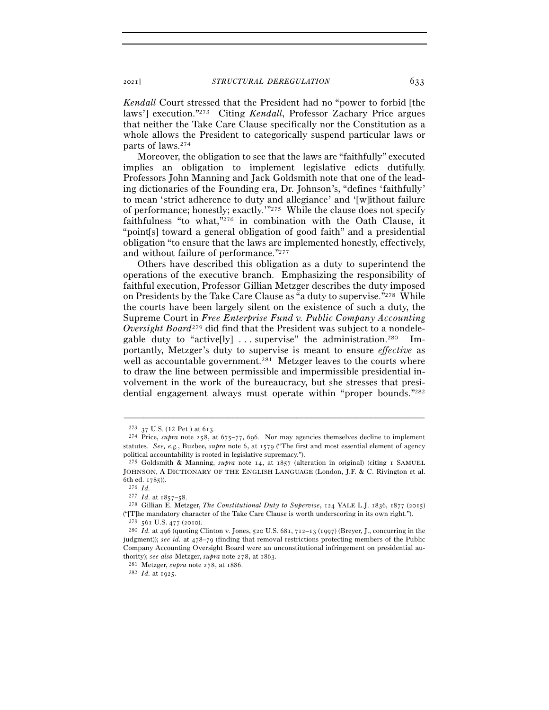*Kendall* Court stressed that the President had no "power to forbid [the laws'] execution."273 Citing *Kendall*, Professor Zachary Price argues that neither the Take Care Clause specifically nor the Constitution as a whole allows the President to categorically suspend particular laws or parts of laws.274

Moreover, the obligation to see that the laws are "faithfully" executed implies an obligation to implement legislative edicts dutifully. Professors John Manning and Jack Goldsmith note that one of the leading dictionaries of the Founding era, Dr. Johnson's, "defines 'faithfully' to mean 'strict adherence to duty and allegiance' and '[w]ithout failure of performance; honestly; exactly.'"275 While the clause does not specify faithfulness "to what,"276 in combination with the Oath Clause, it "point[s] toward a general obligation of good faith" and a presidential obligation "to ensure that the laws are implemented honestly, effectively, and without failure of performance."277

Others have described this obligation as a duty to superintend the operations of the executive branch. Emphasizing the responsibility of faithful execution, Professor Gillian Metzger describes the duty imposed on Presidents by the Take Care Clause as "a duty to supervise."278 While the courts have been largely silent on the existence of such a duty, the Supreme Court in *Free Enterprise Fund v. Public Company Accounting Oversight Board*279 did find that the President was subject to a nondelegable duty to "active[ly]  $\dots$  supervise" the administration.<sup>280</sup> Importantly, Metzger's duty to supervise is meant to ensure *effective* as well as accountable government.<sup>281</sup> Metzger leaves to the courts where to draw the line between permissible and impermissible presidential involvement in the work of the bureaucracy, but she stresses that presidential engagement always must operate within "proper bounds."282

<sup>&</sup>lt;sup>273</sup> 37 U.S. (12 Pet.) at 613.<br><sup>274</sup> Price, *supra* note 258, at 675–77, 696. Nor may agencies themselves decline to implement statutes. *See, e.g.*, Buzbee, *supra* note 6, at 1579 ("The first and most essential element of agency political accountability is rooted in legislative supremacy.").

<sup>275</sup> Goldsmith & Manning, *supra* note 14, at 1857 (alteration in original) (citing 1 SAMUEL JOHNSON, A DICTIONARY OF THE ENGLISH LANGUAGE (London, J.F. & C. Rivington et al. % 6th ed. 1785)).<br>
<sup>276</sup> *Id.*<br>
<sup>277</sup> *Id.* at 1857–58.

<sup>&</sup>lt;sup>278</sup> Gillian E. Metzger, *The Constitutional Duty to Supervise*, 124 YALE L.J. 1836, 1877 (2015) ("[T]he mandatory character of the Take Care Clause is worth underscoring in its own right.").

<sup>279</sup> <sup>561</sup> U.S. 477 (<sup>2010</sup>). 280 *Id.* at 496 (quoting Clinton v. Jones, 520 U.S. 681, 712–13 (1997) (Breyer, J., concurring in the judgment)); *see id.* at 478–79 (finding that removal restrictions protecting members of the Public Company Accounting Oversight Board were an unconstitutional infringement on presidential authority); *see also* Metzger, *supra* note 278, at <sup>1863</sup>. 281 Metzger, *supra* note 278, at <sup>1886</sup>. 282 *Id.* at 1925.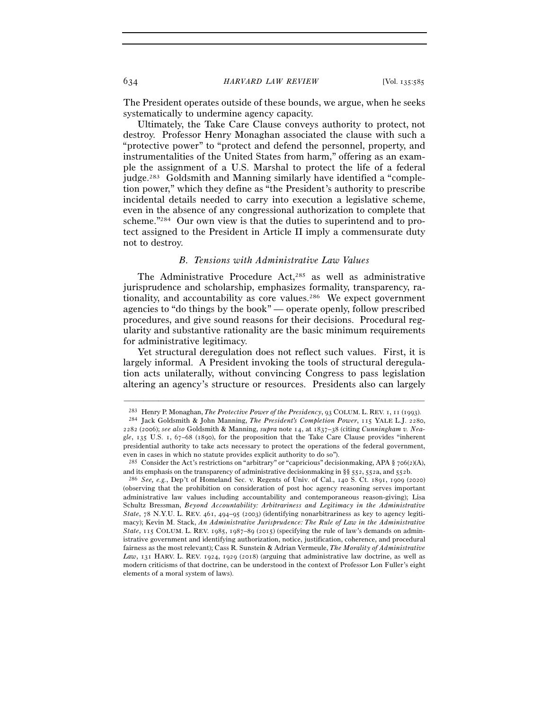The President operates outside of these bounds, we argue, when he seeks systematically to undermine agency capacity.

Ultimately, the Take Care Clause conveys authority to protect, not destroy. Professor Henry Monaghan associated the clause with such a "protective power" to "protect and defend the personnel, property, and instrumentalities of the United States from harm," offering as an example the assignment of a U.S. Marshal to protect the life of a federal judge.<sup>283</sup> Goldsmith and Manning similarly have identified a "completion power," which they define as "the President's authority to prescribe incidental details needed to carry into execution a legislative scheme, even in the absence of any congressional authorization to complete that scheme."284 Our own view is that the duties to superintend and to protect assigned to the President in Article II imply a commensurate duty not to destroy.

## *B. Tensions with Administrative Law Values*

The Administrative Procedure Act,<sup>285</sup> as well as administrative jurisprudence and scholarship, emphasizes formality, transparency, rationality, and accountability as core values.<sup>286</sup> We expect government agencies to "do things by the book" — operate openly, follow prescribed procedures, and give sound reasons for their decisions. Procedural regularity and substantive rationality are the basic minimum requirements for administrative legitimacy.

Yet structural deregulation does not reflect such values. First, it is largely informal. A President invoking the tools of structural deregulation acts unilaterally, without convincing Congress to pass legislation altering an agency's structure or resources. Presidents also can largely

<sup>–––––––––––––––––––––––––––––––––––––––––––––––––––––––––––––</sup> <sup>283</sup> Henry P. Monaghan, *The Protective Power of the Presidency*, 93 COLUM. L. REV. 1, 11 (<sup>1993</sup>). 284 Jack Goldsmith & John Manning, *The President's Completion Power*, 115 YALE L.J. 2280,

<sup>2282</sup> (2006); *see also* Goldsmith & Manning, *supra* note 14, at 1837–38 (citing *Cunningham v. Neagle*, 135 U.S. 1, 67–68 (1890), for the proposition that the Take Care Clause provides "inherent presidential authority to take acts necessary to protect the operations of the federal government, even in cases in which no statute provides explicit authority to do so").

<sup>285</sup> Consider the Act's restrictions on "arbitrary" or "capricious" decisionmaking, APA § 706(2)(A), and its emphasis on the transparency of administrative decisionmaking in §§ 552, 552a, and <sup>552</sup>b. 286 *See, e.g.*, Dep't of Homeland Sec. v. Regents of Univ. of Cal., 140 S. Ct. 1891, 1909 (2020)

<sup>(</sup>observing that the prohibition on consideration of post hoc agency reasoning serves important administrative law values including accountability and contemporaneous reason-giving); Lisa Schultz Bressman, *Beyond Accountability: Arbitrariness and Legitimacy in the Administrative State*, 78 N.Y.U. L. REV. 461, 494–95 (2003) (identifying nonarbitrariness as key to agency legitimacy); Kevin M. Stack, *An Administrative Jurisprudence: The Rule of Law in the Administrative*  State, 115 COLUM. L. REV. 1985, 1987–89 (2015) (specifying the rule of law's demands on administrative government and identifying authorization, notice, justification, coherence, and procedural fairness as the most relevant); Cass R. Sunstein & Adrian Vermeule, *The Morality of Administrative Law*, 131 HARV. L. REV. 1924, 1929 (2018) (arguing that administrative law doctrine, as well as modern criticisms of that doctrine, can be understood in the context of Professor Lon Fuller's eight elements of a moral system of laws).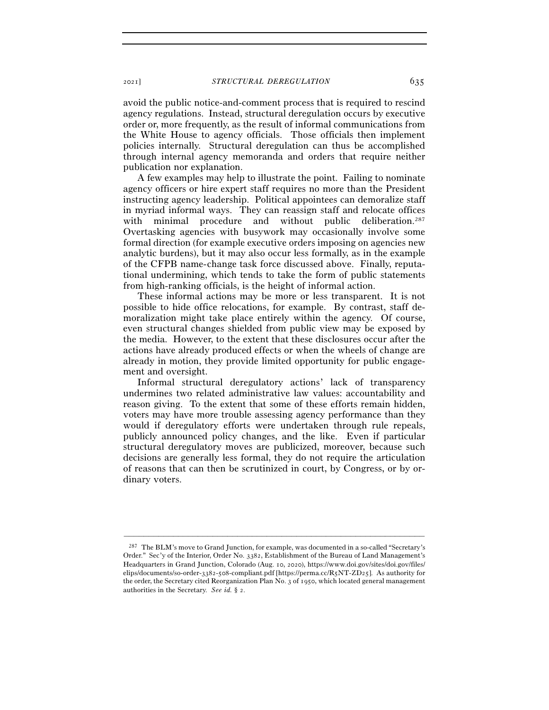avoid the public notice-and-comment process that is required to rescind agency regulations. Instead, structural deregulation occurs by executive order or, more frequently, as the result of informal communications from the White House to agency officials. Those officials then implement policies internally. Structural deregulation can thus be accomplished through internal agency memoranda and orders that require neither publication nor explanation.

A few examples may help to illustrate the point. Failing to nominate agency officers or hire expert staff requires no more than the President instructing agency leadership. Political appointees can demoralize staff in myriad informal ways. They can reassign staff and relocate offices with minimal procedure and without public deliberation.<sup>287</sup> Overtasking agencies with busywork may occasionally involve some formal direction (for example executive orders imposing on agencies new analytic burdens), but it may also occur less formally, as in the example of the CFPB name-change task force discussed above. Finally, reputational undermining, which tends to take the form of public statements from high-ranking officials, is the height of informal action.

These informal actions may be more or less transparent. It is not possible to hide office relocations, for example. By contrast, staff demoralization might take place entirely within the agency. Of course, even structural changes shielded from public view may be exposed by the media. However, to the extent that these disclosures occur after the actions have already produced effects or when the wheels of change are already in motion, they provide limited opportunity for public engagement and oversight.

Informal structural deregulatory actions' lack of transparency undermines two related administrative law values: accountability and reason giving. To the extent that some of these efforts remain hidden, voters may have more trouble assessing agency performance than they would if deregulatory efforts were undertaken through rule repeals, publicly announced policy changes, and the like. Even if particular structural deregulatory moves are publicized, moreover, because such decisions are generally less formal, they do not require the articulation of reasons that can then be scrutinized in court, by Congress, or by ordinary voters.

<sup>&</sup>lt;sup>287</sup> The BLM's move to Grand Junction, for example, was documented in a so-called "Secretary's Order." Sec'y of the Interior, Order No. 3382, Establishment of the Bureau of Land Management's Headquarters in Grand Junction, Colorado (Aug. 10, 2020), https://www.doi.gov/sites/doi.gov/files/ elips/documents/so-order-3382-508-compliant.pdf [https://perma.cc/R5NT-ZD25]. As authority for the order, the Secretary cited Reorganization Plan No. 3 of 1950, which located general management authorities in the Secretary. *See id.* § 2.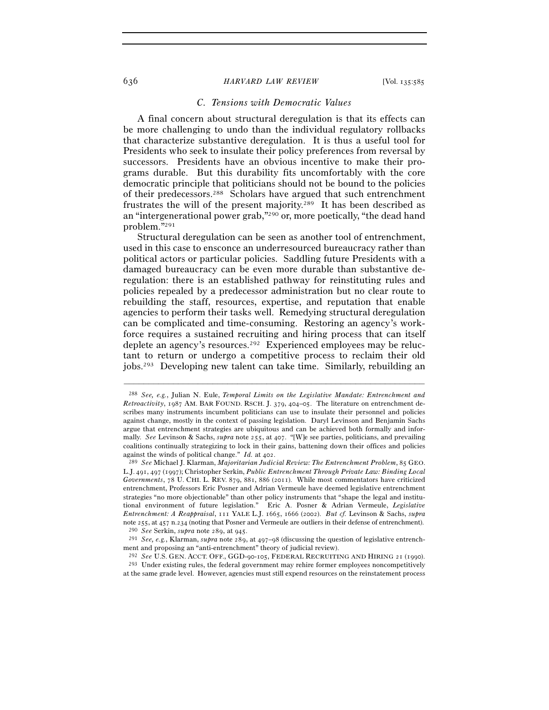### 636 *HARVARD LAW REVIEW* [Vol. 135:<sup>585</sup>

### *C. Tensions with Democratic Values*

A final concern about structural deregulation is that its effects can be more challenging to undo than the individual regulatory rollbacks that characterize substantive deregulation. It is thus a useful tool for Presidents who seek to insulate their policy preferences from reversal by successors. Presidents have an obvious incentive to make their programs durable. But this durability fits uncomfortably with the core democratic principle that politicians should not be bound to the policies of their predecessors.288 Scholars have argued that such entrenchment frustrates the will of the present majority.289 It has been described as an "intergenerational power grab,"290 or, more poetically, "the dead hand problem."291

Structural deregulation can be seen as another tool of entrenchment, used in this case to ensconce an underresourced bureaucracy rather than political actors or particular policies. Saddling future Presidents with a damaged bureaucracy can be even more durable than substantive deregulation: there is an established pathway for reinstituting rules and policies repealed by a predecessor administration but no clear route to rebuilding the staff, resources, expertise, and reputation that enable agencies to perform their tasks well. Remedying structural deregulation can be complicated and time-consuming. Restoring an agency's workforce requires a sustained recruiting and hiring process that can itself deplete an agency's resources.292 Experienced employees may be reluctant to return or undergo a competitive process to reclaim their old jobs.293 Developing new talent can take time. Similarly, rebuilding an

<sup>288</sup> *See, e.g.*, Julian N. Eule, *Temporal Limits on the Legislative Mandate: Entrenchment and Retroactivity*, 1987 AM. BAR FOUND. RSCH. J. 379, 404–05. The literature on entrenchment describes many instruments incumbent politicians can use to insulate their personnel and policies against change, mostly in the context of passing legislation. Daryl Levinson and Benjamin Sachs argue that entrenchment strategies are ubiquitous and can be achieved both formally and informally. *See* Levinson & Sachs, *supra* note 255, at 407. "[W]e see parties, politicians, and prevailing coalitions continually strategizing to lock in their gains, battening down their offices and policies against the winds of political change." *Id.* at <sup>402</sup>. 289 *See* Michael J. Klarman, *Majoritarian Judicial Review: The Entrenchment Problem*, 85 GEO.

L.J. 491, 497 (1997); Christopher Serkin, *Public Entrenchment Through Private Law: Binding Local Governments*, 78 U. CHI. L. REV. 879, 881, 886 (2011). While most commentators have criticized entrenchment, Professors Eric Posner and Adrian Vermeule have deemed legislative entrenchment strategies "no more objectionable" than other policy instruments that "shape the legal and institutional environment of future legislation." Eric A. Posner & Adrian Vermeule, *Legislative Entrenchment: A Reappraisal*, 111 YALE L.J. 1665, 1666 (2002). *But cf.* Levinson & Sachs, *supra* note 255, at 457 n.234 (noting that Posner and Vermeule are outliers in their defense of entrenchment).<br><sup>290</sup> See Serkin, *supra* note 289, at 945.<br><sup>291</sup> See, e.g., Klarman, *supra* note 289, at 497–98 (discussing the que

ment and proposing an "anti-entrenchment" theory of judicial review).

<sup>&</sup>lt;sup>292</sup> *See* U.S. GEN. ACCT. OFF., GGD-90-105, FEDERAL RECRUITING AND HIRING 21 (1990). <sup>293</sup> Under existing rules, the federal government may rehire former employees noncompetitively at the same grade level. However, agencies must still expend resources on the reinstatement process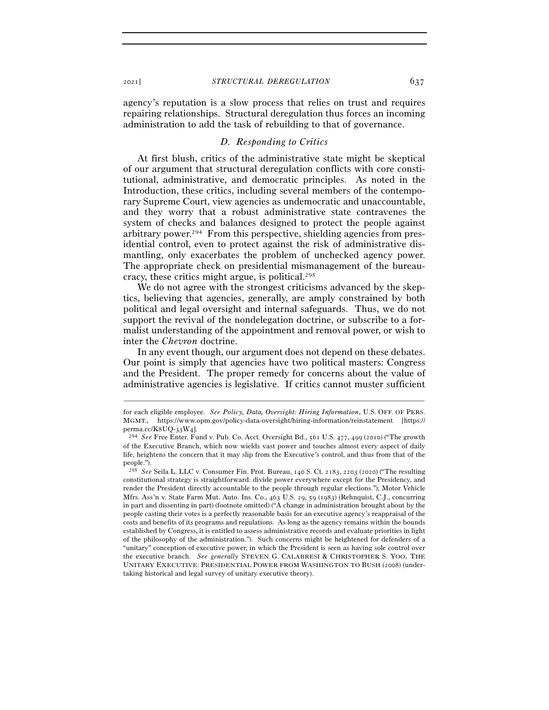agency's reputation is a slow process that relies on trust and requires repairing relationships. Structural deregulation thus forces an incoming administration to add the task of rebuilding to that of governance.

# *D. Responding to Critics*

At first blush, critics of the administrative state might be skeptical of our argument that structural deregulation conflicts with core constitutional, administrative, and democratic principles. As noted in the Introduction, these critics, including several members of the contemporary Supreme Court, view agencies as undemocratic and unaccountable, and they worry that a robust administrative state contravenes the system of checks and balances designed to protect the people against arbitrary power.294 From this perspective, shielding agencies from presidential control, even to protect against the risk of administrative dismantling, only exacerbates the problem of unchecked agency power. The appropriate check on presidential mismanagement of the bureaucracy, these critics might argue, is political.295

We do not agree with the strongest criticisms advanced by the skeptics, believing that agencies, generally, are amply constrained by both political and legal oversight and internal safeguards. Thus, we do not support the revival of the nondelegation doctrine, or subscribe to a formalist understanding of the appointment and removal power, or wish to inter the *Chevron* doctrine.

In any event though, our argument does not depend on these debates. Our point is simply that agencies have two political masters: Congress and the President. The proper remedy for concerns about the value of administrative agencies is legislative. If critics cannot muster sufficient

for each eligible employee. *See Policy, Data, Oversight: Hiring Information*, U.S. OFF. OF PERS. MGMT., https://www.opm.gov/policy-data-oversight/hiring-information/reinstatement [https:// perma.cc/K8UQ-33W4].

<sup>&</sup>lt;sup>294</sup> See Free Enter. Fund v. Pub. Co. Acct. Oversight Bd., 561 U.S. 477, 499 (2010) ("The growth of the Executive Branch, which now wields vast power and touches almost every aspect of daily life, heightens the concern that it may slip from the Executive's control, and thus from that of the people.").

<sup>295</sup> *See* Seila L. LLC v. Consumer Fin. Prot. Bureau, 140 S. Ct. 2183, 2203 (2020) ("The resulting constitutional strategy is straightforward: divide power everywhere except for the Presidency, and render the President directly accountable to the people through regular elections."); Motor Vehicle Mfrs. Ass'n v. State Farm Mut. Auto. Ins. Co., 463 U.S. 29, 59 (1983) (Rehnquist, C.J., concurring in part and dissenting in part) (footnote omitted) ("A change in administration brought about by the people casting their votes is a perfectly reasonable basis for an executive agency's reappraisal of the costs and benefits of its programs and regulations. As long as the agency remains within the bounds established by Congress, it is entitled to assess administrative records and evaluate priorities in light of the philosophy of the administration."). Such concerns might be heightened for defenders of a "unitary" conception of executive power, in which the President is seen as having sole control over the executive branch. *See generally* STEVEN G. CALABRESI & CHRISTOPHER S. YOO, THE UNITARY EXECUTIVE: PRESIDENTIAL POWER FROM WASHINGTON TO BUSH (2008) (undertaking historical and legal survey of unitary executive theory).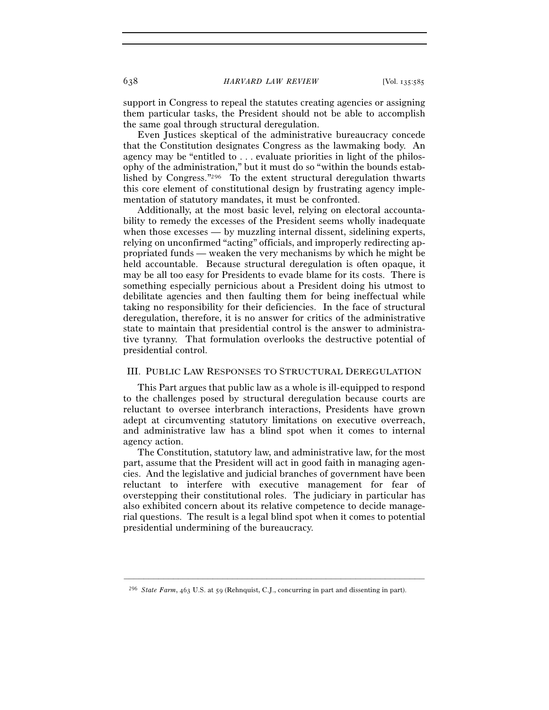support in Congress to repeal the statutes creating agencies or assigning them particular tasks, the President should not be able to accomplish the same goal through structural deregulation.

Even Justices skeptical of the administrative bureaucracy concede that the Constitution designates Congress as the lawmaking body. An agency may be "entitled to . . . evaluate priorities in light of the philosophy of the administration," but it must do so "within the bounds established by Congress."296 To the extent structural deregulation thwarts this core element of constitutional design by frustrating agency implementation of statutory mandates, it must be confronted.

Additionally, at the most basic level, relying on electoral accountability to remedy the excesses of the President seems wholly inadequate when those excesses — by muzzling internal dissent, sidelining experts, relying on unconfirmed "acting" officials, and improperly redirecting appropriated funds — weaken the very mechanisms by which he might be held accountable. Because structural deregulation is often opaque, it may be all too easy for Presidents to evade blame for its costs. There is something especially pernicious about a President doing his utmost to debilitate agencies and then faulting them for being ineffectual while taking no responsibility for their deficiencies. In the face of structural deregulation, therefore, it is no answer for critics of the administrative state to maintain that presidential control is the answer to administrative tyranny. That formulation overlooks the destructive potential of presidential control.

### III. PUBLIC LAW RESPONSES TO STRUCTURAL DEREGULATION

This Part argues that public law as a whole is ill-equipped to respond to the challenges posed by structural deregulation because courts are reluctant to oversee interbranch interactions, Presidents have grown adept at circumventing statutory limitations on executive overreach, and administrative law has a blind spot when it comes to internal agency action.

The Constitution, statutory law, and administrative law, for the most part, assume that the President will act in good faith in managing agencies. And the legislative and judicial branches of government have been reluctant to interfere with executive management for fear of overstepping their constitutional roles. The judiciary in particular has also exhibited concern about its relative competence to decide managerial questions. The result is a legal blind spot when it comes to potential presidential undermining of the bureaucracy.

<sup>296</sup> *State Farm*, 463 U.S. at 59 (Rehnquist, C.J., concurring in part and dissenting in part).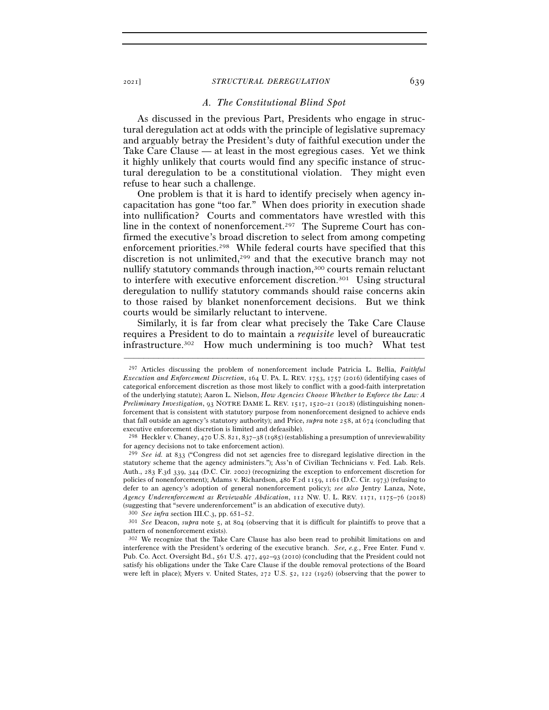### *A. The Constitutional Blind Spot*

As discussed in the previous Part, Presidents who engage in structural deregulation act at odds with the principle of legislative supremacy and arguably betray the President's duty of faithful execution under the Take Care Clause — at least in the most egregious cases. Yet we think it highly unlikely that courts would find any specific instance of structural deregulation to be a constitutional violation. They might even refuse to hear such a challenge.

One problem is that it is hard to identify precisely when agency incapacitation has gone "too far." When does priority in execution shade into nullification? Courts and commentators have wrestled with this line in the context of nonenforcement.<sup>297</sup> The Supreme Court has confirmed the executive's broad discretion to select from among competing enforcement priorities.298 While federal courts have specified that this discretion is not unlimited,<sup>299</sup> and that the executive branch may not nullify statutory commands through inaction,300 courts remain reluctant to interfere with executive enforcement discretion.301 Using structural deregulation to nullify statutory commands should raise concerns akin to those raised by blanket nonenforcement decisions. But we think courts would be similarly reluctant to intervene.

Similarly, it is far from clear what precisely the Take Care Clause requires a President to do to maintain a *requisite* level of bureaucratic infrastructure.302 How much undermining is too much? What test

–––––––––––––––––––––––––––––––––––––––––––––––––––––––––––––

pattern of nonenforcement exists).

<sup>297</sup> Articles discussing the problem of nonenforcement include Patricia L. Bellia, *Faithful Execution and Enforcement Discretion*, 164 U. PA. L. REV. 1753, 1757 (2016) (identifying cases of categorical enforcement discretion as those most likely to conflict with a good-faith interpretation of the underlying statute); Aaron L. Nielson, *How Agencies Choose Whether to Enforce the Law: A Preliminary Investigation*, 93 NOTRE DAME L. REV. 1517, 1520–21 (2018) (distinguishing nonenforcement that is consistent with statutory purpose from nonenforcement designed to achieve ends that fall outside an agency's statutory authority); and Price, *supra* note 258, at 674 (concluding that executive enforcement discretion is limited and defeasible).

<sup>298</sup> Heckler v. Chaney, 470 U.S. 821, 837–38 (1985) (establishing a presumption of unreviewability for agency decisions not to take enforcement action).

<sup>299</sup> *See id.* at 833 ("Congress did not set agencies free to disregard legislative direction in the statutory scheme that the agency administers."); Ass'n of Civilian Technicians v. Fed. Lab. Rels. Auth., 283 F.3d 339, 344 (D.C. Cir. 2002) (recognizing the exception to enforcement discretion for policies of nonenforcement); Adams v. Richardson, 480 F.2d 1159, 1161 (D.C. Cir. 1973) (refusing to defer to an agency's adoption of general nonenforcement policy); *see also* Jentry Lanza, Note, *Agency Underenforcement as Reviewable Abdication*, 112 NW. U. L. REV. 1171, 1175–76 (2018) (suggesting that "severe underenforcement" is an abdication of executive duty).<br><sup>300</sup> See infra section III.C.<sub>3</sub>, pp. 651–52.<br><sup>301</sup> See Deacon, *supra* note 5, at 804 (observing that it is difficult for plaintiffs to pro

<sup>302</sup> We recognize that the Take Care Clause has also been read to prohibit limitations on and interference with the President's ordering of the executive branch. *See, e.g.*, Free Enter. Fund v. Pub. Co. Acct. Oversight Bd., 561 U.S. 477, 492–93 (2010) (concluding that the President could not satisfy his obligations under the Take Care Clause if the double removal protections of the Board were left in place); Myers v. United States, 272 U.S. 52, 122 (1926) (observing that the power to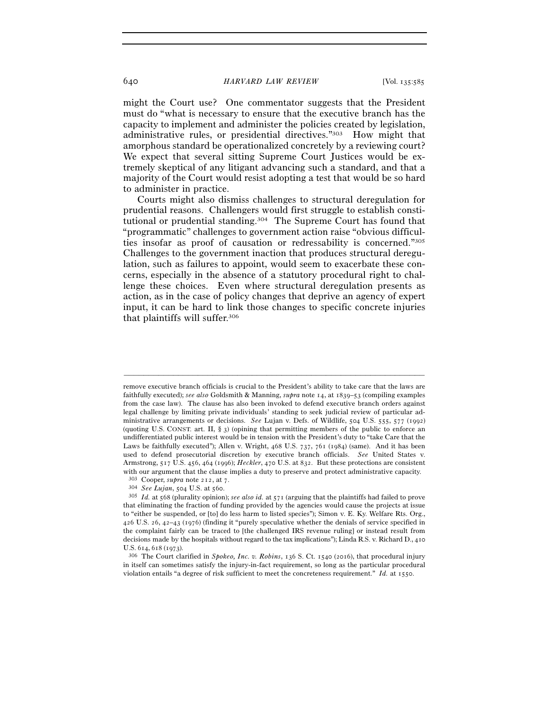might the Court use? One commentator suggests that the President must do "what is necessary to ensure that the executive branch has the capacity to implement and administer the policies created by legislation, administrative rules, or presidential directives."303 How might that amorphous standard be operationalized concretely by a reviewing court? We expect that several sitting Supreme Court Justices would be extremely skeptical of any litigant advancing such a standard, and that a majority of the Court would resist adopting a test that would be so hard to administer in practice.

Courts might also dismiss challenges to structural deregulation for prudential reasons. Challengers would first struggle to establish constitutional or prudential standing.304 The Supreme Court has found that "programmatic" challenges to government action raise "obvious difficulties insofar as proof of causation or redressability is concerned."305 Challenges to the government inaction that produces structural deregulation, such as failures to appoint, would seem to exacerbate these concerns, especially in the absence of a statutory procedural right to challenge these choices. Even where structural deregulation presents as action, as in the case of policy changes that deprive an agency of expert input, it can be hard to link those changes to specific concrete injuries that plaintiffs will suffer.306

remove executive branch officials is crucial to the President's ability to take care that the laws are faithfully executed); *see also* Goldsmith & Manning, *supra* note 14, at 1839–53 (compiling examples from the case law). The clause has also been invoked to defend executive branch orders against legal challenge by limiting private individuals' standing to seek judicial review of particular administrative arrangements or decisions. *See* Lujan v. Defs. of Wildlife, 504 U.S. 555, 577 (1992) (quoting U.S. CONST. art. II, § 3) (opining that permitting members of the public to enforce an undifferentiated public interest would be in tension with the President's duty to "take Care that the Laws be faithfully executed"); Allen v. Wright, 468 U.S. 737, 761 (1984) (same). And it has been used to defend prosecutorial discretion by executive branch officials. *See* United States v. Armstrong, 517 U.S. 456, 464 (1996); *Heckler*, 470 U.S. at 832. But these protections are consistent with our argument that the clause implies a duty to preserve and protect administrative capacity.<br><sup>303</sup> Cooper, *supra* note 212, at 7.<br><sup>304</sup> See Lujan, 504 U.S. at 560.<br><sup>304</sup> Id. at 568 (plurality opinion); *see also id.* 

that eliminating the fraction of funding provided by the agencies would cause the projects at issue to "either be suspended, or [to] do less harm to listed species"); Simon v. E. Ky. Welfare Rts. Org., 426 U.S. 26, 42–43 (1976) (finding it "purely speculative whether the denials of service specified in the complaint fairly can be traced to [the challenged IRS revenue ruling] or instead result from decisions made by the hospitals without regard to the tax implications"); Linda R.S. v. Richard D., 410 U.S. 614, 618 (1973).<br><sup>306</sup> The Court clarified in *Spokeo, Inc. v. Robins*, 136 S. Ct. 1540 (2016), that procedural injury

in itself can sometimes satisfy the injury-in-fact requirement, so long as the particular procedural violation entails "a degree of risk sufficient to meet the concreteness requirement." *Id.* at 1550.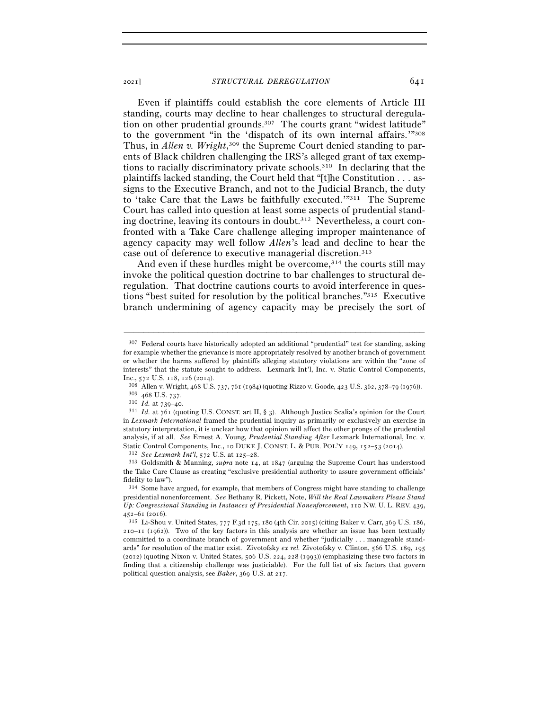Even if plaintiffs could establish the core elements of Article III standing, courts may decline to hear challenges to structural deregulation on other prudential grounds.307 The courts grant "widest latitude" to the government "in the 'dispatch of its own internal affairs.'"308 Thus, in *Allen v. Wright*,<sup>309</sup> the Supreme Court denied standing to parents of Black children challenging the IRS's alleged grant of tax exemptions to racially discriminatory private schools.310 In declaring that the plaintiffs lacked standing, the Court held that "[t]he Constitution . . . assigns to the Executive Branch, and not to the Judicial Branch, the duty to 'take Care that the Laws be faithfully executed.'"311 The Supreme Court has called into question at least some aspects of prudential standing doctrine, leaving its contours in doubt.312 Nevertheless, a court confronted with a Take Care challenge alleging improper maintenance of agency capacity may well follow *Allen*'s lead and decline to hear the case out of deference to executive managerial discretion.313

And even if these hurdles might be overcome,<sup>314</sup> the courts still may invoke the political question doctrine to bar challenges to structural deregulation. That doctrine cautions courts to avoid interference in questions "best suited for resolution by the political branches."315 Executive branch undermining of agency capacity may be precisely the sort of

<sup>307</sup> Federal courts have historically adopted an additional "prudential" test for standing, asking for example whether the grievance is more appropriately resolved by another branch of government or whether the harms suffered by plaintiffs alleging statutory violations are within the "zone of interests" that the statute sought to address. Lexmark Int'l, Inc. v. Static Control Components,

Inc., 572 U.S. 118, 126 (2014).<br><sup>308</sup> Allen v. Wright, 468 U.S. 737, 761 (1984) (quoting Rizzo v. Goode, 423 U.S. 362, 378–79 (1976)).<br><sup>309</sup> 468 U.S. 737.<br><sup>310</sup> *Id.* at 739–40.<br><sup>311</sup> *Id.* at 761 (quoting U.S. CONST. art

in *Lexmark International* framed the prudential inquiry as primarily or exclusively an exercise in statutory interpretation, it is unclear how that opinion will affect the other prongs of the prudential analysis, if at all. *See* Ernest A. Young, *Prudential Standing After* Lexmark International, Inc. v. Static Control Components, Inc., 10 DUKE J. CONST. L. & PUB. POL'Y 149, 152–53 (2014).<br><sup>312</sup> See Lexmark Int'l, 572 U.S. at 125–28.<br><sup>313</sup> Goldsmith & Manning, *supra* note 14, at 1847 (arguing the Supreme Court has unders

the Take Care Clause as creating "exclusive presidential authority to assure government officials' fidelity to law").

<sup>314</sup> Some have argued, for example, that members of Congress might have standing to challenge presidential nonenforcement. *See* Bethany R. Pickett, Note, *Will the Real Lawmakers Please Stand Up: Congressional Standing in Instances of Presidential Nonenforcement*, 110 NW. U. L. REV. 439,

<sup>452</sup>–61 (<sup>2016</sup>). 315 Li-Shou v. United States, 777 F.3d 175, 180 (4th Cir. 2015) (citing Baker v. Carr, 369 U.S. 186, 210–11 (1962)). Two of the key factors in this analysis are whether an issue has been textually committed to a coordinate branch of government and whether "judicially . . . manageable standards" for resolution of the matter exist. Zivotofsky *ex rel.* Zivotofsky v. Clinton, 566 U.S. 189, 195 (2012) (quoting Nixon v. United States, 506 U.S. 224, 228 (1993)) (emphasizing these two factors in finding that a citizenship challenge was justiciable). For the full list of six factors that govern political question analysis, see *Baker*, 369 U.S. at 217.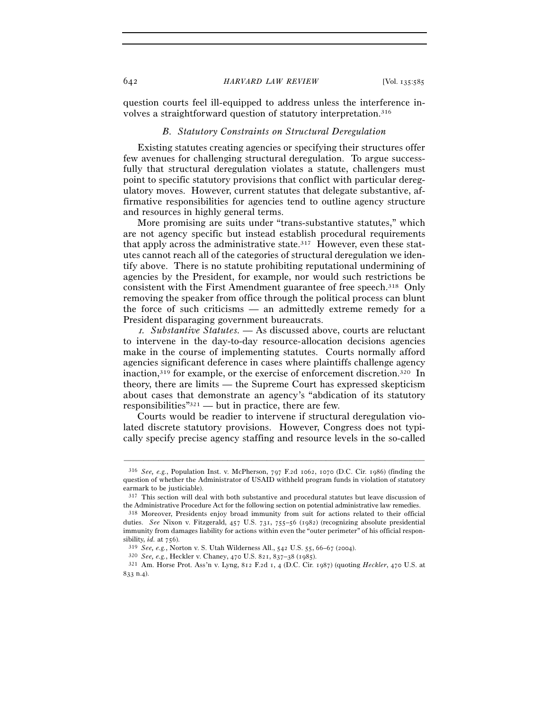question courts feel ill-equipped to address unless the interference involves a straightforward question of statutory interpretation.316

### *B. Statutory Constraints on Structural Deregulation*

Existing statutes creating agencies or specifying their structures offer few avenues for challenging structural deregulation. To argue successfully that structural deregulation violates a statute, challengers must point to specific statutory provisions that conflict with particular deregulatory moves. However, current statutes that delegate substantive, affirmative responsibilities for agencies tend to outline agency structure and resources in highly general terms.

More promising are suits under "trans-substantive statutes," which are not agency specific but instead establish procedural requirements that apply across the administrative state.<sup>317</sup> However, even these statutes cannot reach all of the categories of structural deregulation we identify above. There is no statute prohibiting reputational undermining of agencies by the President, for example, nor would such restrictions be consistent with the First Amendment guarantee of free speech.318 Only removing the speaker from office through the political process can blunt the force of such criticisms — an admittedly extreme remedy for a President disparaging government bureaucrats.

<sup>1</sup>*. Substantive Statutes. —* As discussed above, courts are reluctant to intervene in the day-to-day resource-allocation decisions agencies make in the course of implementing statutes. Courts normally afford agencies significant deference in cases where plaintiffs challenge agency inaction,319 for example, or the exercise of enforcement discretion.320 In theory, there are limits — the Supreme Court has expressed skepticism about cases that demonstrate an agency's "abdication of its statutory responsibilities"321 — but in practice, there are few.

Courts would be readier to intervene if structural deregulation violated discrete statutory provisions. However, Congress does not typically specify precise agency staffing and resource levels in the so-called

<sup>316</sup> *See, e.g.*, Population Inst. v. McPherson, 797 F.2d 1062, 1070 (D.C. Cir. 1986) (finding the question of whether the Administrator of USAID withheld program funds in violation of statutory earmark to be justiciable).

<sup>317</sup> This section will deal with both substantive and procedural statutes but leave discussion of the Administrative Procedure Act for the following section on potential administrative law remedies.

<sup>318</sup> Moreover, Presidents enjoy broad immunity from suit for actions related to their official duties. *See* Nixon v. Fitzgerald, 457 U.S. 731, 755–56 (1982) (recognizing absolute presidential immunity from damages liability for actions within even the "outer perimeter" of his official respon-

sibility, *id.* at 756).<br><sup>319</sup> See, e.g., Norton v. S. Utah Wilderness All., 542 U.S. 55, 66–67 (2004).<br><sup>320</sup> See, e.g., Heckler v. Chaney, 470 U.S. 821, 837–38 (1985).<br><sup>321</sup> Am. Horse Prot. Ass'n v. Lyng, 812 F.2d 1, 4 (D 833 n.4).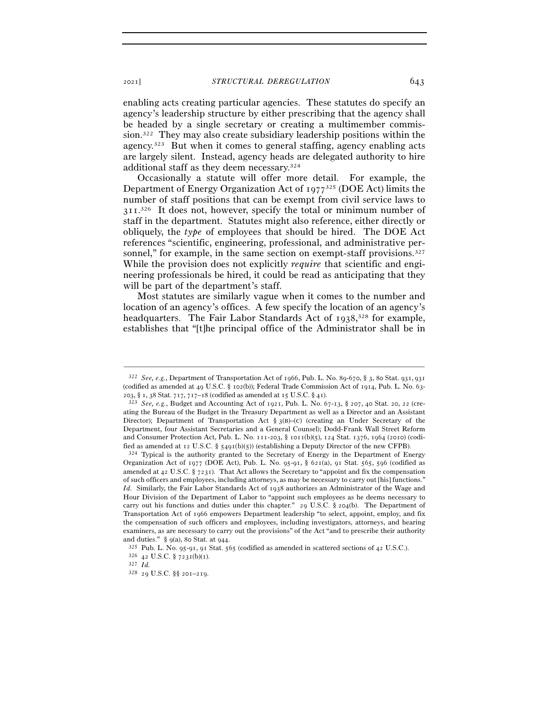enabling acts creating particular agencies. These statutes do specify an agency's leadership structure by either prescribing that the agency shall be headed by a single secretary or creating a multimember commission.322 They may also create subsidiary leadership positions within the agency.323 But when it comes to general staffing, agency enabling acts are largely silent. Instead, agency heads are delegated authority to hire additional staff as they deem necessary.324

Occasionally a statute will offer more detail. For example, the Department of Energy Organization Act of 1977325 (DOE Act) limits the number of staff positions that can be exempt from civil service laws to 311.<sup>326</sup> It does not, however, specify the total or minimum number of staff in the department. Statutes might also reference, either directly or obliquely, the *type* of employees that should be hired. The DOE Act references "scientific, engineering, professional, and administrative personnel," for example, in the same section on exempt-staff provisions.<sup>327</sup> While the provision does not explicitly *require* that scientific and engineering professionals be hired, it could be read as anticipating that they will be part of the department's staff.

Most statutes are similarly vague when it comes to the number and location of an agency's offices. A few specify the location of an agency's headquarters. The Fair Labor Standards Act of 1938,<sup>328</sup> for example, establishes that "[t]he principal office of the Administrator shall be in

<sup>322</sup> *See, e.g.*, Department of Transportation Act of 1966, Pub. L. No. 89-670, § 3, 80 Stat. 931, 931 (codified as amended at 49 U.S.C. § 102(b)); Federal Trade Commission Act of 1914, Pub. L. No. 63- <sup>203</sup>, § 1, 38 Stat. 717, 717–18 (codified as amended at 15 U.S.C. § <sup>41</sup>). 323 *See, e.g.*, Budget and Accounting Act of 1921, Pub. L. No. 67-13, § 207, 40 Stat. 20, 22 (cre-

ating the Bureau of the Budget in the Treasury Department as well as a Director and an Assistant Director); Department of Transportation Act  $\S$  3(B)–(c) (creating an Under Secretary of the Department, four Assistant Secretaries and a General Counsel); Dodd-Frank Wall Street Reform and Consumer Protection Act, Pub. L. No. 111-203, § 1011(b)(5), 124 Stat. 1376, 1964 (2010) (codified as amended at 12 U.S.C. § 5491(b)(5)) (establishing a Deputy Director of the new CFPB).<br><sup>324</sup> Typical is the authority granted to the Secretary of Energy in the Department of Energy

Organization Act of 1977 (DOE Act), Pub. L. No. 95-91, § 621(a), 91 Stat. 565, 596 (codified as amended at 42 U.S.C.  $\S$  7231). That Act allows the Secretary to "appoint and fix the compensation of such officers and employees, including attorneys, as may be necessary to carry out [his] functions." *Id.* Similarly, the Fair Labor Standards Act of 1938 authorizes an Administrator of the Wage and Hour Division of the Department of Labor to "appoint such employees as he deems necessary to carry out his functions and duties under this chapter." 29 U.S.C. § 204(b). The Department of Transportation Act of 1966 empowers Department leadership "to select, appoint, employ, and fix the compensation of such officers and employees, including investigators, attorneys, and hearing examiners, as are necessary to carry out the provisions" of the Act "and to prescribe their authority

and duties." § 9(a), 80 Stat. at 944.  $325$  Pub. L. No. 95-91, 91 Stat. 565 (codified as amended in scattered sections of 42 U.S.C.).  $326$  42 U.S.C. § 7231(b)(1).  $327$  *Id.* 

<sup>328</sup> 29 U.S.C. §§ 201–219.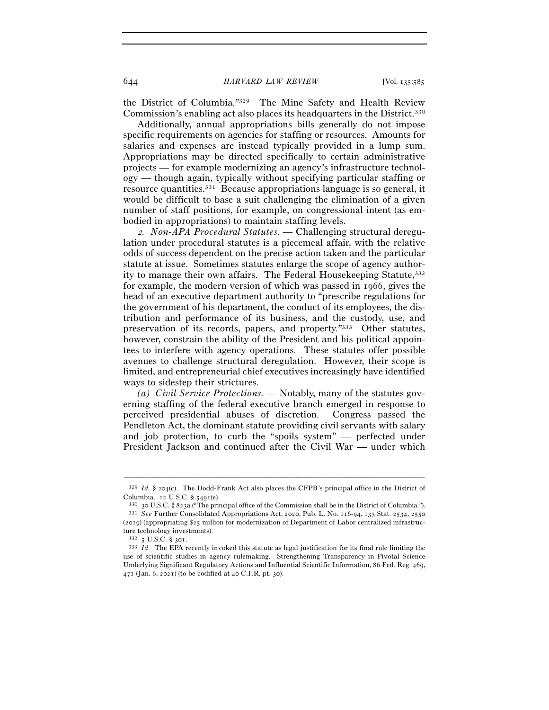the District of Columbia."329 The Mine Safety and Health Review Commission's enabling act also places its headquarters in the District.330

Additionally, annual appropriations bills generally do not impose specific requirements on agencies for staffing or resources. Amounts for salaries and expenses are instead typically provided in a lump sum. Appropriations may be directed specifically to certain administrative projects — for example modernizing an agency's infrastructure technology — though again, typically without specifying particular staffing or resource quantities.331 Because appropriations language is so general, it would be difficult to base a suit challenging the elimination of a given number of staff positions, for example, on congressional intent (as embodied in appropriations) to maintain staffing levels.

2*. Non-APA Procedural Statutes. —* Challenging structural deregulation under procedural statutes is a piecemeal affair, with the relative odds of success dependent on the precise action taken and the particular statute at issue. Sometimes statutes enlarge the scope of agency authority to manage their own affairs. The Federal Housekeeping Statute, 332 for example, the modern version of which was passed in 1966, gives the head of an executive department authority to "prescribe regulations for the government of his department, the conduct of its employees, the distribution and performance of its business, and the custody, use, and preservation of its records, papers, and property."333 Other statutes, however, constrain the ability of the President and his political appointees to interfere with agency operations. These statutes offer possible avenues to challenge structural deregulation. However, their scope is limited, and entrepreneurial chief executives increasingly have identified ways to sidestep their strictures.

*(a) Civil Service Protections. —* Notably, many of the statutes governing staffing of the federal executive branch emerged in response to perceived presidential abuses of discretion. Congress passed the Pendleton Act, the dominant statute providing civil servants with salary and job protection, to curb the "spoils system" — perfected under President Jackson and continued after the Civil War — under which

<sup>–––––––––––––––––––––––––––––––––––––––––––––––––––––––––––––</sup> <sup>329</sup> *Id.* § 204(c). The Dodd-Frank Act also places the CFPB's principal office in the District of Columbia. 12 U.S.C. § 5491(e).

<sup>&</sup>lt;sup>330</sup> 30 U.S.C. § 823a ("The principal office of the Commission shall be in the District of Columbia.").<br><sup>331</sup> *See* Further Consolidated Appropriations Act, 2020, Pub. L. No. 116-94, 133 Stat. 2534, 2550 (2019) (appropriating \$25 million for modernization of Department of Labor centralized infrastructure technology investments).

<sup>332</sup> 5 U.S.C. § 301.

<sup>333</sup> *Id.* The EPA recently invoked this statute as legal justification for its final rule limiting the use of scientific studies in agency rulemaking. Strengthening Transparency in Pivotal Science Underlying Significant Regulatory Actions and Influential Scientific Information, 86 Fed. Reg. 469, 471 (Jan. 6, 2021) (to be codified at 40 C.F.R. pt. 30).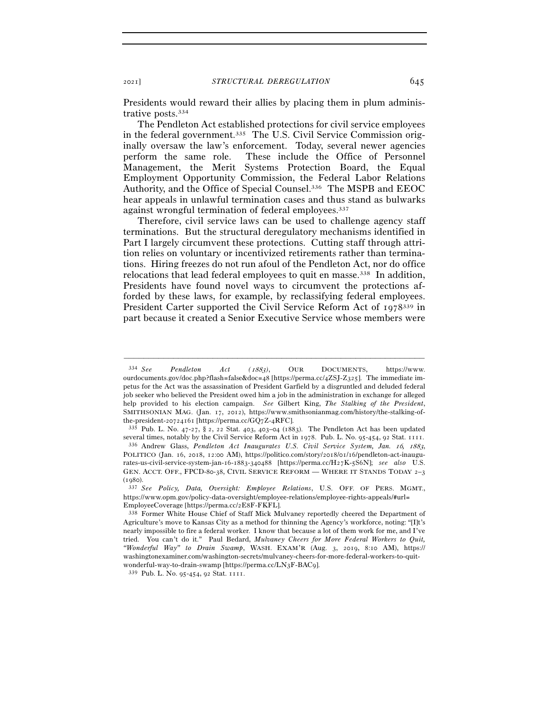Presidents would reward their allies by placing them in plum administrative posts.334

The Pendleton Act established protections for civil service employees in the federal government.335 The U.S. Civil Service Commission originally oversaw the law's enforcement. Today, several newer agencies perform the same role. These include the Office of Personnel Management, the Merit Systems Protection Board, the Equal Employment Opportunity Commission, the Federal Labor Relations Authority, and the Office of Special Counsel.336 The MSPB and EEOC hear appeals in unlawful termination cases and thus stand as bulwarks against wrongful termination of federal employees.<sup>337</sup>

Therefore, civil service laws can be used to challenge agency staff terminations. But the structural deregulatory mechanisms identified in Part I largely circumvent these protections. Cutting staff through attrition relies on voluntary or incentivized retirements rather than terminations. Hiring freezes do not run afoul of the Pendleton Act, nor do office relocations that lead federal employees to quit en masse.338 In addition, Presidents have found novel ways to circumvent the protections afforded by these laws, for example, by reclassifying federal employees. President Carter supported the Civil Service Reform Act of 1978339 in part because it created a Senior Executive Service whose members were

–––––––––––––––––––––––––––––––––––––––––––––––––––––––––––––

several times, notably by the Civil Service Reform Act in 1978. Pub. L. No. 95-454, 92 Stat. <sup>1111</sup>. 336 Andrew Glass, *Pendleton Act Inaugurates U.S. Civil Service System, Jan.* 16*,* 1883,

<sup>334</sup> *See Pendleton Act (*1883*)*, OUR DOCUMENTS, https://www. ourdocuments.gov/doc.php?flash=false&doc=48 [https://perma.cc/4ZSJ-Z325]. The immediate impetus for the Act was the assassination of President Garfield by a disgruntled and deluded federal job seeker who believed the President owed him a job in the administration in exchange for alleged help provided to his election campaign. *See* Gilbert King, *The Stalking of the President*, SMITHSONIAN MAG. (Jan. 17, 2012), https://www.smithsonianmag.com/history/the-stalking-ofthe-president-20724161 [https://perma.cc/GQ7Z-4RFC].<br><sup>335</sup> Pub. L. No. 47-27, § 2, 22 Stat. 403, 403–04 (1883). The Pendleton Act has been updated

POLITICO (Jan. 16, 2018, 12:00 AM), https://politico.com/story/2018/01/16/pendleton-act-inaugurates-us-civil-service-system-jan-16-1883-340488 [https://perma.cc/H27K-5S6N]; *see also* U.S. GEN. ACCT. OFF., FPCD-80-38, CIVIL SERVICE REFORM — WHERE IT STANDS TODAY 2-3 (<sup>1980</sup>). 337 *See Policy, Data, Oversight: Employee Relations*, U.S. OFF. OF PERS. MGMT.,

https://www.opm.gov/policy-data-oversight/employee-relations/employee-rights-appeals/#url=

EmployeeCoverage [https://perma.cc/2E8F-FKFL].<br><sup>338</sup> Former White House Chief of Staff Mick Mulvaney reportedly cheered the Department of Agriculture's move to Kansas City as a method for thinning the Agency's workforce, noting: "[I]t's nearly impossible to fire a federal worker. I know that because a lot of them work for me, and I've tried. You can't do it." Paul Bedard, *Mulvaney Cheers for More Federal Workers to Quit, "Wonderful Way" to Drain Swamp*, WASH. EXAM'R (Aug. 3, 2019, 8:10 AM), https:// washingtonexaminer.com/washington-secrets/mulvaney-cheers-for-more-federal-workers-to-quitwonderful-way-to-drain-swamp [https://perma.cc/LN3F-BAC9].  $^{339}$  Pub. L. No. 95-454, 92 Stat. 1111.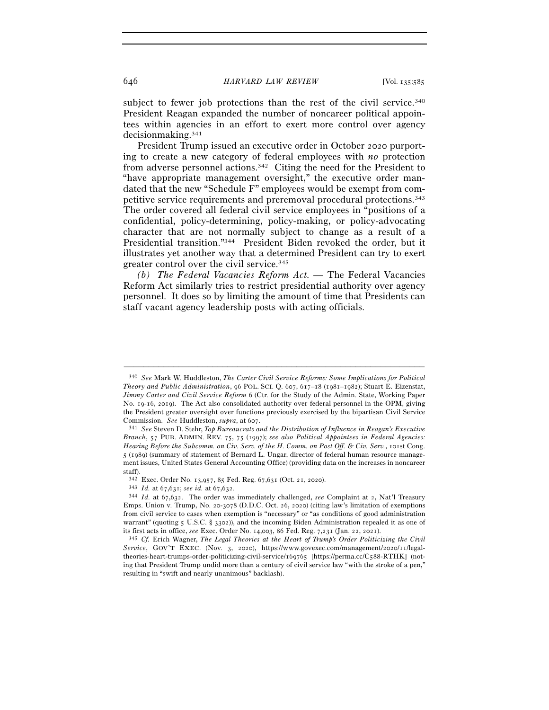subject to fewer job protections than the rest of the civil service.<sup>340</sup> President Reagan expanded the number of noncareer political appointees within agencies in an effort to exert more control over agency decisionmaking.341

President Trump issued an executive order in October 2020 purporting to create a new category of federal employees with *no* protection from adverse personnel actions.342 Citing the need for the President to "have appropriate management oversight," the executive order mandated that the new "Schedule F" employees would be exempt from competitive service requirements and preremoval procedural protections.343 The order covered all federal civil service employees in "positions of a confidential, policy-determining, policy-making, or policy-advocating character that are not normally subject to change as a result of a Presidential transition."344 President Biden revoked the order, but it illustrates yet another way that a determined President can try to exert greater control over the civil service.<sup>345</sup>

*(b) The Federal Vacancies Reform Act. —* The Federal Vacancies Reform Act similarly tries to restrict presidential authority over agency personnel. It does so by limiting the amount of time that Presidents can staff vacant agency leadership posts with acting officials.

<sup>340</sup> *See* Mark W. Huddleston, *The Carter Civil Service Reforms: Some Implications for Political Theory and Public Administration*, 96 POL. SCI. Q. 607, 617–18 (1981–1982); Stuart E. Eizenstat, *Jimmy Carter and Civil Service Reform* 6 (Ctr. for the Study of the Admin. State, Working Paper No. 19-16, 2019). The Act also consolidated authority over federal personnel in the OPM, giving the President greater oversight over functions previously exercised by the bipartisan Civil Service

Commission. *See* Huddleston, *supra*, at <sup>607</sup>. 341 *See* Steven D. Stehr, *Top Bureaucrats and the Distribution of Influence in Reagan's Executive Branch*, 57 PUB. ADMIN. REV. 75, 75 (1997); *see also Political Appointees in Federal Agencies: Hearing Before the Subcomm. on Civ. Serv. of the H. Comm. on Post Off. & Civ. Serv.*, 101st Cong. 5 (1989) (summary of statement of Bernard L. Ungar, director of federal human resource management issues, United States General Accounting Office) (providing data on the increases in noncareer staff).

<sup>342</sup> Exec. Order No. 13,957, 85 Fed. Reg. 67,631 (Oct. 21, <sup>2020</sup>). 343 *Id.* at 67,631; *see id.* at 67,<sup>632</sup>. 344 *Id.* at 67,632. The order was immediately challenged, *see* Complaint at 2, Nat'l Treasury Emps. Union v. Trump, No. 20-3078 (D.D.C. Oct. 26, 2020) (citing law's limitation of exemptions from civil service to cases when exemption is "necessary" or "as conditions of good administration warrant" (quoting 5 U.S.C. § 3302)), and the incoming Biden Administration repealed it as one of its first acts in office, *see* Exec. Order No. 14,003, 86 Fed. Reg. 7,231 (Jan. 22, <sup>2021</sup>). 345 *Cf.* Erich Wagner, *The Legal Theories at the Heart of Trump's Order Politicizing the Civil* 

*Service*, GOV'T EXEC. (Nov. 3, 2020), https://www.govexec.com/management/2020/11/legaltheories-heart-trumps-order-politicizing-civil-service/169765 [https://perma.cc/C588-RTHK] (noting that President Trump undid more than a century of civil service law "with the stroke of a pen," resulting in "swift and nearly unanimous" backlash).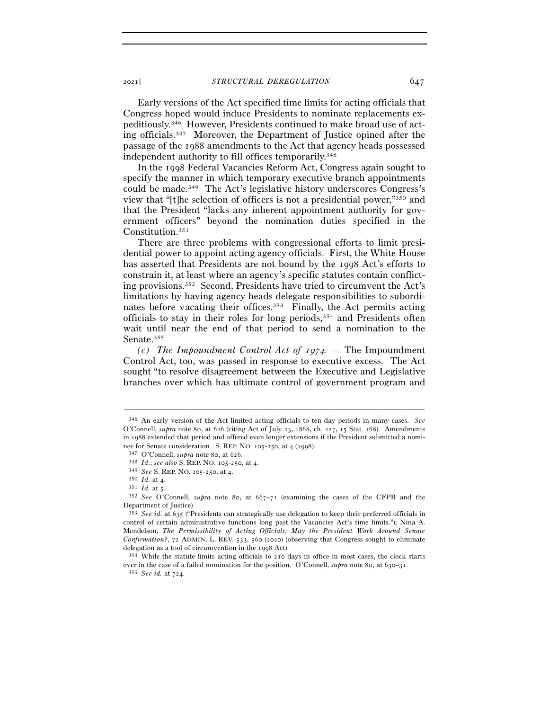Early versions of the Act specified time limits for acting officials that Congress hoped would induce Presidents to nominate replacements expeditiously.346 However, Presidents continued to make broad use of acting officials.347 Moreover, the Department of Justice opined after the passage of the 1988 amendments to the Act that agency heads possessed independent authority to fill offices temporarily.348

In the 1998 Federal Vacancies Reform Act, Congress again sought to specify the manner in which temporary executive branch appointments could be made.349 The Act's legislative history underscores Congress's view that "[t]he selection of officers is not a presidential power,"350 and that the President "lacks any inherent appointment authority for government officers" beyond the nomination duties specified in the Constitution.351

There are three problems with congressional efforts to limit presidential power to appoint acting agency officials. First, the White House has asserted that Presidents are not bound by the 1998 Act's efforts to constrain it, at least where an agency's specific statutes contain conflicting provisions.352 Second, Presidents have tried to circumvent the Act's limitations by having agency heads delegate responsibilities to subordinates before vacating their offices.<sup>353</sup> Finally, the Act permits acting officials to stay in their roles for long periods,354 and Presidents often wait until near the end of that period to send a nomination to the Senate.355

*(c) The Impoundment Control Act of* 1974*. —* The Impoundment Control Act, too, was passed in response to executive excess. The Act sought "to resolve disagreement between the Executive and Legislative branches over which has ultimate control of government program and

<sup>346</sup> An early version of the Act limited acting officials to ten day periods in many cases. *See* O'Connell, *supra* note 80, at 626 (citing Act of July 23, 1868, ch. 227, 15 Stat. 168). Amendments in 1988 extended that period and offered even longer extensions if the President submitted a nomi-<br>nee for Senate consideration. S. REP. NO. 105-250, at 4 (1998).

<sup>&</sup>lt;sup>347</sup> O'Connell, *supra* note 80, at 626.<br>
<sup>348</sup> *Id.*; *see also* S. REP. NO. 105-250, at 4.<br>
<sup>349</sup> *See* S. REP. NO. 105-250, at 4.<br>
<sup>350</sup> *Id.* at 4.<br>
<sup>351</sup> *Id.* at 5.<br>
<sup>352</sup> *See* O'Connell, *supra* note 80, at 667-7 Department of Justice).

<sup>353</sup> *See id.* at 635 ("Presidents can strategically use delegation to keep their preferred officials in control of certain administrative functions long past the Vacancies Act's time limits."); Nina A. Mendelson, *The Permissibility of Acting Officials: May the President Work Around Senate Confirmation?*, 72 ADMIN. L. REV. 533, 560 (2020) (observing that Congress sought to eliminate delegation as a tool of circumvention in the 1998 Act).<br> $354$  While the statute limits acting officials to 210 days in office in most cases, the clock starts

over in the case of a failed nomination for the position. O'Connell, *supra* note 80, at 630–<sup>31</sup>. 355 *See id.* at 724.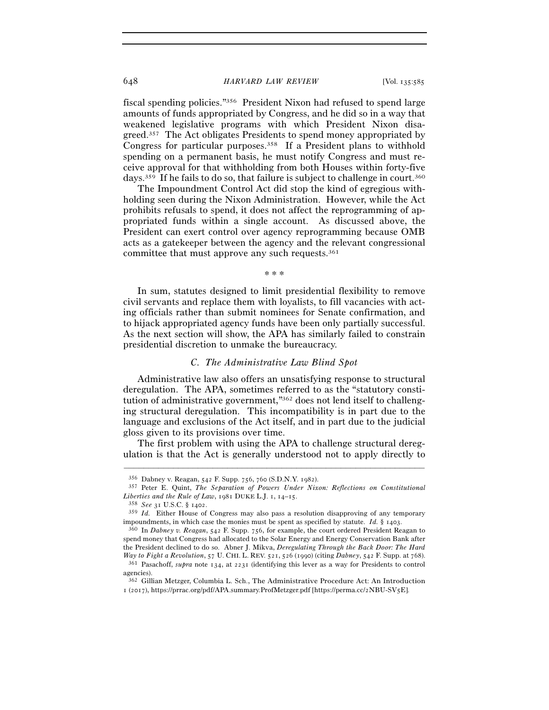#### 648 *HARVARD LAW REVIEW* [Vol. 135:<sup>585</sup>

fiscal spending policies."356 President Nixon had refused to spend large amounts of funds appropriated by Congress, and he did so in a way that weakened legislative programs with which President Nixon disagreed.357 The Act obligates Presidents to spend money appropriated by Congress for particular purposes.358 If a President plans to withhold spending on a permanent basis, he must notify Congress and must receive approval for that withholding from both Houses within forty-five days.<sup>359</sup> If he fails to do so, that failure is subject to challenge in court.<sup>360</sup>

The Impoundment Control Act did stop the kind of egregious withholding seen during the Nixon Administration. However, while the Act prohibits refusals to spend, it does not affect the reprogramming of appropriated funds within a single account. As discussed above, the President can exert control over agency reprogramming because OMB acts as a gatekeeper between the agency and the relevant congressional committee that must approve any such requests.361

\* \* \*

In sum, statutes designed to limit presidential flexibility to remove civil servants and replace them with loyalists, to fill vacancies with acting officials rather than submit nominees for Senate confirmation, and to hijack appropriated agency funds have been only partially successful. As the next section will show, the APA has similarly failed to constrain presidential discretion to unmake the bureaucracy.

#### *C. The Administrative Law Blind Spot*

Administrative law also offers an unsatisfying response to structural deregulation. The APA, sometimes referred to as the "statutory constitution of administrative government,"362 does not lend itself to challenging structural deregulation. This incompatibility is in part due to the language and exclusions of the Act itself, and in part due to the judicial gloss given to its provisions over time.

The first problem with using the APA to challenge structural deregulation is that the Act is generally understood not to apply directly to

<sup>356</sup> Dabney v. Reagan, 542 F. Supp. 756, 760 (S.D.N.Y. <sup>1982</sup>). 357 Peter E. Quint, *The Separation of Powers Under Nixon: Reflections on Constitutional Liberties and the Rule of Law*, 1981 DUKE L.J. 1, 14–15.<br><sup>358</sup> *See* 31 U.S.C. § 1402.<br><sup>359</sup> *Id.* Either House of Congress may also pass a resolution disapproving of any temporary

impoundments, in which case the monies must be spent as specified by statute. *Id.* § <sup>1403</sup>. 360 In *Dabney v. Reagan*, 542 F. Supp. 756, for example, the court ordered President Reagan to

spend money that Congress had allocated to the Solar Energy and Energy Conservation Bank after the President declined to do so. Abner J. Mikva, *Deregulating Through the Back Door: The Hard Way to Fight a Revolution*, 57 U. CHI. L. REV. 521, 526 (1990) (citing *Dabney*, 542 F. Supp. at <sup>768</sup>). 361 Pasachoff, *supra* note 134, at 2231 (identifying this lever as a way for Presidents to control agencies).

<sup>362</sup> Gillian Metzger, Columbia L. Sch., The Administrative Procedure Act: An Introduction 1 (2017), https://prrac.org/pdf/APA.summary.ProfMetzger.pdf [https://perma.cc/2NBU-SV5E].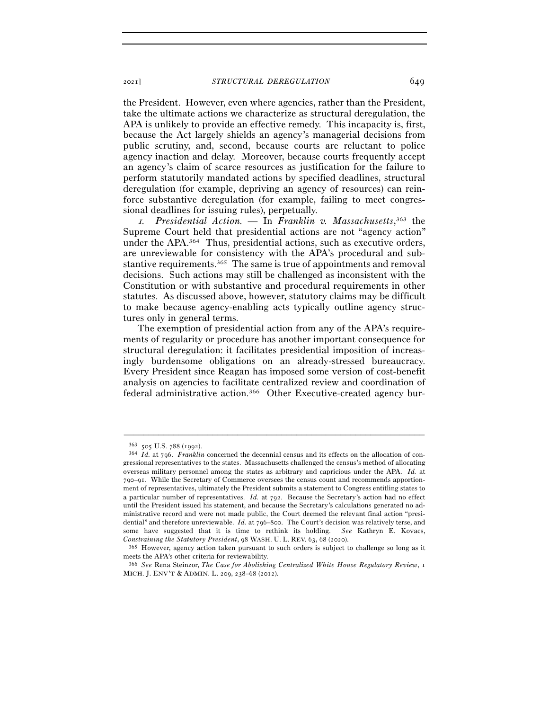the President. However, even where agencies, rather than the President, take the ultimate actions we characterize as structural deregulation, the APA is unlikely to provide an effective remedy. This incapacity is, first, because the Act largely shields an agency's managerial decisions from public scrutiny, and, second, because courts are reluctant to police agency inaction and delay. Moreover, because courts frequently accept an agency's claim of scarce resources as justification for the failure to perform statutorily mandated actions by specified deadlines, structural deregulation (for example, depriving an agency of resources) can reinforce substantive deregulation (for example, failing to meet congressional deadlines for issuing rules), perpetually.

<sup>1</sup>*. Presidential Action. —* In *Franklin v. Massachusetts*, 363 the Supreme Court held that presidential actions are not "agency action" under the APA.364 Thus, presidential actions, such as executive orders, are unreviewable for consistency with the APA's procedural and substantive requirements.365 The same is true of appointments and removal decisions. Such actions may still be challenged as inconsistent with the Constitution or with substantive and procedural requirements in other statutes. As discussed above, however, statutory claims may be difficult to make because agency-enabling acts typically outline agency structures only in general terms.

The exemption of presidential action from any of the APA's requirements of regularity or procedure has another important consequence for structural deregulation: it facilitates presidential imposition of increasingly burdensome obligations on an already-stressed bureaucracy. Every President since Reagan has imposed some version of cost-benefit analysis on agencies to facilitate centralized review and coordination of federal administrative action.366 Other Executive-created agency bur-

<sup>363</sup> <sup>505</sup> U.S. 788 (<sup>1992</sup>). 364 *Id.* at 796. *Franklin* concerned the decennial census and its effects on the allocation of congressional representatives to the states. Massachusetts challenged the census's method of allocating overseas military personnel among the states as arbitrary and capricious under the APA. *Id.* at 790–91. While the Secretary of Commerce oversees the census count and recommends apportionment of representatives, ultimately the President submits a statement to Congress entitling states to a particular number of representatives. *Id.* at 792. Because the Secretary's action had no effect until the President issued his statement, and because the Secretary's calculations generated no administrative record and were not made public, the Court deemed the relevant final action "presidential" and therefore unreviewable. *Id.* at 796–800. The Court's decision was relatively terse, and some have suggested that it is time to rethink its holding. *See* Kathryn E. Kovacs,

*Constraining the Statutory President*, 98 WASH. U. L. REV. 63, 68 (<sup>2020</sup>). 365 However, agency action taken pursuant to such orders is subject to challenge so long as it meets the APA's other criteria for reviewability.

<sup>366</sup> *See* Rena Steinzor, *The Case for Abolishing Centralized White House Regulatory Review*, 1 MICH. J. ENV'T & ADMIN. L. 209, 238–68 (2012).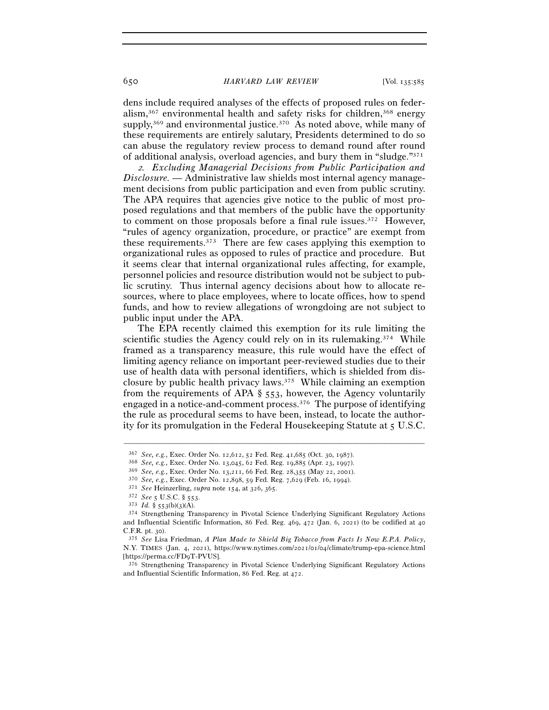650 *HARVARD LAW REVIEW* [Vol. 135:<sup>585</sup>

dens include required analyses of the effects of proposed rules on federalism, $367$  environmental health and safety risks for children, $368$  energy supply,<sup>369</sup> and environmental justice.<sup>370</sup> As noted above, while many of these requirements are entirely salutary, Presidents determined to do so can abuse the regulatory review process to demand round after round of additional analysis, overload agencies, and bury them in "sludge."371

<sup>2</sup>*. Excluding Managerial Decisions from Public Participation and Disclosure. —* Administrative law shields most internal agency management decisions from public participation and even from public scrutiny. The APA requires that agencies give notice to the public of most proposed regulations and that members of the public have the opportunity to comment on those proposals before a final rule issues.<sup>372</sup> However, "rules of agency organization, procedure, or practice" are exempt from these requirements.373 There are few cases applying this exemption to organizational rules as opposed to rules of practice and procedure. But it seems clear that internal organizational rules affecting, for example, personnel policies and resource distribution would not be subject to public scrutiny. Thus internal agency decisions about how to allocate resources, where to place employees, where to locate offices, how to spend funds, and how to review allegations of wrongdoing are not subject to public input under the APA.

The EPA recently claimed this exemption for its rule limiting the scientific studies the Agency could rely on in its rulemaking.<sup>374</sup> While framed as a transparency measure, this rule would have the effect of limiting agency reliance on important peer-reviewed studies due to their use of health data with personal identifiers, which is shielded from disclosure by public health privacy laws.375 While claiming an exemption from the requirements of APA § 553, however, the Agency voluntarily engaged in a notice-and-comment process.376 The purpose of identifying the rule as procedural seems to have been, instead, to locate the authority for its promulgation in the Federal Housekeeping Statute at 5 U.S.C.

<sup>&</sup>lt;sup>367</sup> *See, e.g.*, Exec. Order No. 12,612, 52 Fed. Reg. 41,685 (Oct. 30, 1987).<br>
<sup>368</sup> *See, e.g.*, Exec. Order No. 13,045, 62 Fed. Reg. 19,885 (Apr. 23, 1997).<br>
<sup>369</sup> *See, e.g.*, Exec. Order No. 13,211, 66 Fed. Reg. 28, and Influential Scientific Information, 86 Fed. Reg. 469, 472 (Jan. 6, 2021) (to be codified at 40 C.F.R. pt. <sup>30</sup>). 375 *See* Lisa Friedman, *A Plan Made to Shield Big Tobacco from Facts Is Now E.P.A. Policy*,

N.Y. TIMES (Jan. 4, 2021), https://www.nytimes.com/2021/01/04/climate/trump-epa-science.html [https://perma.cc/FD<sup>9</sup>T-PVUS]. 376 Strengthening Transparency in Pivotal Science Underlying Significant Regulatory Actions

and Influential Scientific Information, 86 Fed. Reg. at 472.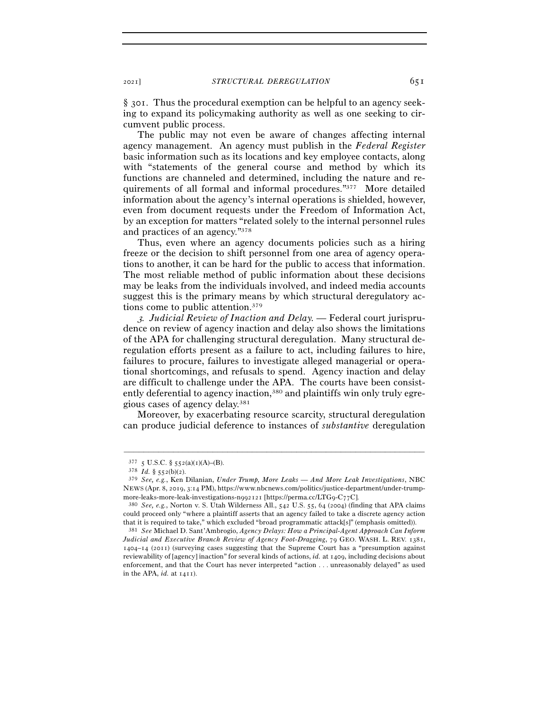§ 301. Thus the procedural exemption can be helpful to an agency seeking to expand its policymaking authority as well as one seeking to circumvent public process.

The public may not even be aware of changes affecting internal agency management. An agency must publish in the *Federal Register* basic information such as its locations and key employee contacts, along with "statements of the general course and method by which its functions are channeled and determined, including the nature and requirements of all formal and informal procedures."377 More detailed information about the agency's internal operations is shielded, however, even from document requests under the Freedom of Information Act, by an exception for matters "related solely to the internal personnel rules and practices of an agency."378

Thus, even where an agency documents policies such as a hiring freeze or the decision to shift personnel from one area of agency operations to another, it can be hard for the public to access that information. The most reliable method of public information about these decisions may be leaks from the individuals involved, and indeed media accounts suggest this is the primary means by which structural deregulatory actions come to public attention.379

3*. Judicial Review of Inaction and Delay. —* Federal court jurisprudence on review of agency inaction and delay also shows the limitations of the APA for challenging structural deregulation. Many structural deregulation efforts present as a failure to act, including failures to hire, failures to procure, failures to investigate alleged managerial or operational shortcomings, and refusals to spend. Agency inaction and delay are difficult to challenge under the APA. The courts have been consistently deferential to agency inaction,<sup>380</sup> and plaintiffs win only truly egregious cases of agency delay.381

Moreover, by exacerbating resource scarcity, structural deregulation can produce judicial deference to instances of *substantive* deregulation

<sup>377 5</sup> U.S.C. § 552(a)(1)(A)–(B). 378 *Id.* § 552(b)(2).

<sup>379</sup> *See, e.g.*, Ken Dilanian, *Under Trump, More Leaks — And More Leak Investigations*, NBC NEWS (Apr. 8, 2019, 3:14 PM), https://www.nbcnews.com/politics/justice-department/under-trump-

more-leaks-more-leak-investigations-n992121 [https://perma.cc/LTG9-C<sup>77</sup>C]. 380 *See, e.g.*, Norton v. S. Utah Wilderness All., 542 U.S. 55, 64 (2004) (finding that APA claims could proceed only "where a plaintiff asserts that an agency failed to take a discrete agency action that it is required to take," which excluded "broad programmatic attack[s]" (emphasis omitted)).

<sup>381</sup> *See* Michael D. Sant'Ambrogio, *Agency Delays: How a Principal-Agent Approach Can Inform Judicial and Executive Branch Review of Agency Foot-Dragging*, 79 GEO. WASH. L. REV. 1381, 1404–14 (2011) (surveying cases suggesting that the Supreme Court has a "presumption against reviewability of [agency] inaction" for several kinds of actions, *id.* at 1409, including decisions about enforcement, and that the Court has never interpreted "action . . . unreasonably delayed" as used in the APA, *id.* at 1411).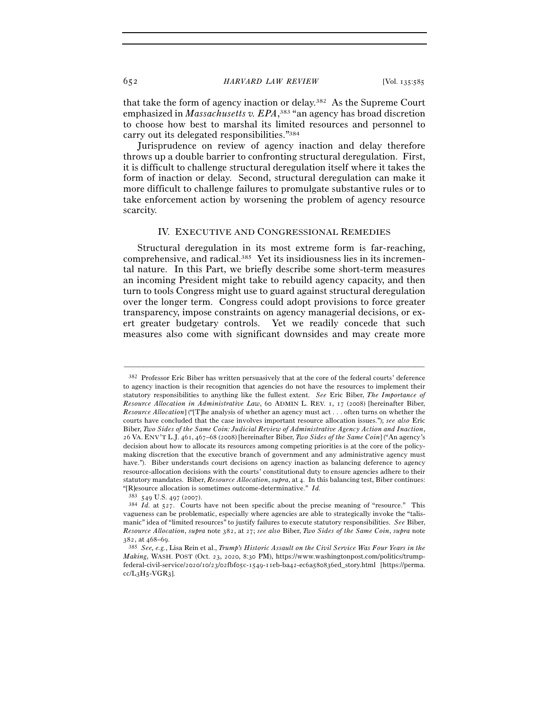652 *HARVARD LAW REVIEW* [Vol. 135:<sup>585</sup>

that take the form of agency inaction or delay.382 As the Supreme Court emphasized in *Massachusetts v. EPA*,<sup>383</sup> "an agency has broad discretion to choose how best to marshal its limited resources and personnel to carry out its delegated responsibilities."384

Jurisprudence on review of agency inaction and delay therefore throws up a double barrier to confronting structural deregulation. First, it is difficult to challenge structural deregulation itself where it takes the form of inaction or delay. Second, structural deregulation can make it more difficult to challenge failures to promulgate substantive rules or to take enforcement action by worsening the problem of agency resource scarcity.

### IV. EXECUTIVE AND CONGRESSIONAL REMEDIES

Structural deregulation in its most extreme form is far-reaching, comprehensive, and radical.385 Yet its insidiousness lies in its incremental nature. In this Part, we briefly describe some short-term measures an incoming President might take to rebuild agency capacity, and then turn to tools Congress might use to guard against structural deregulation over the longer term. Congress could adopt provisions to force greater transparency, impose constraints on agency managerial decisions, or exert greater budgetary controls. Yet we readily concede that such measures also come with significant downsides and may create more

<sup>382</sup> Professor Eric Biber has written persuasively that at the core of the federal courts' deference to agency inaction is their recognition that agencies do not have the resources to implement their statutory responsibilities to anything like the fullest extent. *See* Eric Biber, *The Importance of Resource Allocation in Administrative Law*, 60 ADMIN L. REV. 1, 17 (2008) [hereinafter Biber, *Resource Allocation*] ("[T]he analysis of whether an agency must act . . . often turns on whether the courts have concluded that the case involves important resource allocation issues."); *see also* Eric Biber, *Two Sides of the Same Coin: Judicial Review of Administrative Agency Action and Inaction*, 26 VA. ENV'T L.J. 461, 467–68 (2008) [hereinafter Biber, *Two Sides of the Same Coin*] ("An agency's decision about how to allocate its resources among competing priorities is at the core of the policymaking discretion that the executive branch of government and any administrative agency must have."). Biber understands court decisions on agency inaction as balancing deference to agency resource-allocation decisions with the courts' constitutional duty to ensure agencies adhere to their statutory mandates. Biber, *Resource Allocation*, *supra*, at 4. In this balancing test, Biber continues: "[R]esource allocation is sometimes outcome-determinative." *Id.* 

<sup>383</sup> <sup>549</sup> U.S. 497 (<sup>2007</sup>). 384 *Id.* at 527. Courts have not been specific about the precise meaning of "resource." This vagueness can be problematic, especially where agencies are able to strategically invoke the "talismanic" idea of "limited resources" to justify failures to execute statutory responsibilities. *See* Biber, *Resource Allocation*, *supra* note 382, at 27; *see also* Biber, *Two Sides of the Same Coin*, *supra* note

<sup>382</sup>, at 468–<sup>69</sup>. 385 *See, e.g.*, Lisa Rein et al., *Trump's Historic Assault on the Civil Service Was Four Years in the Making*, WASH. POST (Oct. 23, 2020, 8:30 PM), https://www.washingtonpost.com/politics/trumpfederal-civil-service/2020/10/23/02fbf05c-1549-11eb-ba42-ec6a580836ed\_story.html [https://perma.  $cc/L_3H_5-VGR_3$ ].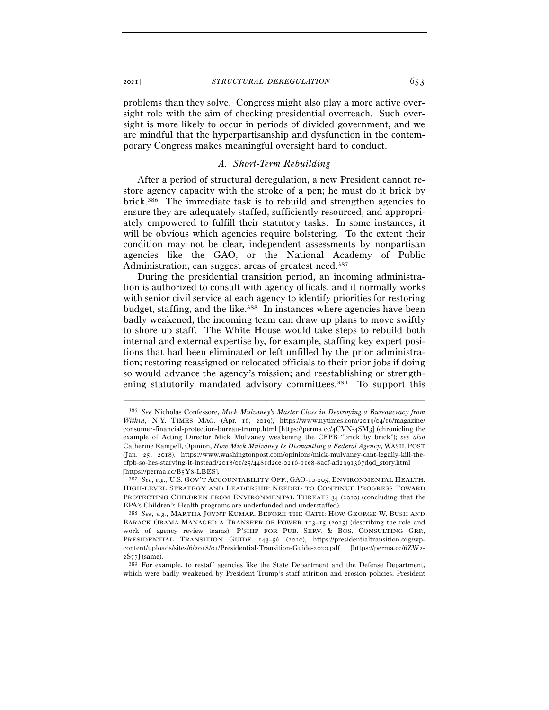problems than they solve. Congress might also play a more active oversight role with the aim of checking presidential overreach. Such oversight is more likely to occur in periods of divided government, and we are mindful that the hyperpartisanship and dysfunction in the contemporary Congress makes meaningful oversight hard to conduct.

## *A. Short-Term Rebuilding*

After a period of structural deregulation, a new President cannot restore agency capacity with the stroke of a pen; he must do it brick by brick.386 The immediate task is to rebuild and strengthen agencies to ensure they are adequately staffed, sufficiently resourced, and appropriately empowered to fulfill their statutory tasks. In some instances, it will be obvious which agencies require bolstering. To the extent their condition may not be clear, independent assessments by nonpartisan agencies like the GAO, or the National Academy of Public Administration, can suggest areas of greatest need.<sup>387</sup>

During the presidential transition period, an incoming administration is authorized to consult with agency officals, and it normally works with senior civil service at each agency to identify priorities for restoring budget, staffing, and the like.388 In instances where agencies have been badly weakened, the incoming team can draw up plans to move swiftly to shore up staff. The White House would take steps to rebuild both internal and external expertise by, for example, staffing key expert positions that had been eliminated or left unfilled by the prior administration; restoring reassigned or relocated officials to their prior jobs if doing so would advance the agency's mission; and reestablishing or strengthening statutorily mandated advisory committees.<sup>389</sup> To support this

–––––––––––––––––––––––––––––––––––––––––––––––––––––––––––––

which were badly weakened by President Trump's staff attrition and erosion policies, President

<sup>386</sup> *See* Nicholas Confessore, *Mick Mulvaney's Master Class in Destroying a Bureaucracy from Within*, N.Y. TIMES MAG. (Apr. 16, 2019), https://www.nytimes.com/2019/04/16/magazine/ consumer-financial-protection-bureau-trump.html [https://perma.cc/4CVN-4SM3] (chronicling the example of Acting Director Mick Mulvaney weakening the CFPB "brick by brick"); *see also* Catherine Rampell, Opinion, *How Mick Mulvaney Is Dismantling a Federal Agency*, WASH. POST (Jan. 25, 2018), https://www.washingtonpost.com/opinions/mick-mulvaney-cant-legally-kill-thecfpb-so-hes-starving-it-instead/2018/01/25/4481d2ce-0216-11e8-8acf-ad2991367d9d\_story.html [https://perma.cc/B5Y<sup>8</sup>-LBES]. 387 *See, e.g.*, U.S. GOV'T ACCOUNTABILITY OFF., GAO-10-205, ENVIRONMENTAL HEALTH:

HIGH-LEVEL STRATEGY AND LEADERSHIP NEEDED TO CONTINUE PROGRESS TOWARD PROTECTING CHILDREN FROM ENVIRONMENTAL THREATS 34 (2010) (concluding that the EPA's Children's Health programs are underfunded and understaffed).

<sup>388</sup> *See, e.g.*, MARTHA JOYNT KUMAR, BEFORE THE OATH: HOW GEORGE W. BUSH AND BARACK OBAMA MANAGED A TRANSFER OF POWER 113–15 (2015) (describing the role and work of agency review teams); P'SHIP FOR PUB. SERV. & BOS. CONSULTING GRP., PRESIDENTIAL TRANSITION GUIDE 143–56 (2020), https://presidentialtransition.org/wpcontent/uploads/sites/6/2018/01/Presidential-Transition-Guide-2020.pdf [https://perma.cc/6ZW2- <sup>2</sup>S<sup>77</sup>] (same). 389 For example, to restaff agencies like the State Department and the Defense Department,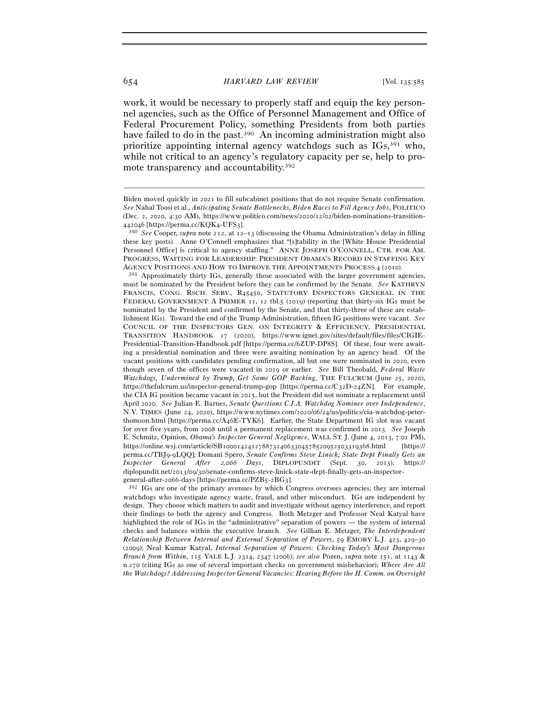work, it would be necessary to properly staff and equip the key personnel agencies, such as the Office of Personnel Management and Office of Federal Procurement Policy, something Presidents from both parties have failed to do in the past.<sup>390</sup> An incoming administration might also prioritize appointing internal agency watchdogs such as IGs,391 who, while not critical to an agency's regulatory capacity per se, help to promote transparency and accountability.392

–––––––––––––––––––––––––––––––––––––––––––––––––––––––––––––

must be nominated by the President before they can be confirmed by the Senate. *See* KATHRYN FRANCIS, CONG. RSCH. SERV., R45450, STATUTORY INSPECTORS GENERAL IN THE FEDERAL GOVERNMENT: A PRIMER 11, 12 tbl.5 (2019) (reporting that thirty-six IGs must be nominated by the President and confirmed by the Senate, and that thirty-three of these are establishment IGs). Toward the end of the Trump Administration, fifteen IG positions were vacant. *See*  COUNCIL OF THE INSPECTORS GEN. ON INTEGRITY & EFFICIENCY, PRESIDENTIAL TRANSITION HANDBOOK 17 (2020), https://www.ignet.gov/sites/default/files/files/CIGIE-Presidential-Transition-Handbook.pdf [https://perma.cc/6ZUP-DP8S]. Of these, four were awaiting a presidential nomination and three were awaiting nomination by an agency head. Of the vacant positions with candidates pending confirmation, all but one were nominated in 2020, even though seven of the offices were vacated in 2019 or earlier. *See* Bill Theobald, *Federal Waste Watchdogs, Undermined by Trump, Get Some GOP Backing*, THE FULCRUM (June 25, 2020), https://thefulcrum.us/inspector-general-trump-gop [https://perma.cc/C32D-24ZN]. For example, the CIA IG position became vacant in 2015, but the President did not nominate a replacement until April 2020. *See* Julian E. Barnes, *Senate Questions C.I.A. Watchdog Nominee over Independence*, N.Y. TIMES (June 24, 2020), https://www.nytimes.com/2020/06/24/us/politics/cia-watchdog-peterthomson.html [https://perma.cc/A46E-TYK6]. Earlier, the State Department IG slot was vacant for over five years, from 2008 until a permanent replacement was confirmed in 2013. *See* Joseph E. Schmitz, Opinion, *Obama's Inspector General Negligence*, WALL ST. J. (June 4, 2013, 7:02 PM), https://online.wsj.com/article/SB10001424127887324063304578520952503319368.html [https:// perma.cc/TBJ9-9LQQ]; Domani Spero, *Senate Confirms Steve Linick; State Dept Finally Gets an Inspector General After* 2*,*066 *Days*, DIPLOPUNDIT (Sept. 30, 2013), https:// diplopundit.net/2013/09/30/senate-confirms-steve-linick-state-dept-finally-gets-an-inspectorgeneral-after-2066-days [https://perma.cc/PZB5-2BG3].

392 IGs are one of the primary avenues by which Congress oversees agencies; they are internal watchdogs who investigate agency waste, fraud, and other misconduct. IGs are independent by design. They choose which matters to audit and investigate without agency interference, and report their findings to both the agency and Congress. Both Metzger and Professor Neal Katyal have highlighted the role of IGs in the "administrative" separation of powers — the system of internal checks and balances within the executive branch. *See* Gillian E. Metzger, *The Interdependent Relationship Between Internal and External Separation of Powers*, 59 EMORY L.J. 423, 429–30 (2009); Neal Kumar Katyal, *Internal Separation of Powers: Checking Today's Most Dangerous Branch from Within*, 115 YALE L.J. 2314, 2347 (2006); *see also* Pozen, *supra* note 151, at 1143 & n.270 (citing IGs as one of several important checks on government misbehavior); *Where Are All the Watchdogs? Addressing Inspector General Vacancies: Hearing Before the H. Comm. on Oversight* 

Biden moved quickly in 2021 to fill subcabinet positions that do not require Senate confirmation. *See* Nahal Toosi et al., *Anticipating Senate Bottlenecks, Biden Races to Fill Agency Jobs*, POLITICO (Dec. 2, 2020, 4:30 AM), https://www.politico.com/news/2020/12/02/biden-nominations-transition-<sup>442046</sup>[https://perma.cc/KQK4-UFS<sup>3</sup>]. 390 *See* Cooper, *supra* note 212, at 12–13 (discussing the Obama Administration's delay in filling

these key posts). Anne O'Connell emphasizes that "[s]tability in the [White House Presidential Personnel Office] is critical to agency staffing." ANNE JOSEPH O'CONNELL, CTR. FOR AM. PROGRESS, WAITING FOR LEADERSHIP: PRESIDENT OBAMA'S RECORD IN STAFFING KEY AGENCY POSITIONS AND HOW TO IMPROVE THE APPOINTMENTS PROCESS <sup>4</sup> (<sup>2010</sup>). 391 Approximately thirty IGs, generally those associated with the larger government agencies,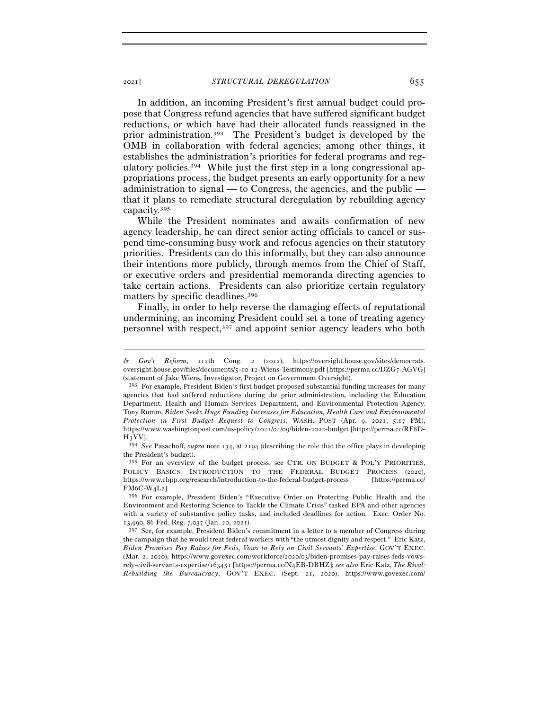In addition, an incoming President's first annual budget could propose that Congress refund agencies that have suffered significant budget reductions, or which have had their allocated funds reassigned in the prior administration.393 The President's budget is developed by the OMB in collaboration with federal agencies; among other things, it establishes the administration's priorities for federal programs and regulatory policies.394 While just the first step in a long congressional appropriations process, the budget presents an early opportunity for a new administration to signal — to Congress, the agencies, and the public that it plans to remediate structural deregulation by rebuilding agency capacity.395

While the President nominates and awaits confirmation of new agency leadership, he can direct senior acting officials to cancel or suspend time-consuming busy work and refocus agencies on their statutory priorities. Presidents can do this informally, but they can also announce their intentions more publicly, through memos from the Chief of Staff, or executive orders and presidential memoranda directing agencies to take certain actions. Presidents can also prioritize certain regulatory matters by specific deadlines.396

Finally, in order to help reverse the damaging effects of reputational undermining, an incoming President could set a tone of treating agency personnel with respect,397 and appoint senior agency leaders who both

*<sup>&</sup>amp; Gov't Reform*, 112th Cong. 2 (2012), https://oversight.house.gov/sites/democrats. oversight.house.gov/files/documents/5-10-12-Wiens-Testimony.pdf [https://perma.cc/DZG7-AGVG] (statement of Jake Wiens, Investigator, Project on Government Oversight).

<sup>393</sup> For example, President Biden's first budget proposed substantial funding increases for many agencies that had suffered reductions during the prior administration, including the Education Department, Health and Human Services Department, and Environmental Protection Agency. Tony Romm, *Biden Seeks Huge Funding Increases for Education, Health Care and Environmental Protection in First Budget Request to Congress*, WASH. POST (Apr. 9, 2021, 5:17 PM), https://www.washingtonpost.com/us-policy/2021/04/09/biden-2022-budget [https://perma.cc/RF8D-H3YV].

<sup>394</sup> *See* Pasachoff, *supra* note 134, at 2194 (describing the role that the office plays in developing the President's budget).

<sup>395</sup> For an overview of the budget process, see CTR. ON BUDGET & POL'Y PRIORITIES, POLICY BASICS: INTRODUCTION TO THE FEDERAL BUDGET PROCESS (2020), https://www.cbpp.org/research/introduction-to-the-federal-budget-process [https://perma.cc/ FM6C-W4L<sup>2</sup>]. 396 For example, President Biden's "Executive Order on Protecting Public Health and the

Environment and Restoring Science to Tackle the Climate Crisis" tasked EPA and other agencies with a variety of substantive policy tasks, and included deadlines for action. Exec. Order No. 13,990, 86 Fed. Reg. 7,037 (Jan. 20, 2021).

<sup>397</sup> See, for example, President Biden's commitment in a letter to a member of Congress during the campaign that he would treat federal workers with "the utmost dignity and respect." Eric Katz, *Biden Promises Pay Raises for Feds, Vows to Rely on Civil Servants' Expertise*, GOV'T EXEC. (Mar. 2, 2020), https://www.govexec.com/workforce/2020/03/biden-promises-pay-raises-feds-vowsrely-civil-servants-expertise/163451 [https://perma.cc/N4EB-DBHZ]; *see also* Eric Katz, *The Rival: Rebuilding the Bureaucracy*, GOV'T EXEC. (Sept. 21, 2020), https://www.govexec.com/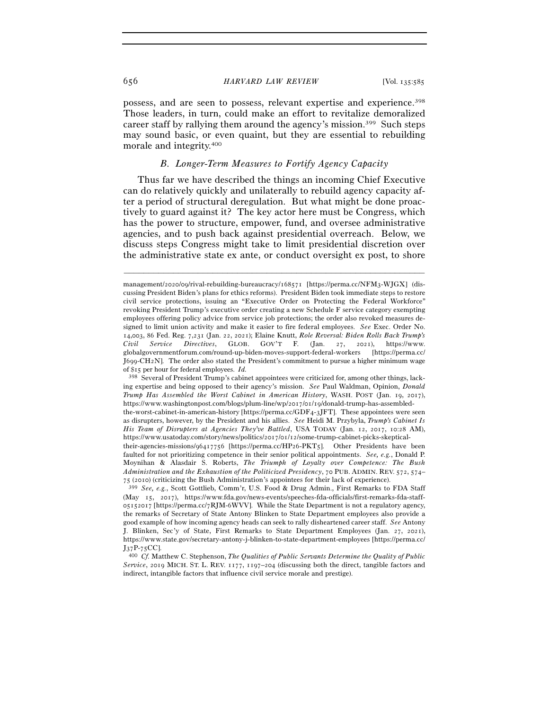## 656 *HARVARD LAW REVIEW* [Vol. 135:<sup>585</sup>

possess, and are seen to possess, relevant expertise and experience.398 Those leaders, in turn, could make an effort to revitalize demoralized career staff by rallying them around the agency's mission.399 Such steps may sound basic, or even quaint, but they are essential to rebuilding morale and integrity.400

## *B. Longer-Term Measures to Fortify Agency Capacity*

Thus far we have described the things an incoming Chief Executive can do relatively quickly and unilaterally to rebuild agency capacity after a period of structural deregulation. But what might be done proactively to guard against it? The key actor here must be Congress, which has the power to structure, empower, fund, and oversee administrative agencies, and to push back against presidential overreach. Below, we discuss steps Congress might take to limit presidential discretion over the administrative state ex ante, or conduct oversight ex post, to shore

management/2020/09/rival-rebuilding-bureaucracy/168571 [https://perma.cc/NFM3-WJGX] (discussing President Biden's plans for ethics reforms). President Biden took immediate steps to restore civil service protections, issuing an "Executive Order on Protecting the Federal Workforce" revoking President Trump's executive order creating a new Schedule F service category exempting employees offering policy advice from service job protections; the order also revoked measures designed to limit union activity and make it easier to fire federal employees. *See* Exec. Order No. 14,003, 86 Fed. Reg. 7,231 (Jan. 22, 2021); Elaine Knutt, *Role Reversal: Biden Rolls Back Trump's Civil Service Directives*, GLOB. GOV'T F. (Jan. 27, 2021), https://www. globalgovernmentforum.com/round-up-biden-moves-support-federal-workers [https://perma.cc/ J699-CH2N]. The order also stated the President's commitment to pursue a higher minimum wage of \$15 per hour for federal employees. *Id.* 

<sup>398</sup> Several of President Trump's cabinet appointees were criticized for, among other things, lacking expertise and being opposed to their agency's mission. *See* Paul Waldman, Opinion, *Donald Trump Has Assembled the Worst Cabinet in American History*, WASH. POST (Jan. 19, 2017), https://www.washingtonpost.com/blogs/plum-line/wp/2017/01/19/donald-trump-has-assembled-

the-worst-cabinet-in-american-history [https://perma.cc/GDF4-3JFT]. These appointees were seen as disrupters, however, by the President and his allies. *See* Heidi M. Przybyla, *Trump's Cabinet Is His Team of Disrupters at Agencies They've Battled*, USA TODAY (Jan. 12, 2017, 10:28 AM), https://www.usatoday.com/story/news/politics/2017/01/12/some-trump-cabinet-picks-skeptical-

their-agencies-missions/96417756 [https://perma.cc/HP26-PKT5]. Other Presidents have been faulted for not prioritizing competence in their senior political appointments. *See, e.g.*, Donald P. Moynihan & Alasdair S. Roberts, *The Triumph of Loyalty over Competence: The Bush Administration and the Exhaustion of the Politicized Presidency*, 70 PUB. ADMIN. REV. 572, 574–75 (2010) (criticizing the Bush Administration's appointees for their lack of experience).

<sup>&</sup>lt;sup>399</sup> See, e.g., Scott Gottlieb, Comm'r, U.S. Food & Drug Admin., First Remarks to FDA Staff (May 15, 2017), https://www.fda.gov/news-events/speeches-fda-officials/first-remarks-fda-staff- $05152017$  [https://perma.cc/7RJM-6WVV]. While the State Department is not a regulatory agency, the remarks of Secretary of State Antony Blinken to State Department employees also provide a good example of how incoming agency heads can seek to rally disheartened career staff. *See* Antony J. Blinken, Sec'y of State, First Remarks to State Department Employees (Jan. 27, 2021), https://www.state.gov/secretary-antony-j-blinken-to-state-department-employees [https://perma.cc/ <sup>J</sup>37P-<sup>75</sup>CC]. 400 *Cf.* Matthew C. Stephenson, *The Qualities of Public Servants Determine the Quality of Public* 

*Service*, 2019 MICH. ST. L. REV. 1177, 1197–204 (discussing both the direct, tangible factors and indirect, intangible factors that influence civil service morale and prestige).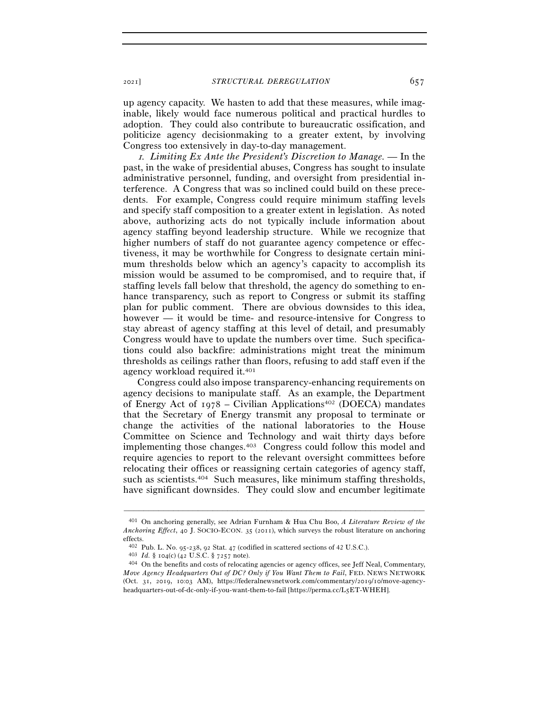<sup>2021</sup>] *STRUCTURAL DEREGULATION* 657

up agency capacity. We hasten to add that these measures, while imaginable, likely would face numerous political and practical hurdles to adoption. They could also contribute to bureaucratic ossification, and politicize agency decisionmaking to a greater extent, by involving Congress too extensively in day-to-day management.

<sup>1</sup>*. Limiting Ex Ante the President's Discretion to Manage. —* In the past, in the wake of presidential abuses, Congress has sought to insulate administrative personnel, funding, and oversight from presidential interference. A Congress that was so inclined could build on these precedents. For example, Congress could require minimum staffing levels and specify staff composition to a greater extent in legislation. As noted above, authorizing acts do not typically include information about agency staffing beyond leadership structure. While we recognize that higher numbers of staff do not guarantee agency competence or effectiveness, it may be worthwhile for Congress to designate certain minimum thresholds below which an agency's capacity to accomplish its mission would be assumed to be compromised, and to require that, if staffing levels fall below that threshold, the agency do something to enhance transparency, such as report to Congress or submit its staffing plan for public comment. There are obvious downsides to this idea, however — it would be time- and resource-intensive for Congress to stay abreast of agency staffing at this level of detail, and presumably Congress would have to update the numbers over time. Such specifications could also backfire: administrations might treat the minimum thresholds as ceilings rather than floors, refusing to add staff even if the agency workload required it.401

Congress could also impose transparency-enhancing requirements on agency decisions to manipulate staff. As an example, the Department of Energy Act of  $1978$  – Civilian Applications<sup>402</sup> (DOECA) mandates that the Secretary of Energy transmit any proposal to terminate or change the activities of the national laboratories to the House Committee on Science and Technology and wait thirty days before implementing those changes.403 Congress could follow this model and require agencies to report to the relevant oversight committees before relocating their offices or reassigning certain categories of agency staff, such as scientists.404 Such measures, like minimum staffing thresholds, have significant downsides. They could slow and encumber legitimate

<sup>401</sup> On anchoring generally, see Adrian Furnham & Hua Chu Boo, *A Literature Review of the Anchoring Effect*, 40 J. SOCIO-ECON. 35 (2011), which surveys the robust literature on anchoring effects.

<sup>&</sup>lt;sup>402</sup> Pub. L. No. 95-238, 92 Stat. 47 (codified in scattered sections of 42 U.S.C.).<br><sup>403</sup> *Id.* § 104(c) (42 U.S.C. § 7257 note).<br><sup>404</sup> On the benefits and costs of relocating agencies or agency offices, see Jeff Neal, C *Move Agency Headquarters Out of DC? Only if You Want Them to Fail*, FED. NEWS NETWORK (Oct. 31, 2019, 10:03 AM), https://federalnewsnetwork.com/commentary/2019/10/move-agencyheadquarters-out-of-dc-only-if-you-want-them-to-fail [https://perma.cc/L5ET-WHEH].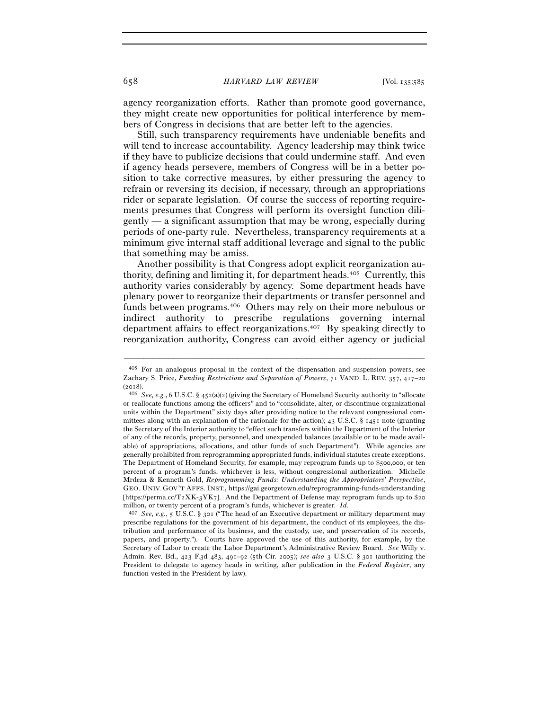658 *HARVARD LAW REVIEW* [Vol. 135:<sup>585</sup>

agency reorganization efforts. Rather than promote good governance, they might create new opportunities for political interference by members of Congress in decisions that are better left to the agencies.

Still, such transparency requirements have undeniable benefits and will tend to increase accountability. Agency leadership may think twice if they have to publicize decisions that could undermine staff. And even if agency heads persevere, members of Congress will be in a better position to take corrective measures, by either pressuring the agency to refrain or reversing its decision, if necessary, through an appropriations rider or separate legislation. Of course the success of reporting requirements presumes that Congress will perform its oversight function diligently — a significant assumption that may be wrong, especially during periods of one-party rule. Nevertheless, transparency requirements at a minimum give internal staff additional leverage and signal to the public that something may be amiss.

Another possibility is that Congress adopt explicit reorganization authority, defining and limiting it, for department heads.405 Currently, this authority varies considerably by agency. Some department heads have plenary power to reorganize their departments or transfer personnel and funds between programs.406 Others may rely on their more nebulous or indirect authority to prescribe regulations governing internal department affairs to effect reorganizations.407 By speaking directly to reorganization authority, Congress can avoid either agency or judicial

–––––––––––––––––––––––––––––––––––––––––––––––––––––––––––––

<sup>407</sup> *See, e.g.*, 5 U.S.C. § 301 ("The head of an Executive department or military department may prescribe regulations for the government of his department, the conduct of its employees, the distribution and performance of its business, and the custody, use, and preservation of its records, papers, and property."). Courts have approved the use of this authority, for example, by the Secretary of Labor to create the Labor Department's Administrative Review Board. *See* Willy v. Admin. Rev. Bd., 423 F.3d 483, 491–92 (5th Cir. 2005); *see also* 3 U.S.C. § 301 (authorizing the President to delegate to agency heads in writing, after publication in the *Federal Register*, any function vested in the President by law).

<sup>405</sup> For an analogous proposal in the context of the dispensation and suspension powers, see Zachary S. Price, *Funding Restrictions and Separation of Powers*, 71 VAND. L. REV. 357, 417–20 (<sup>2018</sup>). 406 *See, e.g.*, 6 U.S.C. § 452(a)(2) (giving the Secretary of Homeland Security authority to "allocate

or reallocate functions among the officers" and to "consolidate, alter, or discontinue organizational units within the Department" sixty days after providing notice to the relevant congressional committees along with an explanation of the rationale for the action); 43 U.S.C. § 1451 note (granting the Secretary of the Interior authority to "effect such transfers within the Department of the Interior of any of the records, property, personnel, and unexpended balances (available or to be made available) of appropriations, allocations, and other funds of such Department"). While agencies are generally prohibited from reprogramming appropriated funds, individual statutes create exceptions. The Department of Homeland Security, for example, may reprogram funds up to \$500,000, or ten percent of a program's funds, whichever is less, without congressional authorization. Michelle Mrdeza & Kenneth Gold, *Reprogramming Funds: Understanding the Appropriators' Perspective*, GEO. UNIV. GOV'T AFFS. INST., https://gai.georgetown.edu/reprogramming-funds-understanding [https://perma.cc/T2XK-3YK7]. And the Department of Defense may reprogram funds up to \$20 million, or twenty percent of a program's funds, whichever is greater. *Id.*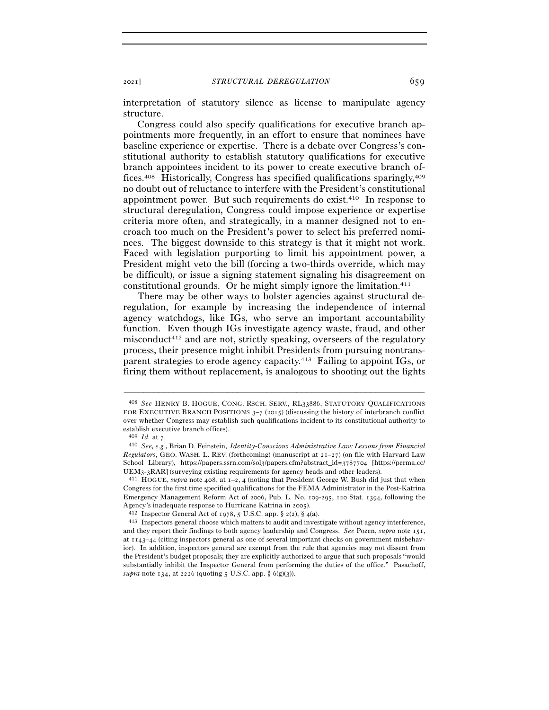interpretation of statutory silence as license to manipulate agency structure.

Congress could also specify qualifications for executive branch appointments more frequently, in an effort to ensure that nominees have baseline experience or expertise. There is a debate over Congress's constitutional authority to establish statutory qualifications for executive branch appointees incident to its power to create executive branch offices.408 Historically, Congress has specified qualifications sparingly,409 no doubt out of reluctance to interfere with the President's constitutional appointment power. But such requirements do exist.410 In response to structural deregulation, Congress could impose experience or expertise criteria more often, and strategically, in a manner designed not to encroach too much on the President's power to select his preferred nominees. The biggest downside to this strategy is that it might not work. Faced with legislation purporting to limit his appointment power, a President might veto the bill (forcing a two-thirds override, which may be difficult), or issue a signing statement signaling his disagreement on constitutional grounds. Or he might simply ignore the limitation.411

There may be other ways to bolster agencies against structural deregulation, for example by increasing the independence of internal agency watchdogs, like IGs, who serve an important accountability function. Even though IGs investigate agency waste, fraud, and other misconduct412 and are not, strictly speaking, overseers of the regulatory process, their presence might inhibit Presidents from pursuing nontransparent strategies to erode agency capacity.413 Failing to appoint IGs, or firing them without replacement, is analogous to shooting out the lights

<sup>408</sup> *See* HENRY B. HOGUE, CONG. RSCH. SERV., RL33886, STATUTORY QUALIFICATIONS FOR EXECUTIVE BRANCH POSITIONS  $3-7$  (2015) (discussing the history of interbranch conflict over whether Congress may establish such qualifications incident to its constitutional authority to establish executive branch offices).<br> $\frac{409 \text{ Id. at } 7.}{409 \text{ Id. at } 7.}$ 

<sup>409</sup> *Id.* at <sup>7</sup>. 410 *See, e.g.*, Brian D. Feinstein, *Identity-Conscious Administrative Law: Lessons from Financial Regulators*, GEO. WASH. L. REV. (forthcoming) (manuscript at  $2I-27$ ) (on file with Harvard Law School Library), https://papers.ssrn.com/sol3/papers.cfm?abstract\_id=3787704 [https://perma.cc/ UEM3-<sup>3</sup>RAR] (surveying existing requirements for agency heads and other leaders). 411 HOGUE, *supra* note 408, at 1–2, 4 (noting that President George W. Bush did just that when

Congress for the first time specified qualifications for the FEMA Administrator in the Post-Katrina Emergency Management Reform Act of 2006, Pub. L. No. 109-295, 120 Stat. 1394, following the Agency's inadequate response to Hurricane Katrina in 2005).<br>
<sup>412</sup> Inspector General Act of 1978, 5 U.S.C. app. § 2(2), § 4(a).<br>
<sup>413</sup> Inspectors general choose which matters to audit and investigate without agency interfe

and they report their findings to both agency leadership and Congress. *See* Pozen, *supra* note 151, at 1143–44 (citing inspectors general as one of several important checks on government misbehavior). In addition, inspectors general are exempt from the rule that agencies may not dissent from the President's budget proposals; they are explicitly authorized to argue that such proposals "would substantially inhibit the Inspector General from performing the duties of the office." Pasachoff, *supra* note 134, at 2226 (quoting 5 U.S.C. app. § 6(g)(3)).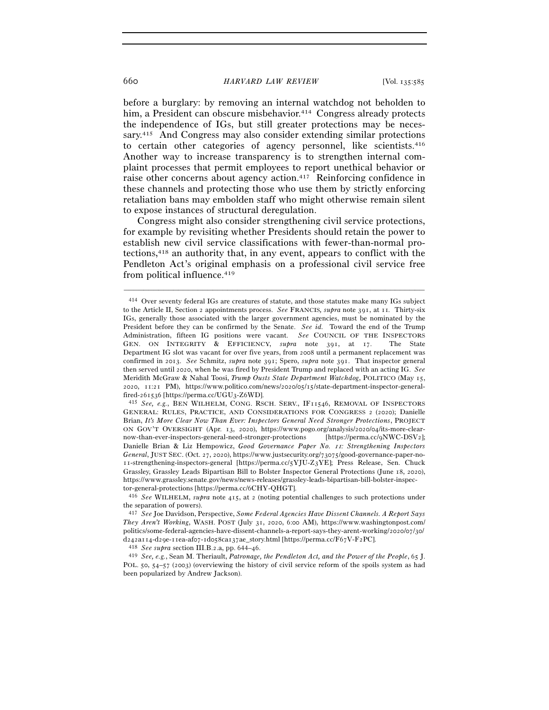before a burglary: by removing an internal watchdog not beholden to him, a President can obscure misbehavior.<sup>414</sup> Congress already protects the independence of IGs, but still greater protections may be necessary.415 And Congress may also consider extending similar protections to certain other categories of agency personnel, like scientists.416 Another way to increase transparency is to strengthen internal complaint processes that permit employees to report unethical behavior or raise other concerns about agency action.417 Reinforcing confidence in these channels and protecting those who use them by strictly enforcing retaliation bans may embolden staff who might otherwise remain silent to expose instances of structural deregulation.

Congress might also consider strengthening civil service protections, for example by revisiting whether Presidents should retain the power to establish new civil service classifications with fewer-than-normal protections,418 an authority that, in any event, appears to conflict with the Pendleton Act's original emphasis on a professional civil service free from political influence.419

<sup>414</sup> Over seventy federal IGs are creatures of statute, and those statutes make many IGs subject to the Article II, Section 2 appointments process. *See* FRANCIS*, supra* note 391, at 11*.* Thirty-six IGs, generally those associated with the larger government agencies, must be nominated by the President before they can be confirmed by the Senate. *See id.* Toward the end of the Trump Administration, fifteen IG positions were vacant. *See* COUNCIL OF THE INSPECTORS GEN. ON INTEGRITY & EFFICIENCY, *supra* note 391, at 17. The State Department IG slot was vacant for over five years, from 2008 until a permanent replacement was confirmed in 2013. *See* Schmitz, *supra* note 391; Spero, *supra* note 391. That inspector general then served until 2020, when he was fired by President Trump and replaced with an acting IG. *See* Meridith McGraw & Nahal Toosi, *Trump Ousts State Department Watchdog*, POLITICO (May 15, 2020, 11:21 PM), https://www.politico.com/news/2020/05/15/state-department-inspector-general-

fired-261536 [https://perma.cc/UGU3-Z6WD]. 415 *See, e.g.*, BEN WILHELM, CONG. RSCH. SERV., IF11546, REMOVAL OF INSPECTORS GENERAL: RULES, PRACTICE, AND CONSIDERATIONS FOR CONGRESS 2 (2020); Danielle Brian, *It's More Clear Now Than Ever: Inspectors General Need Stronger Protections*, PROJECT ON GOV'T OVERSIGHT (Apr. 13, 2020), https://www.pogo.org/analysis/2020/04/its-more-clearnow-than-ever-inspectors-general-need-stronger-protections [https://perma.cc/9NWC-DSV2]; Danielle Brian & Liz Hempowicz, *Good Governance Paper No.* 11*: Strengthening Inspectors General*, JUST SEC. (Oct. 27, 2020), https://www.justsecurity.org/73075/good-governance-paper-no-11-strengthening-inspectors-general [https://perma.cc/5YJU-Z3YE]; Press Release, Sen. Chuck Grassley, Grassley Leads Bipartisan Bill to Bolster Inspector General Protections (June 18, 2020), https://www.grassley.senate.gov/news/news-releases/grassley-leads-bipartisan-bill-bolster-inspector-general-protections [https://perma.cc/<sup>6</sup>CHY-QHGT]. 416 *See* WILHELM, *supra* note 415, at 2 (noting potential challenges to such protections under

the separation of powers).

<sup>417</sup> *See* Joe Davidson, Perspective, *Some Federal Agencies Have Dissent Channels. A Report Says They Aren't Working*, WASH. POST (July 31, 2020, 6:00 AM), https://www.washingtonpost.com/ politics/some-federal-agencies-have-dissent-channels-a-report-says-they-arent-working/2020/07/30/ d242a114-d29e-11ea-afo7-1do58ca137ae\_story.html [https://perma.cc/F67V-F2PC].<br>
<sup>418</sup> See supra section III.B.2.a, pp. 644–46.<br>
<sup>419</sup> See, e.g., Sean M. Theriault, *Patronage, the Pendleton Act, and the Power of the People* 

POL. 50, 54–57 (2003) (overviewing the history of civil service reform of the spoils system as had been popularized by Andrew Jackson).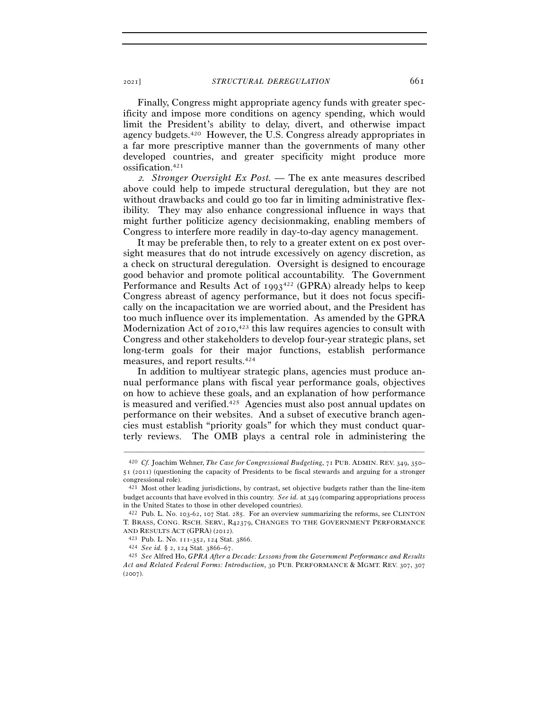Finally, Congress might appropriate agency funds with greater specificity and impose more conditions on agency spending, which would limit the President's ability to delay, divert, and otherwise impact agency budgets.420 However, the U.S. Congress already appropriates in a far more prescriptive manner than the governments of many other developed countries, and greater specificity might produce more ossification.421

<sup>2</sup>*. Stronger Oversight Ex Post. —* The ex ante measures described above could help to impede structural deregulation, but they are not without drawbacks and could go too far in limiting administrative flexibility. They may also enhance congressional influence in ways that might further politicize agency decisionmaking, enabling members of Congress to interfere more readily in day-to-day agency management.

It may be preferable then, to rely to a greater extent on ex post oversight measures that do not intrude excessively on agency discretion, as a check on structural deregulation. Oversight is designed to encourage good behavior and promote political accountability. The Government Performance and Results Act of  $1993^{422}$  (GPRA) already helps to keep Congress abreast of agency performance, but it does not focus specifically on the incapacitation we are worried about, and the President has too much influence over its implementation. As amended by the GPRA Modernization Act of 2010,<sup>423</sup> this law requires agencies to consult with Congress and other stakeholders to develop four-year strategic plans, set long-term goals for their major functions, establish performance measures, and report results.424

In addition to multiyear strategic plans, agencies must produce annual performance plans with fiscal year performance goals, objectives on how to achieve these goals, and an explanation of how performance is measured and verified.425 Agencies must also post annual updates on performance on their websites. And a subset of executive branch agencies must establish "priority goals" for which they must conduct quarterly reviews. The OMB plays a central role in administering the

<sup>420</sup> *Cf.* Joachim Wehner, *The Case for Congressional Budgeting*, 71 PUB. ADMIN. REV. 349, 350– 51 (2011) (questioning the capacity of Presidents to be fiscal stewards and arguing for a stronger congressional role).

<sup>421</sup> Most other leading jurisdictions, by contrast, set objective budgets rather than the line-item budget accounts that have evolved in this country. *See id.* at 349 (comparing appropriations process in the United States to those in other developed countries).

<sup>422</sup> Pub. L. No. 103-62, 107 Stat. 285. For an overview summarizing the reforms, see CLINTON T. BRASS, CONG. RSCH. SERV., R42379, CHANGES TO THE GOVERNMENT PERFORMANCE AND RESULTS ACT (GPRA) (2012).

AND RESULTS ACT (GPRA) (<sup>2012</sup>). 423 Pub. L. No. <sup>111</sup>-352, 124 Stat. <sup>3866</sup>. 424 *See id.* § 2, 124 Stat. 3866–<sup>67</sup>. 425 *See* Alfred Ho, *GPRA After a Decade: Lessons from the Government Performance and Results Act and Related Federal Forms: Introduction*, 30 PUB. PERFORMANCE & MGMT. REV. 307, 307  $(2007)$ .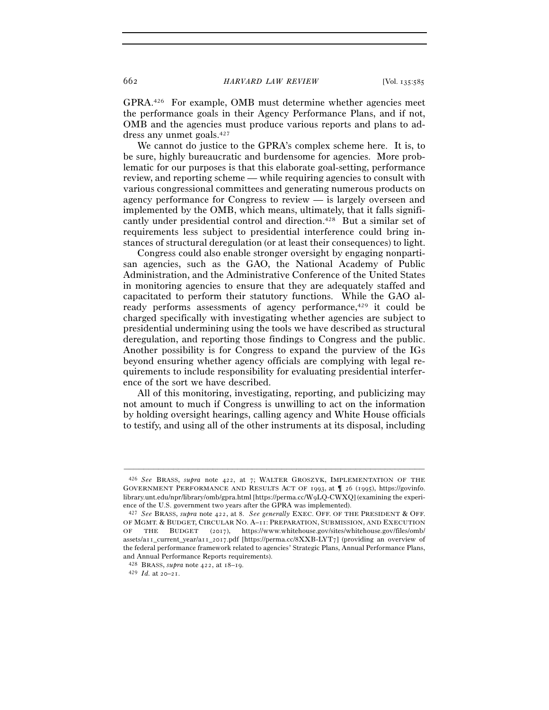GPRA.426 For example, OMB must determine whether agencies meet the performance goals in their Agency Performance Plans, and if not, OMB and the agencies must produce various reports and plans to address any unmet goals.427

We cannot do justice to the GPRA's complex scheme here. It is, to be sure, highly bureaucratic and burdensome for agencies. More problematic for our purposes is that this elaborate goal-setting, performance review, and reporting scheme — while requiring agencies to consult with various congressional committees and generating numerous products on agency performance for Congress to review — is largely overseen and implemented by the OMB, which means, ultimately, that it falls significantly under presidential control and direction.428 But a similar set of requirements less subject to presidential interference could bring instances of structural deregulation (or at least their consequences) to light.

Congress could also enable stronger oversight by engaging nonpartisan agencies, such as the GAO, the National Academy of Public Administration, and the Administrative Conference of the United States in monitoring agencies to ensure that they are adequately staffed and capacitated to perform their statutory functions. While the GAO already performs assessments of agency performance,<sup>429</sup> it could be charged specifically with investigating whether agencies are subject to presidential undermining using the tools we have described as structural deregulation, and reporting those findings to Congress and the public. Another possibility is for Congress to expand the purview of the IGs beyond ensuring whether agency officials are complying with legal requirements to include responsibility for evaluating presidential interference of the sort we have described.

All of this monitoring, investigating, reporting, and publicizing may not amount to much if Congress is unwilling to act on the information by holding oversight hearings, calling agency and White House officials to testify, and using all of the other instruments at its disposal, including

<sup>426</sup> *See* BRASS, *supra* note 422, at 7; WALTER GROSZYK, IMPLEMENTATION OF THE GOVERNMENT PERFORMANCE AND RESULTS ACT OF 1993, at ¶ 26 (1995), https://govinfo. library.unt.edu/npr/library/omb/gpra.html [https://perma.cc/W9LQ-CWXQ] (examining the experience of the U.S. government two years after the GPRA was implemented).

<sup>427</sup> *See* BRASS, *supra* note 422, at 8. *See generally* EXEC. OFF. OF THE PRESIDENT & OFF. OF MGMT. & BUDGET, CIRCULAR NO. A–11: PREPARATION, SUBMISSION, AND EXECUTION OF THE BUDGET (2017), https://www.whitehouse.gov/sites/whitehouse.gov/files/omb/ assets/a11\_current\_year/a11\_2017.pdf [https://perma.cc/8XXB-LYT7] (providing an overview of the federal performance framework related to agencies' Strategic Plans, Annual Performance Plans, and Annual Performance Reports requirements).

<sup>428</sup> BRASS, *supra* note 422, at 18–<sup>19</sup>. 429 *Id.* at 20–21.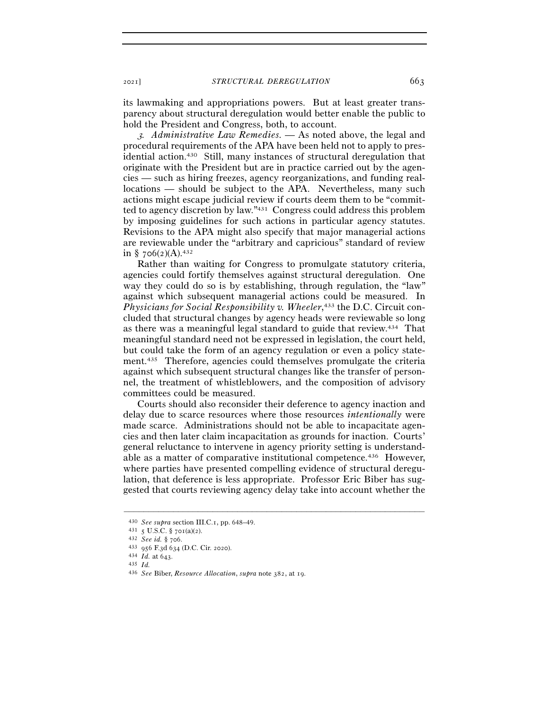its lawmaking and appropriations powers. But at least greater transparency about structural deregulation would better enable the public to hold the President and Congress, both, to account.

<sup>3</sup>*. Administrative Law Remedies. —* As noted above, the legal and procedural requirements of the APA have been held not to apply to presidential action.430 Still, many instances of structural deregulation that originate with the President but are in practice carried out by the agencies — such as hiring freezes, agency reorganizations, and funding reallocations — should be subject to the APA. Nevertheless, many such actions might escape judicial review if courts deem them to be "committed to agency discretion by law."431 Congress could address this problem by imposing guidelines for such actions in particular agency statutes. Revisions to the APA might also specify that major managerial actions are reviewable under the "arbitrary and capricious" standard of review in §  $706(2)(A).432$ 

Rather than waiting for Congress to promulgate statutory criteria, agencies could fortify themselves against structural deregulation. One way they could do so is by establishing, through regulation, the "law" against which subsequent managerial actions could be measured. In *Physicians for Social Responsibility v. Wheeler*, 433 the D.C. Circuit concluded that structural changes by agency heads were reviewable so long as there was a meaningful legal standard to guide that review.434 That meaningful standard need not be expressed in legislation, the court held, but could take the form of an agency regulation or even a policy statement.435 Therefore, agencies could themselves promulgate the criteria against which subsequent structural changes like the transfer of personnel, the treatment of whistleblowers, and the composition of advisory committees could be measured.

Courts should also reconsider their deference to agency inaction and delay due to scarce resources where those resources *intentionally* were made scarce. Administrations should not be able to incapacitate agencies and then later claim incapacitation as grounds for inaction. Courts' general reluctance to intervene in agency priority setting is understandable as a matter of comparative institutional competence.436 However, where parties have presented compelling evidence of structural deregulation, that deference is less appropriate. Professor Eric Biber has suggested that courts reviewing agency delay take into account whether the

<sup>430</sup> *See supra* section III.C.<sup>1</sup>, pp. 648–49. 431 <sup>5</sup> U.S.C. § 701(a)(<sup>2</sup>). 432 *See id.* § <sup>706</sup>. 433 <sup>956</sup> F.3d 634 (D.C. Cir. <sup>2020</sup>). 434 *Id.* at 643.

<sup>435</sup> *Id.* 

<sup>436</sup> *See* Biber, *Resource Allocation*, *supra* note 382, at 19.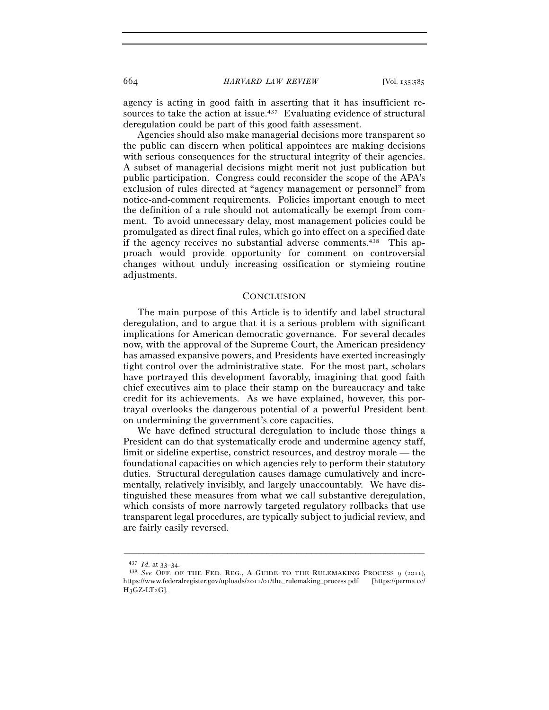664 *HARVARD LAW REVIEW* [Vol. 135:<sup>585</sup>

agency is acting in good faith in asserting that it has insufficient resources to take the action at issue.<sup>437</sup> Evaluating evidence of structural deregulation could be part of this good faith assessment.

Agencies should also make managerial decisions more transparent so the public can discern when political appointees are making decisions with serious consequences for the structural integrity of their agencies. A subset of managerial decisions might merit not just publication but public participation. Congress could reconsider the scope of the APA's exclusion of rules directed at "agency management or personnel" from notice-and-comment requirements. Policies important enough to meet the definition of a rule should not automatically be exempt from comment. To avoid unnecessary delay, most management policies could be promulgated as direct final rules, which go into effect on a specified date if the agency receives no substantial adverse comments.438 This approach would provide opportunity for comment on controversial changes without unduly increasing ossification or stymieing routine adjustments.

## **CONCLUSION**

The main purpose of this Article is to identify and label structural deregulation, and to argue that it is a serious problem with significant implications for American democratic governance. For several decades now, with the approval of the Supreme Court, the American presidency has amassed expansive powers, and Presidents have exerted increasingly tight control over the administrative state. For the most part, scholars have portrayed this development favorably, imagining that good faith chief executives aim to place their stamp on the bureaucracy and take credit for its achievements. As we have explained, however, this portrayal overlooks the dangerous potential of a powerful President bent on undermining the government's core capacities.

We have defined structural deregulation to include those things a President can do that systematically erode and undermine agency staff, limit or sideline expertise, constrict resources, and destroy morale — the foundational capacities on which agencies rely to perform their statutory duties. Structural deregulation causes damage cumulatively and incrementally, relatively invisibly, and largely unaccountably. We have distinguished these measures from what we call substantive deregulation, which consists of more narrowly targeted regulatory rollbacks that use transparent legal procedures, are typically subject to judicial review, and are fairly easily reversed.

<sup>437</sup> *Id.* at 33–<sup>34</sup>. 438 *See* OFF. OF THE FED. REG., <sup>A</sup> GUIDE TO THE RULEMAKING PROCESS 9 (2011), https://www.federalregister.gov/uploads/2011/01/the\_rulemaking\_process.pdf [https://perma.cc/ H3GZ-LT2G].